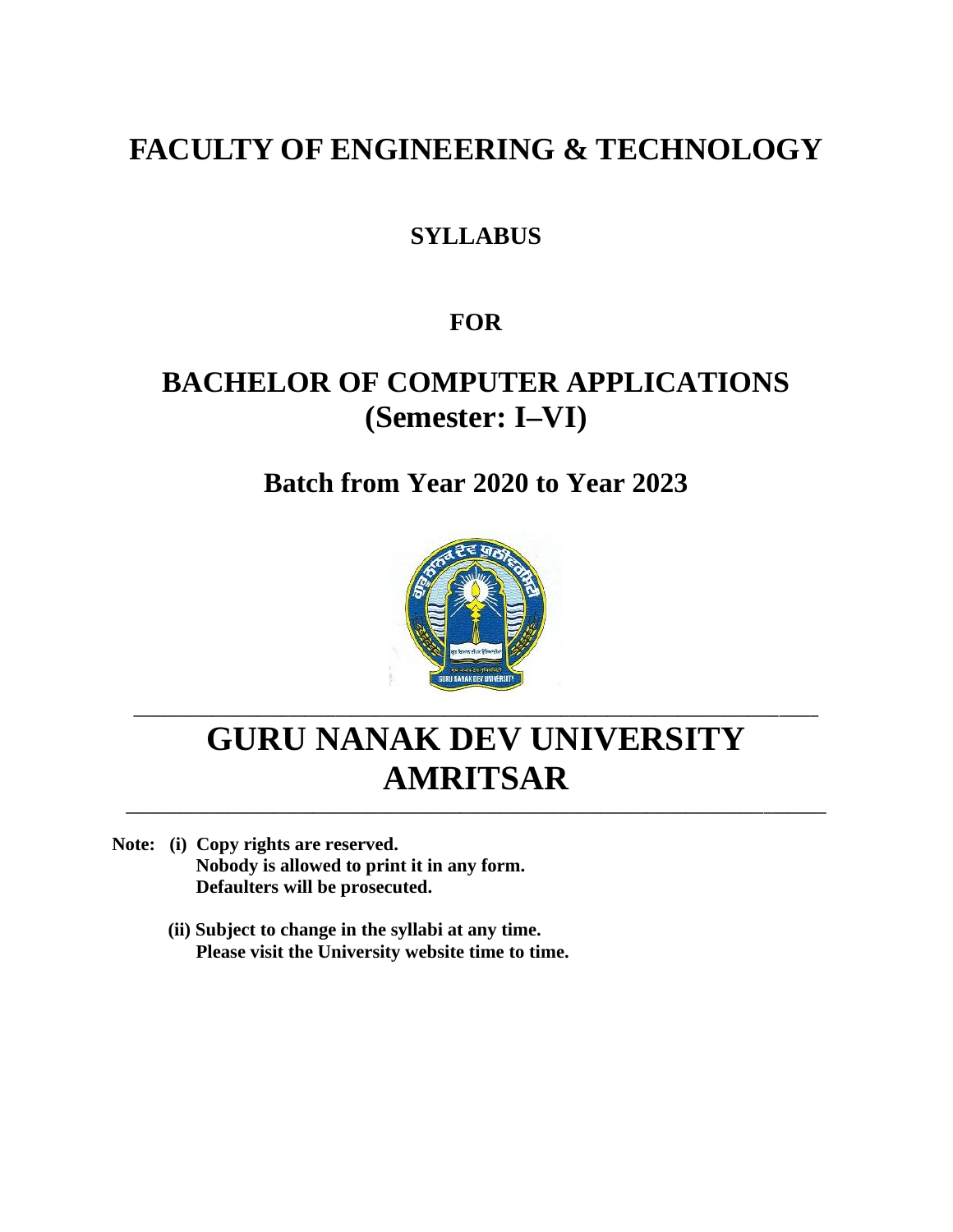# **FACULTY OF ENGINEERING & TECHNOLOGY**

## **SYLLABUS**

## **FOR**

# **BACHELOR OF COMPUTER APPLICATIONS (Semester: I–VI)**

# **Batch from Year 2020 to Year 2023**



# **GURU NANAK DEV UNIVERSITY AMRITSAR**

**\_\_\_\_\_\_\_\_\_\_\_\_\_\_\_\_\_\_\_\_\_\_\_\_\_\_\_\_\_\_\_\_\_\_\_\_\_\_\_\_\_\_\_\_\_\_\_\_\_\_\_\_\_\_\_\_\_\_\_\_\_\_\_\_\_\_\_\_\_\_\_\_\_\_\_\_\_\_\_\_\_\_\_\_\_\_\_\_**

**\_\_\_\_\_\_\_\_\_\_\_\_\_\_\_\_\_\_\_\_\_\_\_\_\_\_\_\_\_\_\_\_\_\_\_\_\_\_\_\_\_\_\_\_\_\_\_\_\_\_\_\_\_\_\_\_\_\_\_\_\_\_\_\_\_\_\_\_\_\_\_\_\_\_\_\_\_\_\_\_\_\_\_\_\_\_\_\_\_\_**

- **Note: (i) Copy rights are reserved. Nobody is allowed to print it in any form. Defaulters will be prosecuted.**
	- **(ii) Subject to change in the syllabi at any time. Please visit the University website time to time.**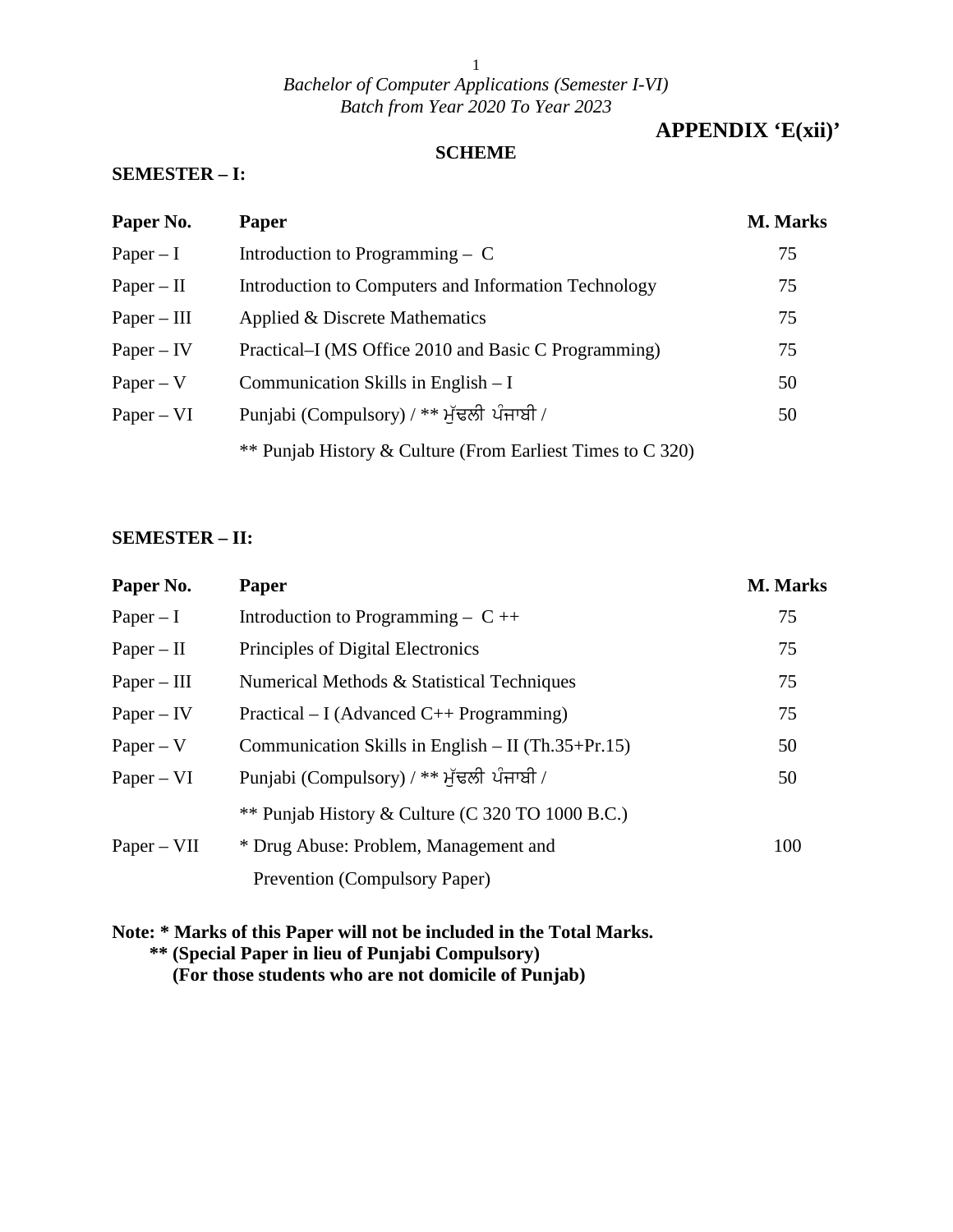### **APPENDIX 'E(xii)'**

#### **SCHEME**

#### **SEMESTER – I:**

| Paper No.     | <b>Paper</b>                                               | M. Marks |
|---------------|------------------------------------------------------------|----------|
| $Paper - I$   | Introduction to Programming $-$ C                          | 75       |
| $Paper - II$  | Introduction to Computers and Information Technology       | 75       |
| $Paper - III$ | Applied & Discrete Mathematics                             | 75       |
| $Paper - IV$  | Practical–I (MS Office 2010 and Basic C Programming)       | 75       |
| $Paper - V$   | Communication Skills in English $- I$                      | 50       |
| $Paper - VI$  | Punjabi (Compulsory) / ** ਮੁੱਢਲੀ ਪੰਜਾਬੀ /                  | 50       |
|               | ** Punjab History & Culture (From Earliest Times to C 320) |          |

#### **SEMESTER – II:**

| Paper No.     | Paper                                                | M. Marks |
|---------------|------------------------------------------------------|----------|
| $Paper - I$   | Introduction to Programming – $C_{++}$               | 75       |
| $Paper - II$  | Principles of Digital Electronics                    | 75       |
| $Paper - III$ | Numerical Methods & Statistical Techniques           | 75       |
| $Paper - IV$  | Practical – I (Advanced C++ Programming)             | 75       |
| $Paper - V$   | Communication Skills in English $-$ II (Th.35+Pr.15) | 50       |
| $Paper - VI$  | Punjabi (Compulsory) / ** ਮੁੱਢਲੀ ਪੰਜਾਬੀ /            | 50       |
|               | ** Punjab History & Culture (C 320 TO 1000 B.C.)     |          |
| $Paper - VII$ | * Drug Abuse: Problem, Management and                | 100      |
|               | Prevention (Compulsory Paper)                        |          |

#### **Note: \* Marks of this Paper will not be included in the Total Marks. \*\* (Special Paper in lieu of Punjabi Compulsory) (For those students who are not domicile of Punjab)**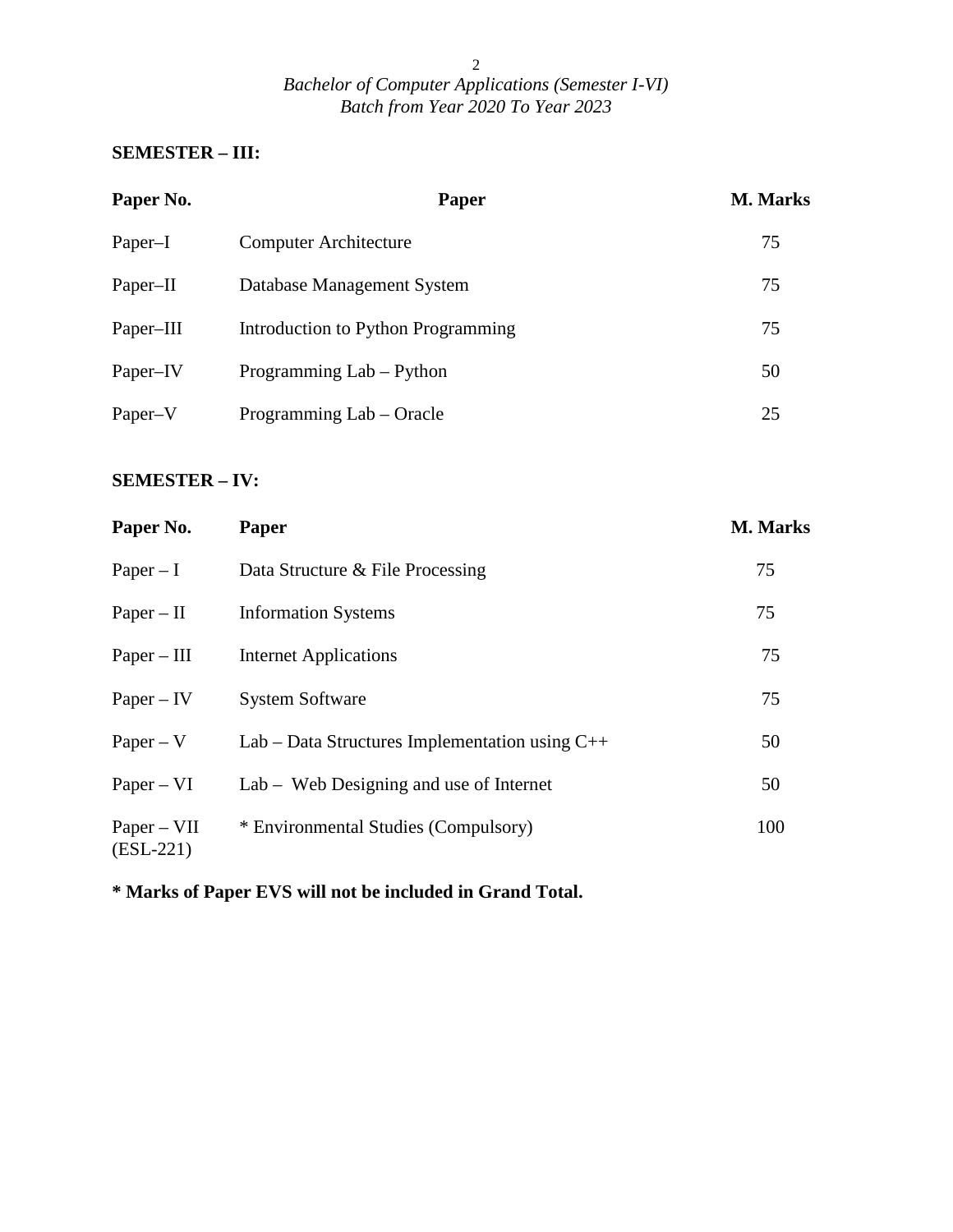### **SEMESTER – III:**

| Paper No. | <b>Paper</b>                       | <b>M. Marks</b> |
|-----------|------------------------------------|-----------------|
| Paper-I   | <b>Computer Architecture</b>       | 75              |
| Paper-II  | Database Management System         | 75              |
| Paper-III | Introduction to Python Programming | 75              |
| Paper-IV  | Programming Lab – Python           | 50              |
| Paper–V   | Programming Lab – Oracle           | 25              |

### **SEMESTER – IV:**

| Paper No.                    | Paper                                            | M. Marks |
|------------------------------|--------------------------------------------------|----------|
| $Paper - I$                  | Data Structure & File Processing                 | 75       |
| $Paper - II$                 | <b>Information Systems</b>                       | 75       |
| $Paper - III$                | <b>Internet Applications</b>                     | 75       |
| $Paper - IV$                 | <b>System Software</b>                           | 75       |
| $Paper - V$                  | Lab – Data Structures Implementation using $C++$ | 50       |
| $Paper - VI$                 | Lab – Web Designing and use of Internet          | 50       |
| $Paper - VII$<br>$(ESL-221)$ | * Environmental Studies (Compulsory)             | 100      |

**\* Marks of Paper EVS will not be included in Grand Total.**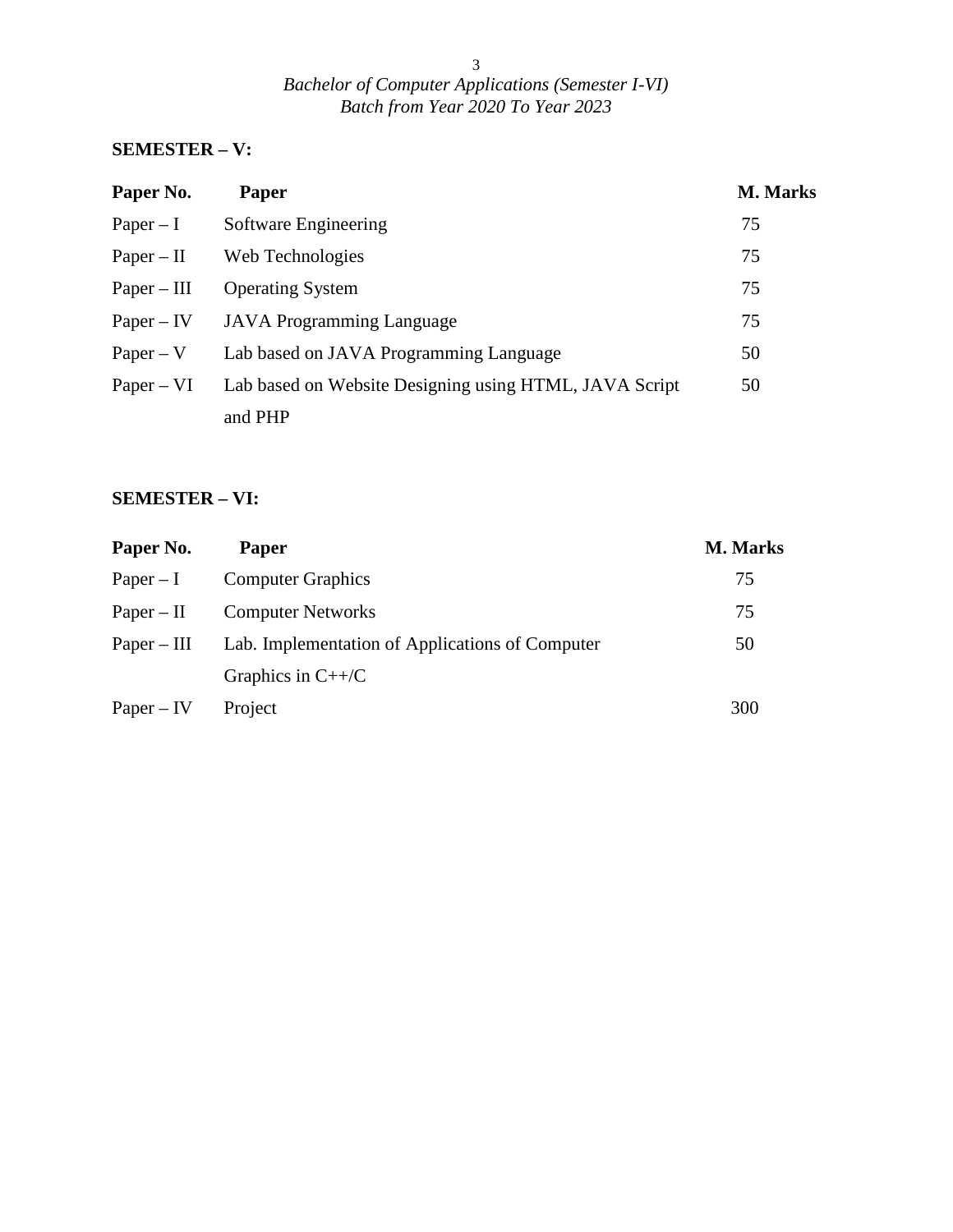### **SEMESTER – V:**

| Paper No.     | <b>Paper</b>                                           | <b>M. Marks</b> |
|---------------|--------------------------------------------------------|-----------------|
| $Paper - I$   | Software Engineering                                   | 75              |
| $Paper - II$  | Web Technologies                                       | 75              |
| $Paper - III$ | <b>Operating System</b>                                | 75              |
| $Paper - IV$  | <b>JAVA</b> Programming Language                       | 75              |
| $Paper - V$   | Lab based on JAVA Programming Language                 | 50              |
| $Paper - VI$  | Lab based on Website Designing using HTML, JAVA Script | 50              |
|               | and PHP                                                |                 |

### **SEMESTER – VI:**

| Paper No.     | <b>Paper</b>                                    | <b>M. Marks</b> |
|---------------|-------------------------------------------------|-----------------|
| $Paper - I$   | <b>Computer Graphics</b>                        | 75              |
| $Paper - II$  | <b>Computer Networks</b>                        | 75              |
| $Paper - III$ | Lab. Implementation of Applications of Computer | 50              |
|               | Graphics in $C++/C$                             |                 |
| $Paper - IV$  | Project                                         | 300             |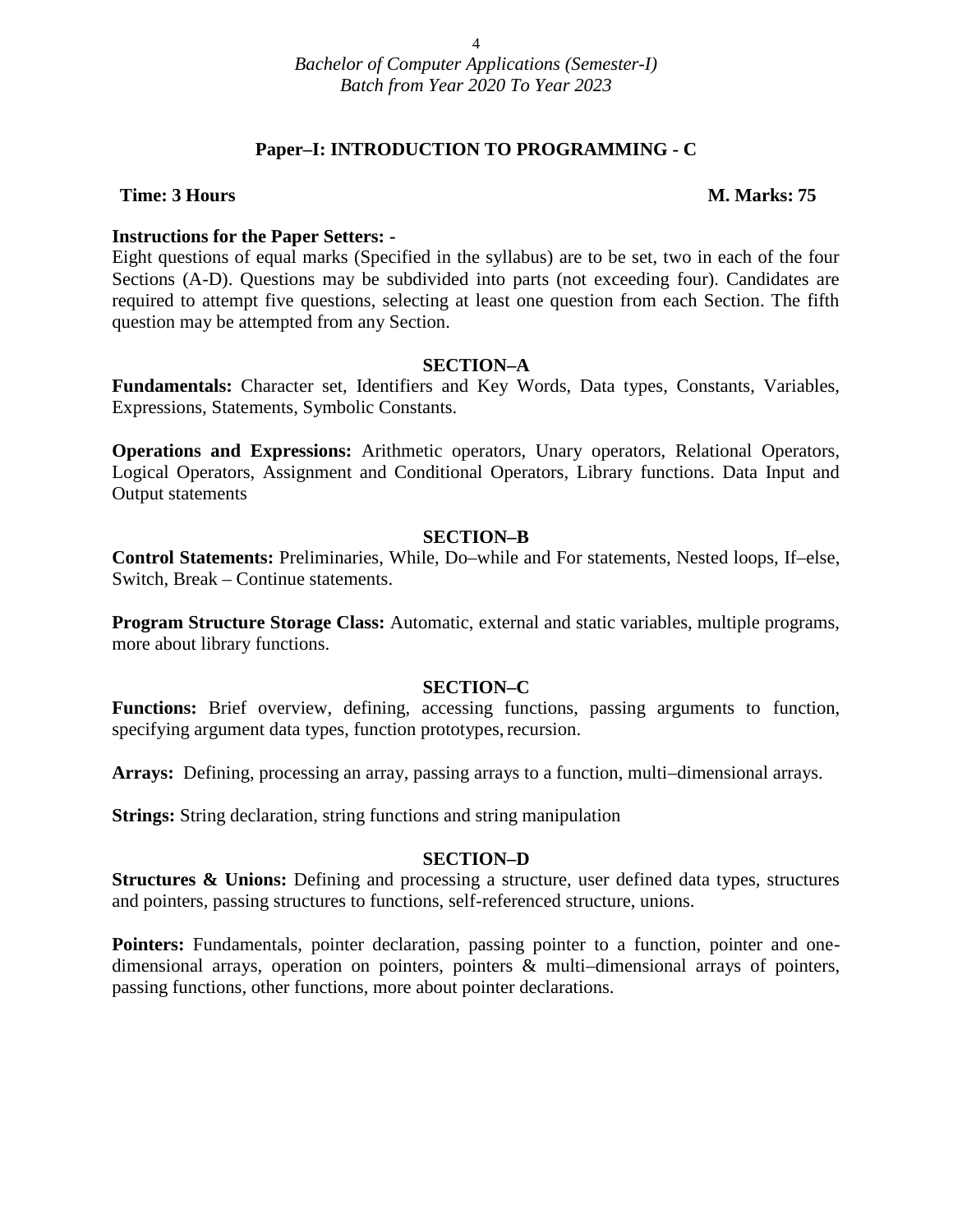#### **Paper–I: INTRODUCTION TO PROGRAMMING - C**

#### **Time: 3 Hours M. Marks: 75**

#### **Instructions for the Paper Setters: -**

Eight questions of equal marks (Specified in the syllabus) are to be set, two in each of the four Sections (A-D). Questions may be subdivided into parts (not exceeding four). Candidates are required to attempt five questions, selecting at least one question from each Section. The fifth question may be attempted from any Section.

#### **SECTION–A**

**Fundamentals:** Character set, Identifiers and Key Words, Data types, Constants, Variables, Expressions, Statements, Symbolic Constants.

**Operations and Expressions:** Arithmetic operators, Unary operators, Relational Operators, Logical Operators, Assignment and Conditional Operators, Library functions. Data Input and Output statements

#### **SECTION–B**

**Control Statements:** Preliminaries, While, Do–while and For statements, Nested loops, If–else, Switch, Break – Continue statements.

**Program Structure Storage Class:** Automatic, external and static variables, multiple programs, more about library functions.

#### **SECTION–C**

**Functions:** Brief overview, defining, accessing functions, passing arguments to function, specifying argument data types, function prototypes, recursion.

**Arrays:** Defining, processing an array, passing arrays to a function, multi–dimensional arrays.

**Strings:** String declaration, string functions and string manipulation

#### **SECTION–D**

**Structures & Unions:** Defining and processing a structure, user defined data types, structures and pointers, passing structures to functions, self-referenced structure, unions.

Pointers: Fundamentals, pointer declaration, passing pointer to a function, pointer and onedimensional arrays, operation on pointers, pointers & multi–dimensional arrays of pointers, passing functions, other functions, more about pointer declarations.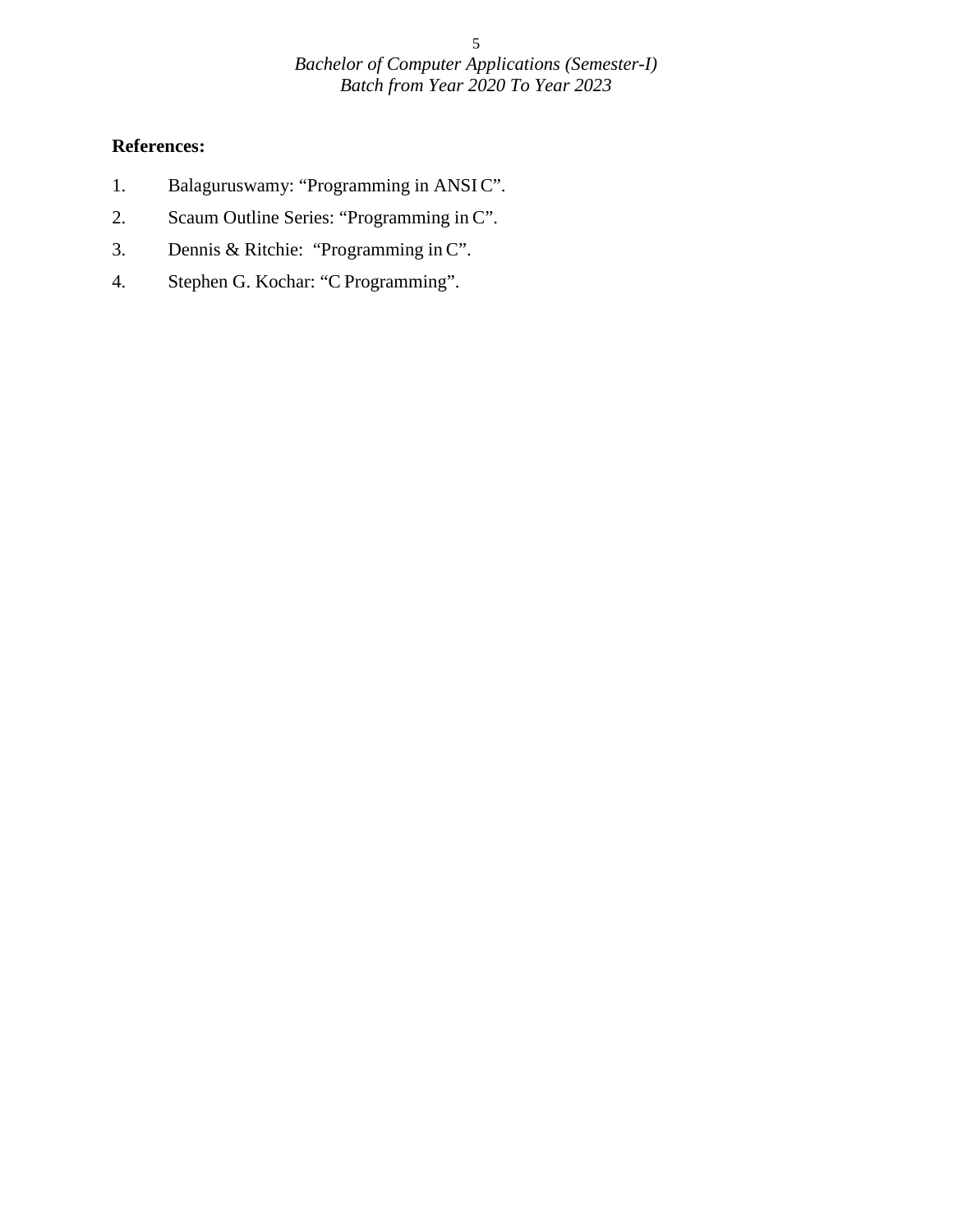- 1. Balaguruswamy: "Programming in ANSIC".
- 2. Scaum Outline Series: "Programming in C".
- 3. Dennis & Ritchie: "Programming in C".
- 4. Stephen G. Kochar: "C Programming".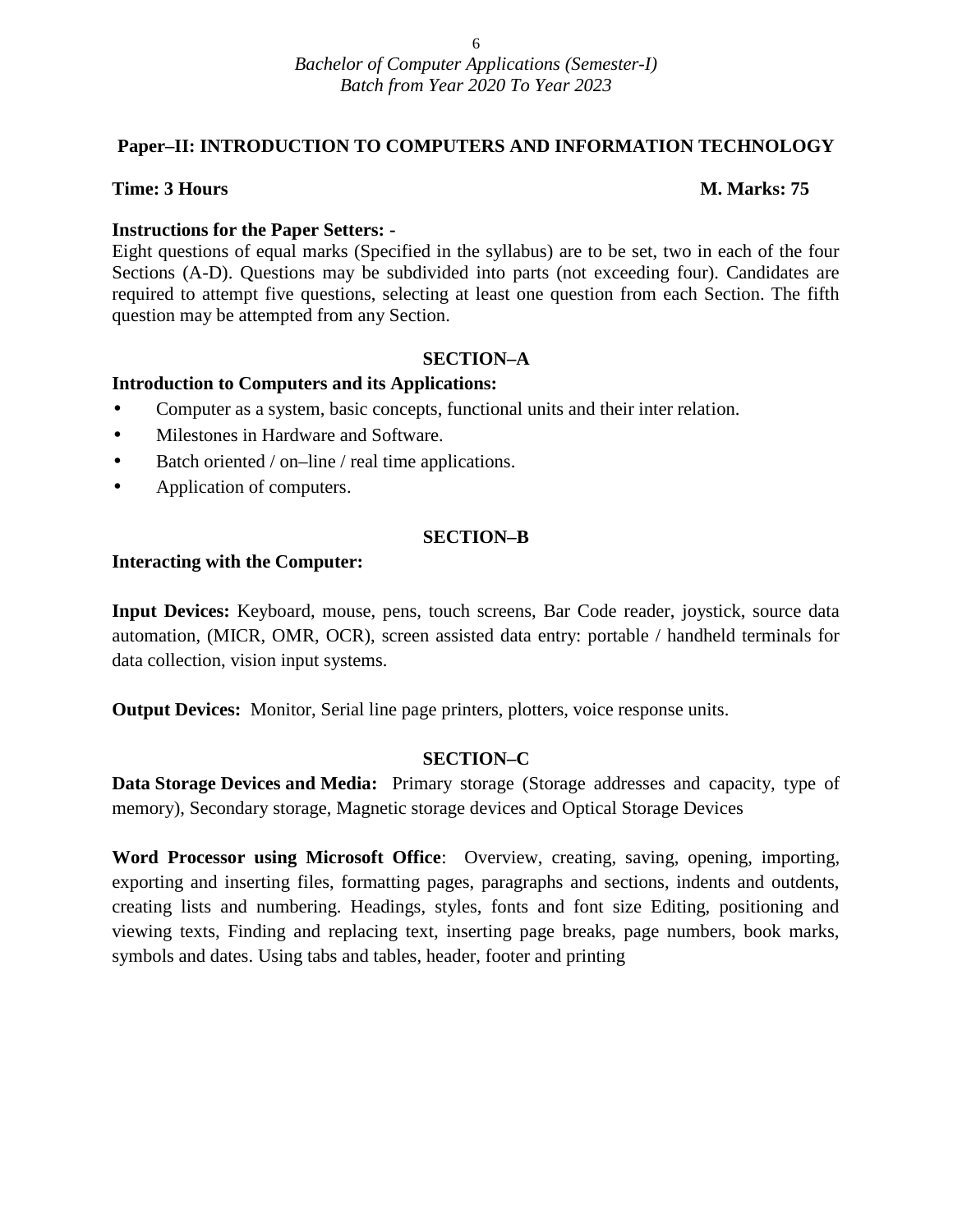### **Paper–II: INTRODUCTION TO COMPUTERS AND INFORMATION TECHNOLOGY**

#### **Time: 3 Hours M. Marks: 75**

#### **Instructions for the Paper Setters: -**

Eight questions of equal marks (Specified in the syllabus) are to be set, two in each of the four Sections (A-D). Questions may be subdivided into parts (not exceeding four). Candidates are required to attempt five questions, selecting at least one question from each Section. The fifth question may be attempted from any Section.

#### **SECTION–A**

#### **Introduction to Computers and its Applications:**

- Computer as a system, basic concepts, functional units and their inter relation.
- Milestones in Hardware and Software.
- Batch oriented / on–line / real time applications.
- Application of computers.

#### **SECTION–B**

#### **Interacting with the Computer:**

**Input Devices:** Keyboard, mouse, pens, touch screens, Bar Code reader, joystick, source data automation, (MICR, OMR, OCR), screen assisted data entry: portable / handheld terminals for data collection, vision input systems.

**Output Devices:** Monitor, Serial line page printers, plotters, voice response units.

#### **SECTION–C**

**Data Storage Devices and Media:** Primary storage (Storage addresses and capacity, type of memory), Secondary storage, Magnetic storage devices and Optical Storage Devices

**Word Processor using Microsoft Office**: Overview, creating, saving, opening, importing, exporting and inserting files, formatting pages, paragraphs and sections, indents and outdents, creating lists and numbering. Headings, styles, fonts and font size Editing, positioning and viewing texts, Finding and replacing text, inserting page breaks, page numbers, book marks, symbols and dates. Using tabs and tables, header, footer and printing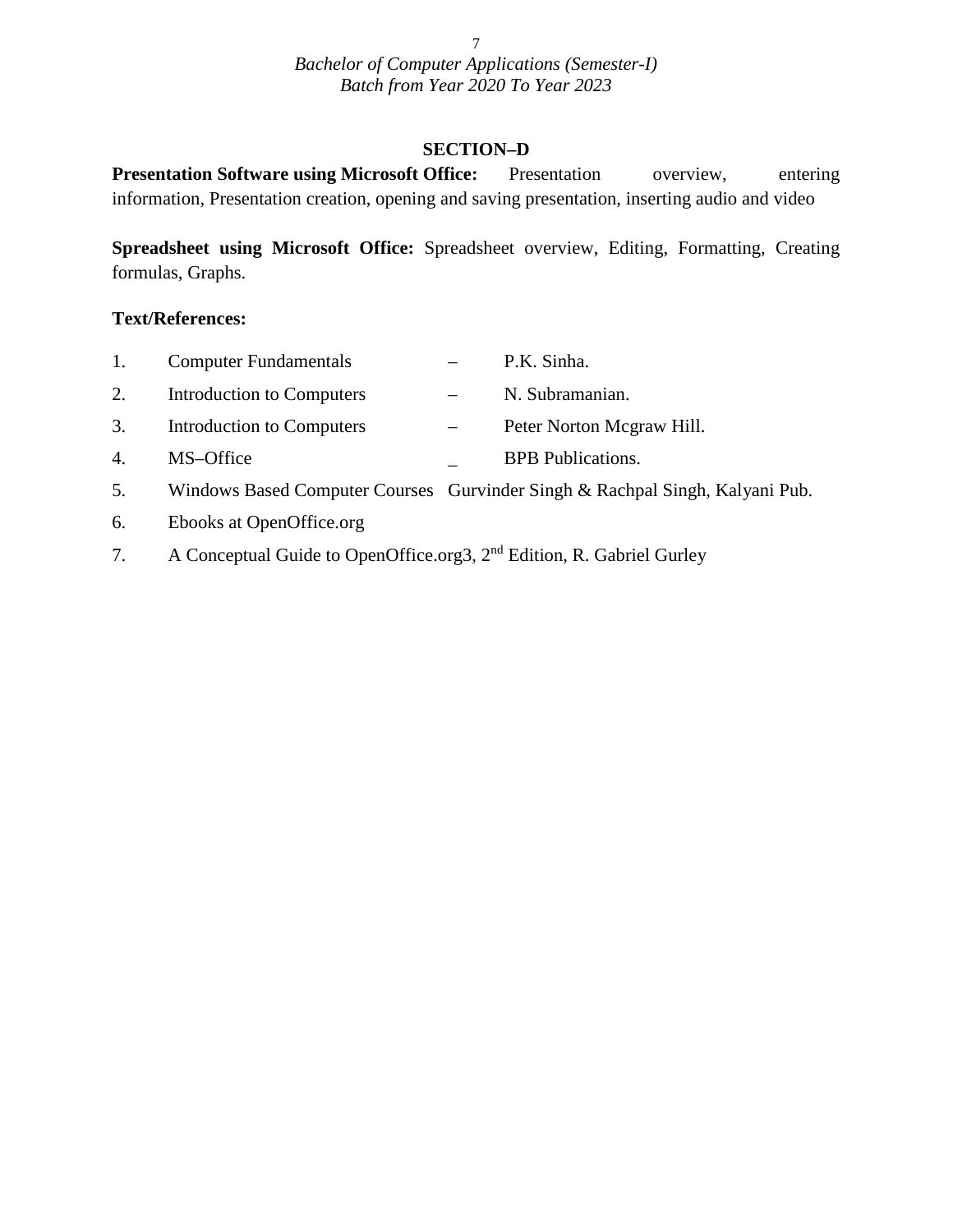#### **SECTION–D**

**Presentation Software using Microsoft Office:** Presentation overview, entering information, Presentation creation, opening and saving presentation, inserting audio and video

**Spreadsheet using Microsoft Office:** Spreadsheet overview, Editing, Formatting, Creating formulas, Graphs.

#### **Text/References:**

| 1. | <b>Computer Fundamentals</b> | P.K. Sinha.                                                                  |
|----|------------------------------|------------------------------------------------------------------------------|
| 2. | Introduction to Computers    | N. Subramanian.                                                              |
| 3. | Introduction to Computers    | Peter Norton Mcgraw Hill.                                                    |
| 4. | MS-Office                    | <b>BPB</b> Publications.                                                     |
| 5. |                              | Windows Based Computer Courses Gurvinder Singh & Rachpal Singh, Kalyani Pub. |

- 6. Ebooks at OpenOffice.org
- 7. A Conceptual Guide to OpenOffice.org3, 2nd Edition, R. Gabriel Gurley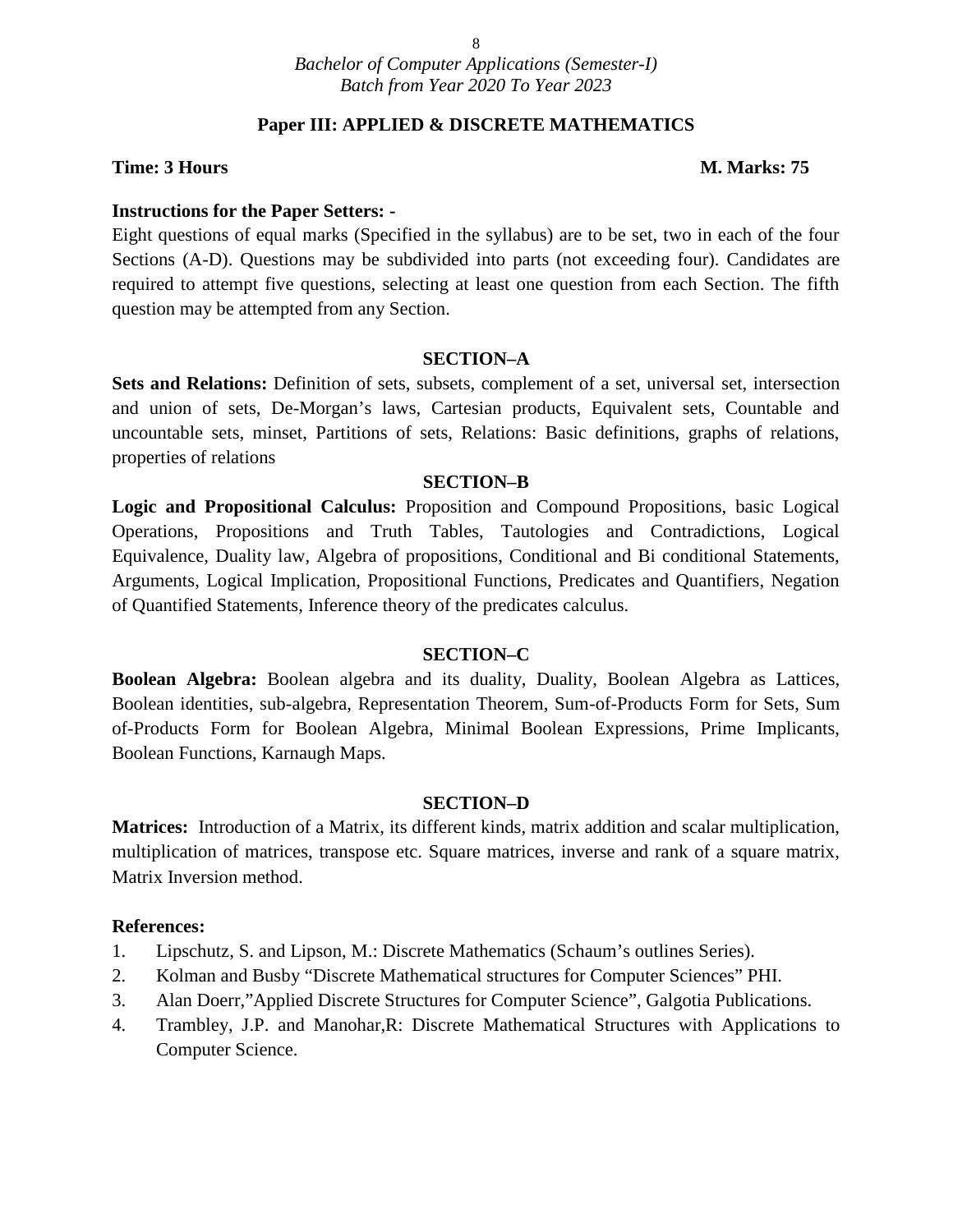#### **Paper III: APPLIED & DISCRETE MATHEMATICS**

#### **Time: 3 Hours M. Marks: 75**

#### **Instructions for the Paper Setters: -**

Eight questions of equal marks (Specified in the syllabus) are to be set, two in each of the four Sections (A-D). Questions may be subdivided into parts (not exceeding four). Candidates are required to attempt five questions, selecting at least one question from each Section. The fifth question may be attempted from any Section.

#### **SECTION–A**

**Sets and Relations:** Definition of sets, subsets, complement of a set, universal set, intersection and union of sets, De-Morgan's laws, Cartesian products, Equivalent sets, Countable and uncountable sets, minset, Partitions of sets, Relations: Basic definitions, graphs of relations, properties of relations

#### **SECTION–B**

**Logic and Propositional Calculus:** Proposition and Compound Propositions, basic Logical Operations, Propositions and Truth Tables, Tautologies and Contradictions, Logical Equivalence, Duality law, Algebra of propositions, Conditional and Bi conditional Statements, Arguments, Logical Implication, Propositional Functions, Predicates and Quantifiers, Negation of Quantified Statements, Inference theory of the predicates calculus.

#### **SECTION–C**

**Boolean Algebra:** Boolean algebra and its duality, Duality, Boolean Algebra as Lattices, Boolean identities, sub-algebra, Representation Theorem, Sum-of-Products Form for Sets, Sum of-Products Form for Boolean Algebra, Minimal Boolean Expressions, Prime Implicants, Boolean Functions, Karnaugh Maps.

#### **SECTION–D**

**Matrices:** Introduction of a Matrix, its different kinds, matrix addition and scalar multiplication, multiplication of matrices, transpose etc. Square matrices, inverse and rank of a square matrix, Matrix Inversion method.

- 1. Lipschutz, S. and Lipson, M.: Discrete Mathematics (Schaum's outlines Series).
- 2. Kolman and Busby "Discrete Mathematical structures for Computer Sciences" PHI.
- 3. Alan Doerr,"Applied Discrete Structures for Computer Science", Galgotia Publications.
- 4. Trambley, J.P. and Manohar,R: Discrete Mathematical Structures with Applications to Computer Science.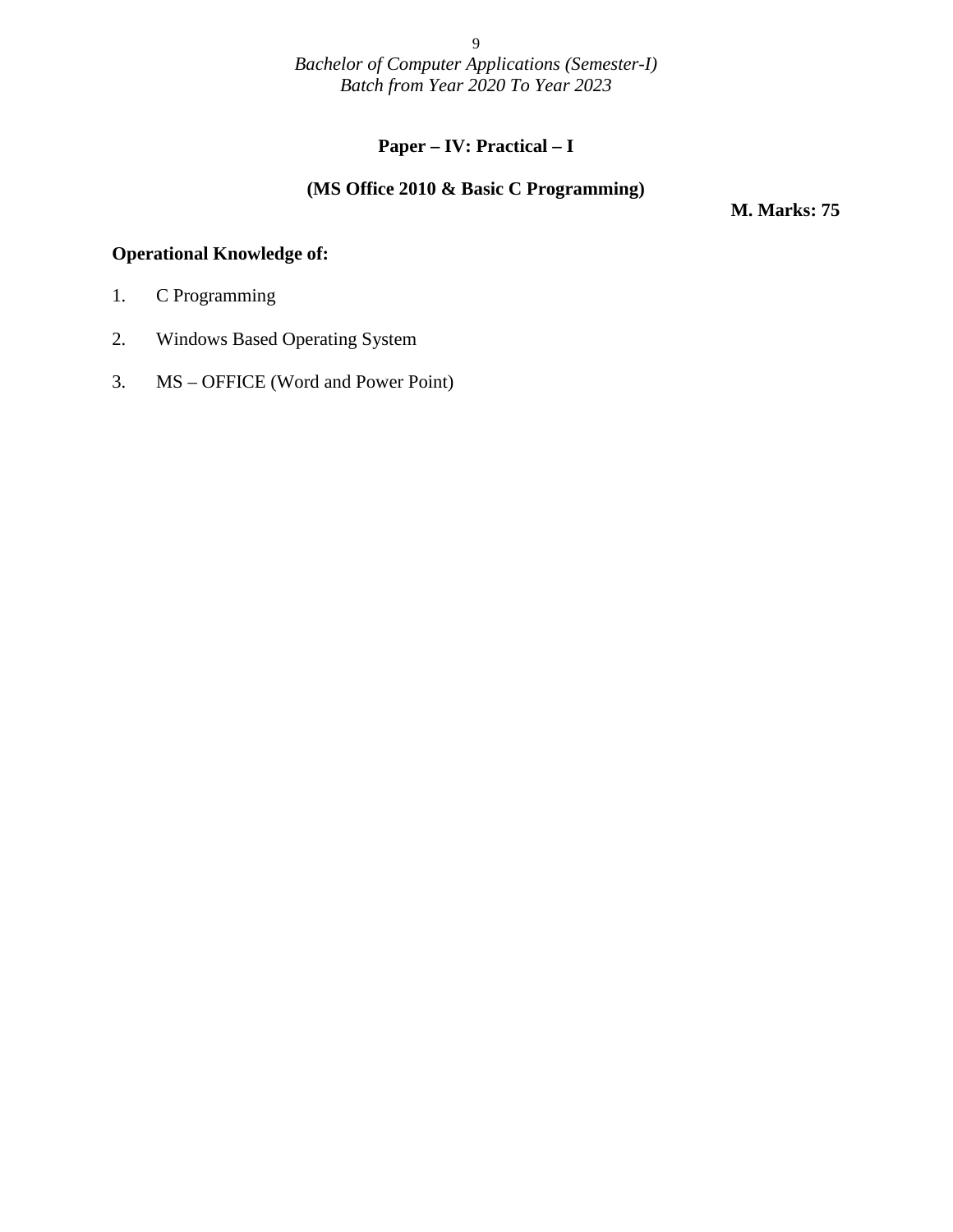### **Paper – IV: Practical – I**

#### **(MS Office 2010 & Basic C Programming)**

**M. Marks: 75**

#### **Operational Knowledge of:**

- 1. C Programming
- 2. Windows Based Operating System
- 3. MS OFFICE (Word and Power Point)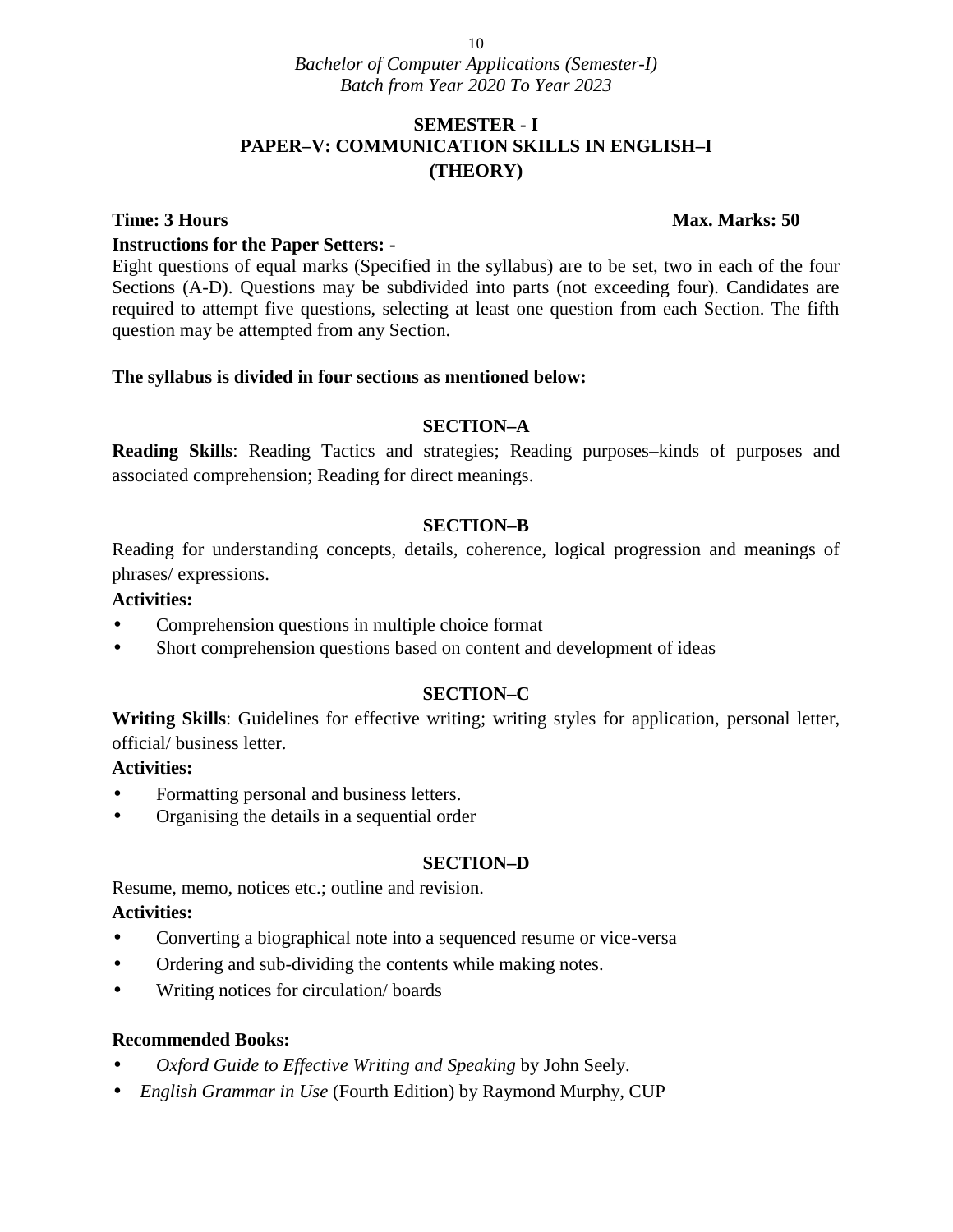### **SEMESTER - I PAPER–V: COMMUNICATION SKILLS IN ENGLISH–I (THEORY)**

#### **Instructions for the Paper Setters: -**

Eight questions of equal marks (Specified in the syllabus) are to be set, two in each of the four Sections (A-D). Questions may be subdivided into parts (not exceeding four). Candidates are required to attempt five questions, selecting at least one question from each Section. The fifth question may be attempted from any Section.

#### **The syllabus is divided in four sections as mentioned below:**

#### **SECTION–A**

**Reading Skills**: Reading Tactics and strategies; Reading purposes–kinds of purposes and associated comprehension; Reading for direct meanings.

#### **SECTION–B**

Reading for understanding concepts, details, coherence, logical progression and meanings of phrases/ expressions.

#### **Activities:**

- Comprehension questions in multiple choice format
- Short comprehension questions based on content and development of ideas

#### **SECTION–C**

**Writing Skills**: Guidelines for effective writing; writing styles for application, personal letter, official/ business letter.

#### **Activities:**

- Formatting personal and business letters.
- Organising the details in a sequential order

#### **SECTION–D**

Resume, memo, notices etc.; outline and revision.

#### **Activities:**

- Converting a biographical note into a sequenced resume or vice-versa
- Ordering and sub-dividing the contents while making notes.
- Writing notices for circulation/ boards

#### **Recommended Books:**

- *Oxford Guide to Effective Writing and Speaking* by John Seely.
- *English Grammar in Use* (Fourth Edition) by Raymond Murphy, CUP

#### **Time: 3 Hours Max. Marks: 50**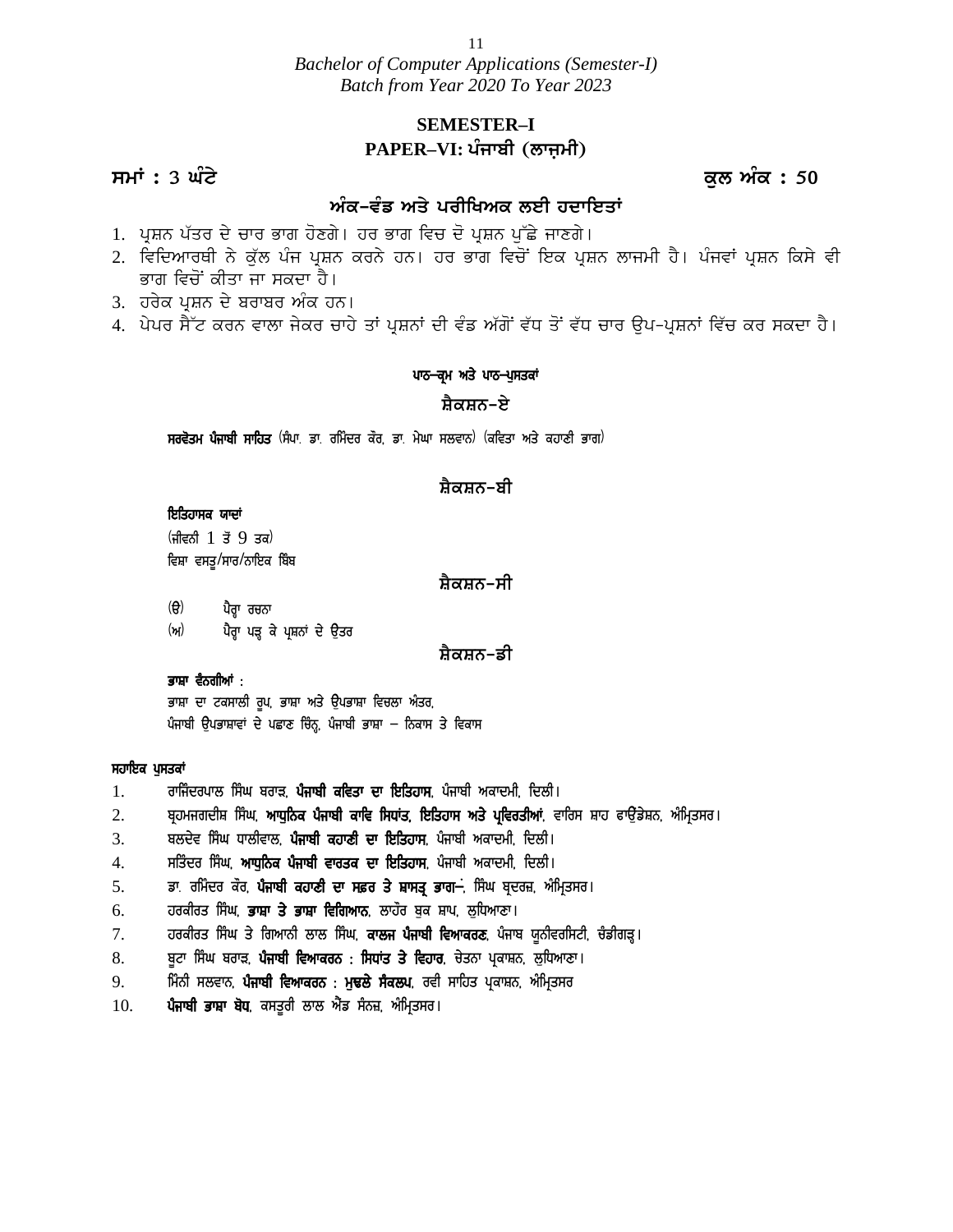*Bachelor of Computer Applications (Semester-I) Batch from Year 2020 To Year 2023 Bachetor of Computer Applications (Semester-1)*<br>*Batch from Year 2020 To Year 2023*<br>**SEMESTER-I**<br>**PAPER-VI: ਪੰਜਾਬੀ (ਲਾਜ਼ਮੀ)**<br>ਕੁਲ ਅੰਕ : 50<br>ਅੰਕ-ਵੰਡ ਅਤੇ ਪਰੀਖਿਅਕ ਲਈ ਹਦਾਇਤਾਂ<br>ਮਾਰਸ ਮੰਤ ਦੇ ਸਾਲ ਕਿ ਤਾਂ ਕਾਲ ਕਾਰੀ ਕਾਇਤਾਂ

### **SEMESTER–I PAPER**–VI: ਪੰਜਾਬੀ (ਲਾਜਮੀ)

### ਅੰਕ-ਵੰਡ ਅਤੇ ਪਰੀਖਿਅਕ ਲਈ ਹਦਾਇਤਾ<u>ਂ</u>

- 1. ਪ੍ਰਸ਼ਨ ਪੱਤਰ ਦੇ ਚਾਰ ਭਾਗ ਹੋਣਗੇ। ਹਰ ਭਾਗ ਵਿਚ ਦੋ ਪ੍ਰਸ਼ਨ ਪੁੱਛੇ ਜਾਣਗੇ।
- 2. ਵਿਦਿਆਰਥੀ ਨੇ ਕੁੱਲ ਪੰਜ ਪ੍ਰਸ਼ਨ ਕਰਨੇ ਹਨ। ਹਰ ਭਾਗ ਵਿਚੋਂ ਇਕ ਪੁਸ਼ਨ ਲਾਜਮੀ ਹੈ। ਪੰਜਵਾਂ ਪੁਸ਼ਨ ਕਿਸੇ ਵੀ ਭਾਗ ਵਿਚੋਂ ਕੀਤਾ ਜਾ ਸਕਦਾ ਹੈ।
- 3. ਹਰੇਕ ਪੁਸ਼ਨ ਦੇ ਬਰਾਬਰ ਅੰਕ ਹਨ।
- 4. ਪੇਪਰ ਸੈੱਟ ਕਰਨ ਵਾਲਾ ਜੇਕਰ ਚਾਹੇ ਤਾਂ ਪਸ਼ਨਾਂ ਦੀ ਵੰਡ ਅੱਗੋਂ ਵੱਧ ਤੋਂ ਵੱਧ ਚਾਰ ੳਪ–ਪਸ਼ਨਾਂ ਵਿੱਚ ਕਰ ਸਕਦਾ ਹੈ।

#### ਪਾਠ-ਕ੍ਰਮ ਅਤੇ ਪਾਠ-ਪੁਸਤਕਾਂ

#### <u>ਸ਼ੈਕਸ਼ਨ–ਏ</u>

**ਸਰਵੋਤਮ ਪੰਜਾਬੀ ਸਾਹਿਤ** (ਸੰਪਾ. ਡਾ. ਰਮਿੰਦਰ ਕੌਰ, ਡਾ. ਮੇਘਾ ਸਲਵਾਨ) (ਕਵਿਤਾ ਅਤੇ ਕਹਾਣੀ ਭਾਗ)

#### ਸ਼ੈਕਸ਼ਨ–ਬੀ

#### *ਇਤਿਹਾਸਕ ਯਾਦਾਂ*

 $(\hat{H}$  and  $\hat{B}$  1  $\check{B}$  9  $\check{B}$  3a) ਵਿਸ਼ਾ ਵਸਤੁ/ਸਾਰ/ਨਾਇਕ ਬਿੰਬ

<u>ਸ਼ੈਕਸ਼ਨ–ਸੀ</u>

(ੳ) ਪੈਰ੍ਹਾ ਰਚਨਾ (ਅ) ਪੈਰ੍ਹਾ ਪੜ੍ਹ ਕੇ ਪੁਸ਼ਨਾਂ ਦੇ ਉਤਰ

#### <u>ਸ਼ੈਕਸ਼ਨ–ਡੀ</u>

<sub>C:4</sub> ਟਸ਼ੂਆਤਸ਼ਰਕ ਸਕ<br>(ਉ) ਪੈਰ੍ਹਾ ਰਚਨਾ<br><sup>(</sup>ਅ) ਪੈਰ੍ਹਾ ਪੜ੍ਹ ਕੇ ਪ੍ਰਸ਼ਨਾਂ ਦੇ ਉਤਰ<br>ਭਾਸ਼ਾ ਦਾ ਟਕਸਾਲੀ ਰੂਪ, ਭਾਸ਼ਾ ਅਤੇ ਉਪਭਾਸ਼ਾ ਵਿਚਲਾ ਅੰਤਰ,<br>ਭਾਸ਼ਾ ਦਾ ਟਕਸਾਲੀ ਰੂਪ, ਭਾਸ਼ਾ ਅਤੇ ਉਪਭਾਸ਼ਾ ਵਿਚਲਾ ਅੰਤਰ, \ਚਾ ਪਰ੍ਹਾ ਰਚਨਾ<br>(ਅ) ਪੈਰ੍ਹਾ ਪੜ੍ਹ ਕੇ ਪ੍ਰਸ਼ਨਾਂ ਦੇ ਉਤਰ<br>ਭਾਸ਼ਾ ਵੈਨਗੀਆਂ :<br>ਭਾਸ਼ਾ ਦਾ ਟਕਸਾਲੀ ਰੂਪ, ਭਾਸ਼ਾ ਅਤੇ ਉਪਭਾਸ਼ਾ ਵਿਚਲਾ ਅੰਤਰ,<br>ਪੰਜਾਬੀ ਉਪਭਾਸ਼ਾਵਾਂ ਦੇ ਪਛਾਣ ਚਿੰਨ੍ਹ, ਪੰਜਾਬੀ ਭਾਸ਼ਾ – ਨਿਕਾਸ ਤੇ ਵਿਕਾਸ 1. okfizdogkb f; zx pokV, **g zikph eftsk dk fJfsjk;**, gzikph nekdwh, fdbh.

#### **ਸਹਾਇਕ ਪੁਸਤਕਾਂ**

- 
- 2. pqjwirdhF f; zx, **nkX[fBe g zikph ekft f;XKs, fJfsjk; ns/ gqftoshnK**, tkfo; Fkj ckT[\_v/FB, n zfwqs;o. 3. pbd/t f; zx Xkbhtkb, **g zikph ejkDh dk fJfsjk;**, gzikph nekdwh, fdbh. **ਸਹਾਇਕ ਪੁਸਤਕਾਂ**<br>1. ਰਾਜਿੰਦਰਪਾਲ ਸਿੰਘ ਬਰਾੜ, **ਪੰਜਾਬੀ ਕਵਿਤਾ ਦਾ ਇਤਿਹਾਸ**, ਪੰਜਾਬੀ ਅਕਾਦਮੀ, ਦਿਲੀ।<br>2. ਬਲਦੇਵ ਸਿੰਘ ਧਾਲੀਵਾਲ, **ਪੰਜਾਬੀ ਕਹਾਣੀ ਦਾ ਇਤਿਹਾਸ**, ਪੰਜਾਬੀ ਅਕਾਦਮੀ, ਦਿਲੀ।<br>4. ਸਤਿੰਦਰ ਸਿੰਘ, **ਆਧੁਨਿਕ ਪੰਜਾਬੀ ਵਾਰਤਕ ਦਾ ਇਤ** 1. ਰਾਜਿੰਦਰਪਾਲ ਸਿੰਘ ਬਰਾੜ, **ਪੰਜਾਬੀ ਕਵਿਤਾ ਦਾ ਇਤਿਹਾਸ**, ਪੰਜਾਬੀ ਅਕਾਦਮੀ, ਦਿਲੀ।<br>2. ਬ੍ਰਹਮਜਗਦੀਸ਼ ਸਿੰਘ, **ਆਧੁਨਿਕ ਪੰਜਾਬੀ ਕਾਵਿ ਸਿਧਾਂਤ, ਇਤਿਹਾਸ ਅਤੇ ਪ੍ਰਵਿਰਤੀਆਂ**, ਵਾਰਿਸ ਸ਼ਾਹ ਫਾਉਂਡੇਸ਼ਨ, ਅੰਮ੍ਰਿਤਸਰ।<br>3. ਬਲਦੇਵ ਸਿੰਘ ਧਾਲੀਵਾਲ, **ਪੰਜਾਬੀ ਕਹਾਣੀ ਦਾ ਇਤ** 6. joehos f; zx, **GkFk s/ GkFk ftfrnkB**, bkj"o p [e Fkg, b[fXnkDk.
- 
- 
- 
- 
- 2. ਬ੍ਰਹਮਜਗਦੀਸ਼ ਸਿੰਘ, **ਆਧੁਨਿਕ ਪੰਜਾਬੀ ਕਾਵਿ ਸਿਧਾਂਤ, ਇਤਿਹਾਸ ਅਤੇ ਪ੍ਰਵਿਰਤੀਆਂ**, ਵਾਰਿਸ ਸ਼ਾਹ ਫਾਉਂਡੇਸ਼ਨ, ਅੰਮ੍ਰਿਤਸਰ।<br>3. ਬਲਦੇਵ ਸਿੰਘ ਧਾਲੀਵਾਲ, **ਪੰਜਾਬੀ ਕਹਾਣੀ ਦਾ ਇਤਿਹਾਸ**, ਪੰਜਾਬੀ ਅਕਾਦਮੀ, ਦਿਲੀ।<br>5. ਪੰ**ਜ** 8. p{Nk f; zx pokV, **g zikph ftnkeoB L f;XKs s/ ftjko**, u/sBk gqekFB, b[fXnkDk. 9. fwzBh ;btkB, **g zikph ftnkeoB L w[Yb/ ; zebg**, oth ;kfjs gqekFB, n zfwqs;o
- 5. ਡਾ. ਰਮਿੰਦਰ ਕੌਰ, **ਪੰਜਾਬੀ ਕਹਾਣੀ ਦਾ ਸਫ਼ਰ ਤੇ ਸ਼ਾਸਤ੍ਰ ਭਾਗ**<del> ,</del> ਸਿੰਘ ਬ੍ਰਦਰਜ਼, ਅੱਮ੍ਰਿਤਸ<br>6. ਹਰਕੀਰਤ ਸਿੰਘ, **ਭਾਸ਼ਾ ਤੇ ਭਾਸ਼ਾ ਵਿਗਿਆਨ**, ਲਾਹੌਰ ਬੁਕ ਸ਼ਾਪ, ਲੁਧਿਆਣਾ।<br>7. ਹਰਕੀਰਤ ਸਿੰਘ ਤੇ ਗਿਆਨੀ ਲਾਲ ਸਿੰਘ, **ਕਾਲਜ ਪੰਜਾਬੀ ਵਿਆਕਰਣ**
- 
-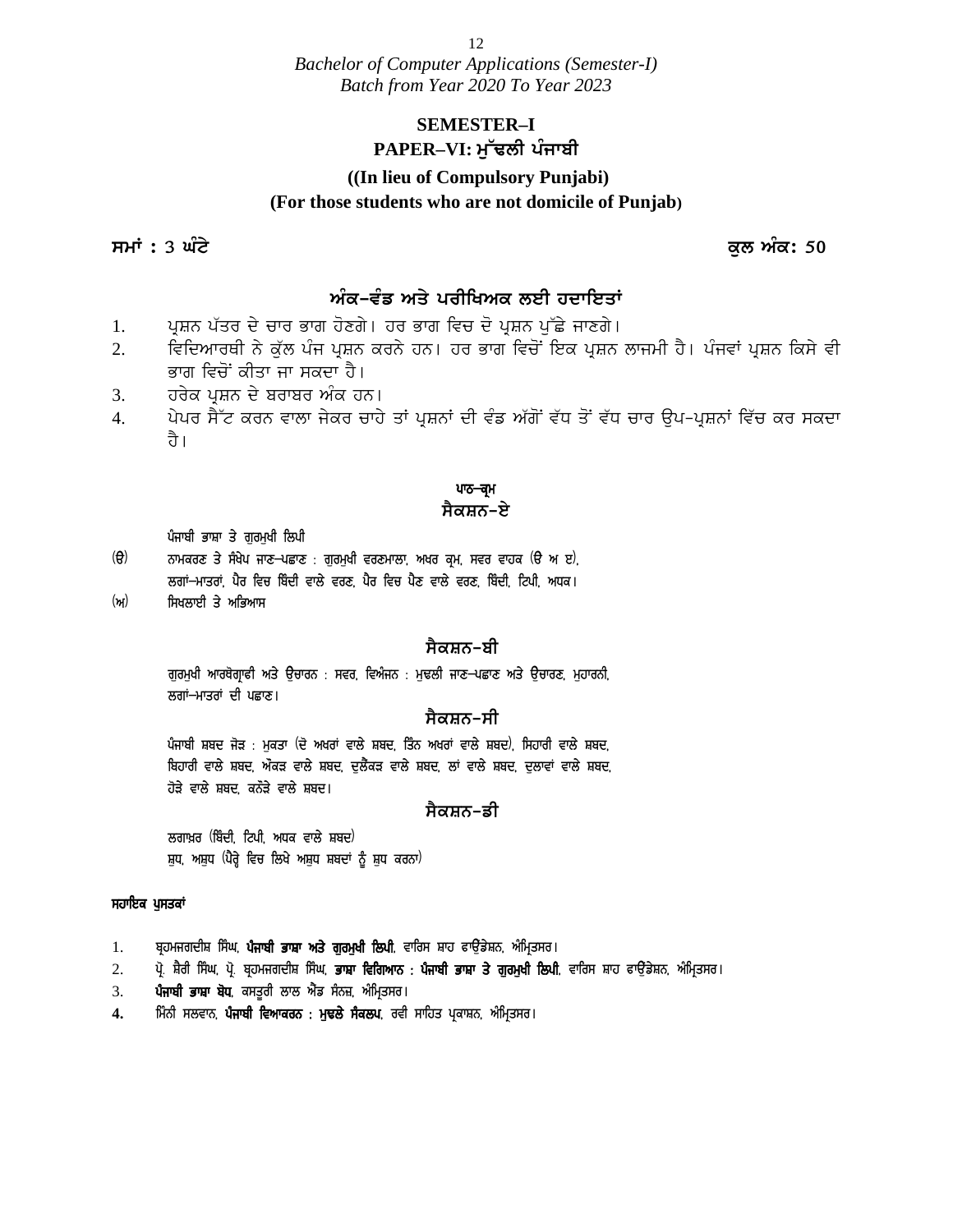12

*Bachelor of Computer Applications (Semester-I) Batch from Year 2020 To Year 2023*

### **SEMESTER–I** PAPER<sup></sup>–VI: ਮੱਢਲੀ ਪੰਜਾਬੀ

# **((In lieu of Compulsory Punjabi) (For those students who are not domicile of Punjab)** PAPER–VI: ਮੁੱਢਲੀ ਪੰਜਾਬੀ<br>((In lieu of Compulsory Punjabi)<br>(For those students who are not domicile of Punjab)<br>ਸਮਾਂ : 3 ਘੰਟੇ<br>ਕੁਲ ਅੰਕ: 50

### ਅੰਕ-ਵੰਡ ਅਤੇ ਪਰੀਖਿਅਕ ਲਈ ਹਦਾਇਤਾ<u>ਂ</u>

- 1. ਪੁਸ਼ਨ ਪੱਤਰ ਦੇ ਚਾਰ ਭਾਗ ਹੋਣਗੇ। ਹਰ ਭਾਗ ਵਿਚ ਦੋ ਪੁਸ਼ਨ ਪੱਛੇ ਜਾਣਗੇ।
- 2. ਵਿਦਿਆਰਥੀ ਨੇ ਕੱਲ ਪੰਜ ਪ੍ਰਸ਼ਨ ਕਰਨੇ ਹਨ। ਹਰ ਭਾਗ ਵਿਚੋਂ ਇਕ ਪ੍ਰਸ਼ਨ ਲਾਜਮੀ ਹੈ। ਪੰਜਵਾਂ ਪ੍ਰਸ਼ਨ ਕਿਸੇ ਵੀ ਭਾਗ ਵਿਚੋਂ ਕੀਤਾ ਜਾ ਸਕਦਾ ਹੈ।
- 3. ਮਹੋਰਕ ਪ੍ਰਸ਼ਨ ਦੇ ਬਰਾਬਰ ਅੰਕ ਹਨ।
- 4. ਪੇਪਰ ਸੈੱਟ ਕਰਨ ਵਾਲਾ ਜੇਕਰ ਚਾਹੇ ਤਾਂ ਪ੍ਰਸ਼ਨਾਂ ਦੀ ਵੰਡ ਅੱਗੋਂ ਵੱਧ ਤੋਂ ਵੱਧ ਚਾਰ ਉਪ-ਪ੍ਰਸ਼ਨਾਂ ਵਿੱਚ ਕਰ ਸਕਦਾ ते ।

### ਪਾਠ<del>–ਕ੍ਰ</del>ਮ

#### <u>ਸੈਕਸ਼ਨ–ਏ</u>

- ਪੰਜਾਬੀ ਭਾਸ਼ਾ ਤੇ ਗੁਰਮੁਖੀ ਲਿਪੀ<br>ਨਾਮਕਰਣ ਤੇ ਸੰਖੇਪ ਜਾਣ–ਪਛਾਣ : ਗਰਮਖੀ ਵਰਣਮਾਲਾ, ਅਖਰ ਕਮ, ਸਵਰ ਵਾਹਕ (ੳ ਅ ੲ), ੱ ।<br>ਪਾਠ<del>-ਕ੍ਰ</del>ਮ<br>ਪੰਜਾਬੀ ਭਾਸ਼ਾ ਤੇ ਗੁਰਮੁਖੀ ਲਿਪੀ<br>(ੳ) ਨਾਮਕਰਣ ਤੇ ਸੰਖੇਪ ਜਾਣ–ਪਛਾਣ : ਗੁਰਮੁਖੀ ਵਰਣਮਾਲਾ, ਅਖਰ ਕ੍ਰਮ, ਸਵਰ ਵਾਹਕ (ੳ ਅ ੲ)<sub>,</sub><br>ਲਗਾਂ–ਮਾਤਰਾਂ, ਪੈਰ ਵਿਚ ਬਿੰਦੀ ਵਾਲੇ ਵਰਣ, ਪੈਰ ਵਿਚ ਪੈਣ ਵਾਲੇ ਵਰਣ, ਬਿੰਦੀ, ਟਿਪੀ, ਅਧਕ। ਲਗਾਂ–ਮਾਤਰਾਂ, ਪੈਰ ਵਿਚ ਬਿੰਦੀ ਵਾਲੇ ਵਰਣ, ਪੈਰ ਵਿਚ ਪੈਣ ਵਾਲੇ ਵਰਣ, ਬਿੰਦੀ, ਟਿਪੀ, ਅਧਕ।
- (ਅ) ਸਿਖਲਾਈ ਤੇ ਅਭਿਆਸ

#### <u>ਸੈਕਸ਼ਨ–ਬੀ</u>

ਗੁਰਮੁਖੀ ਆਰਥੋਗ੍ਰਾਫੀ ਅਤੇ ਉਚਾਰਨ : ਸਵਰ, ਵਿਅੰਜਨ : ਮੁਢਲੀ ਜਾਣ–ਪਛਾਣ ਅਤੇ ਉਚਾਰਣ, ਮੁਹਾਰਨੀ, ਲਗਾਂ–ਮਾਤਰਾਂ ਦੀ ਪਛਾਣ।

#### <u>ਸੈਕਸ਼ਨ–ਸੀ</u>

ਪੰਜਾਬੀ ਸ਼ਬਦ ਜੋੜ : ਮੁਕਤਾ (ਦੋ ਅਖਰਾਂ ਵਾਲੇ ਸ਼ਬਦ, ਤਿੰਨ ਅਖਰਾਂ ਵਾਲੇ ਸ਼ਬਦ), ਸਿਹਾਰੀ ਵਾਲੇ ਸ਼ਬਦ, ਬਿਹਾਰੀ ਵਾਲੇ ਸ਼ਬਦ, ਔਕੜ ਵਾਲੇ ਸ਼ਬਦ, ਦੁਲੈਂਕੜ ਵਾਲੇ ਸ਼ਬਦ, ਲਾਂ ਵਾਲੇ ਸ਼ਬਦ, ਦੁਲਾਵਾਂ ਵਾਲੇ ਸ਼ਬਦ, ਹੋੜੇ ਵਾਲੇ ਸ਼ਬਦ, ਕਨੌੜੇ ਵਾਲੇ ਸ਼ਬਦ। ਪਜਾਬਾ ਸ਼ਬਦ ਜੜ : ਸੁਕਤਾ \ਦ ਅਖਰਾ ਵਾਲ ਸ਼ਬਦ, ਤਿਨ ਅਖਰਾ ਵਾਲ ਸ਼ਬਦ, ਸਿਰ<br>ਬਿਹਾਰੀ ਵਾਲੇ ਸ਼ਬਦ, ਔਕੜ ਵਾਲੇ ਸ਼ਬਦ, ਦੁਲੈਂਕੜ ਵਾਲੇ ਸ਼ਬਦ, ਲਾਂ ਵਾਲੇ ਸ਼ਬਦ, ਦੁਰ<br>ਹੋੜੇ ਵਾਲੇ ਸ਼ਬਦ, ਕਨੌੜੇ ਵਾਲੇ ਸ਼ਬਦ।<br>ਲਗਾਖ਼ਰ (ਬਿੰਦੀ, ਟਿਪੀ, ਅਧਕ ਵਾਲੇ ਸ਼ਬਦ<sup>)</sup><br>ਸ਼ੁਧ, ਅਸ਼ੁਧ (ਪੈ

#### <u>ਸੈਕਸ਼ਨ-ਡੀ</u>

ਲਗਾਖ਼ਰ (ਬਿੰਦੀ, ਟਿਪੀ, ਅਧਕ ਵਾਲੇ ਸ਼ਬਦ)

#### ਸਹਾਇਕ ਪਸਤਕਾਂ

- 
- ਲਗਾਖ਼ਰ (ਬਿੰਦੀ ਟਿਪੀ ਅਧਕ ਵਾਲੇ ਸ਼ਬਦ<sup>)</sup><br>ਸੁਹਾਇਕ ਪੁਸਤਕਾਂ<br>ਸਹਾਇਕ ਪੁਸਤਕਾਂ<br>1. ਬ੍ਰਹਮਜਗਦੀਸ਼ ਸਿੰਘ, ਪੰਜਾਬੀ ਭਾਸ਼ਾ ਅਤੇ ਗੁਰਮੁਖੀ ਲਿਪੀ, ਵਾਰਿਸ ਸ਼ਾਹ ਫਾਉਂਡੇਸ਼ਨ, ਅੰਮ੍ਰਿਤਸਰ।<br>2. ਪ੍ਰੋ. ਸ਼ੈਰੀ ਸਿੰਘ, ਪ੍ਰੋ. ਬ੍ਰਹਮਜਗਦੀਸ਼ ਸਿੰਘ, ਭਾਸ਼ਾ ਵਿਗਿਆਨ : ਪੰਜਾਬੀ ਭਾਸ ਸੁਧ, ਅਸ਼ੁਧ (ਪੈਰ੍ਹੇ ਵਿਚ ਲਿਖੇ ਅਸ਼ੁਧ ਸ਼ਬਦਾਂ ਨੂੰ ਸ਼ੁਧ ਕਰਨਾ)<br>ਸਹਾਇਕ ਪੁਸਤਕਾਂ<br>1. ਬ੍ਰਹਮਜਗਦੀਸ਼ ਸਿੰਘ, ਪ<mark>ੈਜਾਬੀ ਭਾਸ਼ਾ ਅਤੇ ਗੁਰਮੁਖੀ ਲਿਪੀ</mark>, ਵਾਰਿਸ ਸ਼ਾਹ ਫਾਉਂਡੇਸ਼ਨ, ਅੰਮ੍ਰਿਤਸਰ।<br>2. ਪ੍ਰੋ. ਸ਼ੈਰੀ ਸਿੰਘ, ਪ੍ਰੋ. ਬ੍ਰਹਮਜਗਦੀਸ਼ ਸਿੰਘ, **ਭਾਸ਼ਾ ਵਿਗਿਆਨ : ਪੰ ਸਹਾਇਕ ਪੁਸਤਕਾਂ**<br>1. ਬ੍ਰਹਮਜਗਦੀਸ਼ ਸਿੰਘ, **ਪੰਜਾਬੀ ਭਾਸ਼ਾ ਅਤੇ ਗੁਰਮੁਖੀ ਲਿਪੀ**, ਵਾਰਿਸ ਸ਼ਾਹ ਫ<br>2. ਪ੍ਰੋ. ਸ਼ੈਰੀ ਸਿੰਘ, ਪ੍ਰੋ. ਬ੍ਰਹਮਜਗਦੀਸ਼ ਸਿੰਘ, **ਭਾਸ਼ਾ ਵਿਗਿਆਨ : ਪੰਜਾਬੀ ਭਾ**<br>3. **ਪੰਜਾਬੀ ਭਾਸ਼ਾ ਬੋਧ**, ਕਸਤੂਰੀ ਲਾਲ ਐਂਡ ਸੈਨਜ਼, ਅੰਮ੍ਰਿਤਸ ਸਹਾਇਕ ਪੁਸਤਕਾਂ<br>1. ਬ੍ਰਹਮਜਗਦੀਸ਼ ਸਿੰਘ, ਪ<mark>ੈਜਾਬੀ ਭਾਸ਼ਾ ਅਤੇ ਗੁਰਮੁਖੀ ਲਿਪੀ</mark>, ਵਾਰਿਸ ਸ਼ਾਹ ਫਾਉਂਡੇਸ਼ਨ, ਅੰਮ੍ਰਿਤ<br>2. ਪ੍ਰੋਜਾ<mark>ਬੀ ਭਾਸ਼ਾ ਬੋਧ</mark>, ਕਸਤੂਰੀ ਲਾਲ ਐਂਡ ਸੰਨਜ਼, ਅੰਮ੍ਰਿਤਸਰ।<br>4. ਮਿੰਨੀ ਸਲਵਾਨ, ਪੈਜਾਬੀ ਵਿਆਕਰਨ : ਮੁਢਲੇ ਸੈਕਲਪ, ਰਵੀ ਸਾਹਿ
- 
-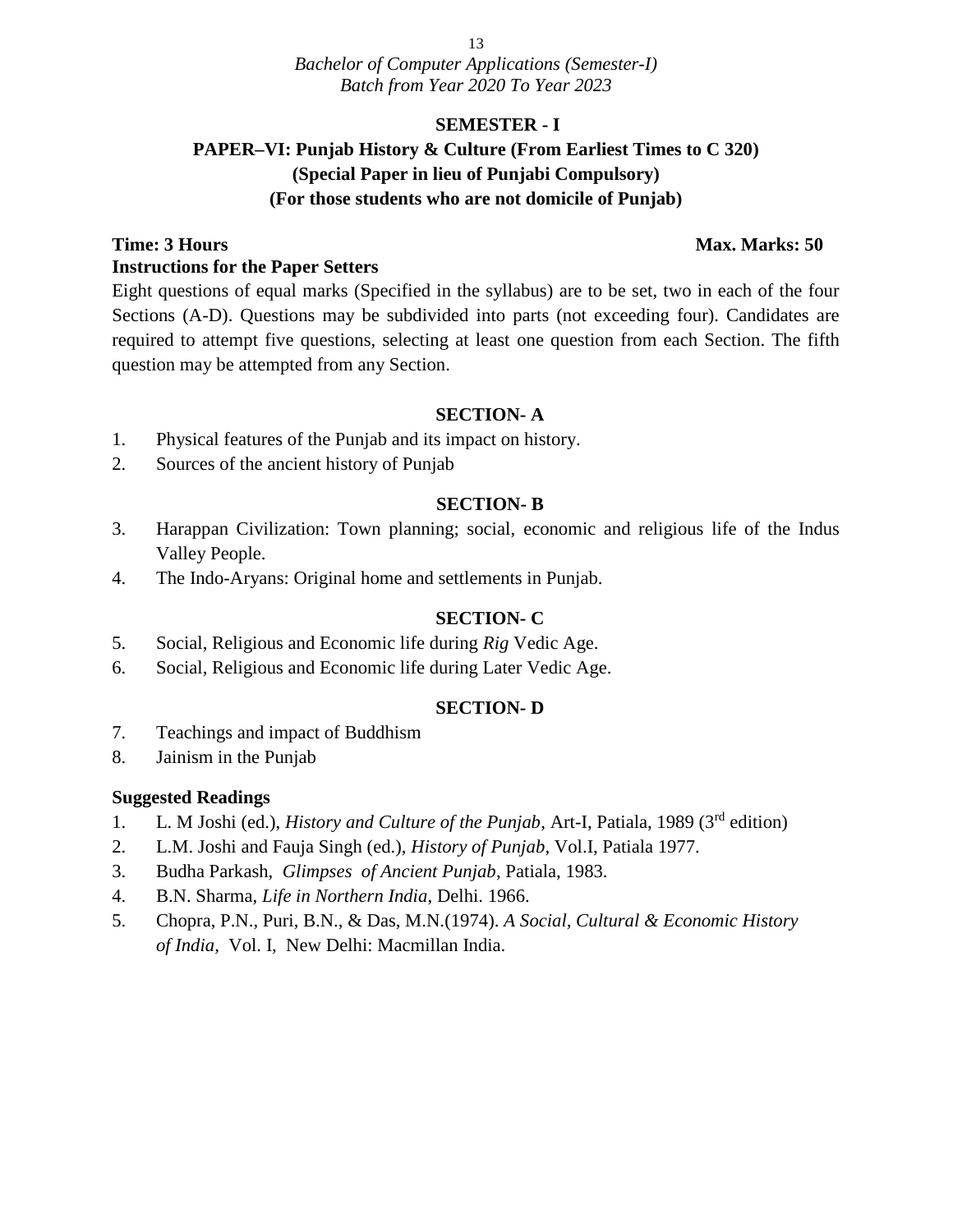#### **SEMESTER - I**

### **PAPER–VI: Punjab History & Culture (From Earliest Times to C 320) (Special Paper in lieu of Punjabi Compulsory) (For those students who are not domicile of Punjab)**

#### **Time: 3 Hours Max. Marks: 50 Instructions for the Paper Setters**

Eight questions of equal marks (Specified in the syllabus) are to be set, two in each of the four Sections (A-D). Questions may be subdivided into parts (not exceeding four). Candidates are required to attempt five questions, selecting at least one question from each Section. The fifth question may be attempted from any Section.

#### **SECTION- A**

- 1. Physical features of the Punjab and its impact on history.
- 2. Sources of the ancient history of Punjab

#### **SECTION- B**

- 3. Harappan Civilization: Town planning; social, economic and religious life of the Indus Valley People.
- 4. The Indo-Aryans: Original home and settlements in Punjab.

#### **SECTION- C**

- 5. Social, Religious and Economic life during *Rig* Vedic Age.
- 6. Social, Religious and Economic life during Later Vedic Age.

#### **SECTION- D**

- 7. Teachings and impact of Buddhism
- 8. Jainism in the Punjab

#### **Suggested Readings**

- 1. L. M Joshi (ed.), *History and Culture of the Punjab*, Art-I, Patiala, 1989 (3rd edition)
- 2. L.M. Joshi and Fauja Singh (ed.), *History of Punjab*, Vol.I, Patiala 1977.
- 3. Budha Parkash, *Glimpses of Ancient Punjab*, Patiala, 1983.
- 4. B.N. Sharma, *Life in Northern India*, Delhi. 1966.
- 5. Chopra, P.N., Puri, B.N., & Das, M.N.(1974). *A Social, Cultural & Economic History of India,* Vol. I, New Delhi: Macmillan India.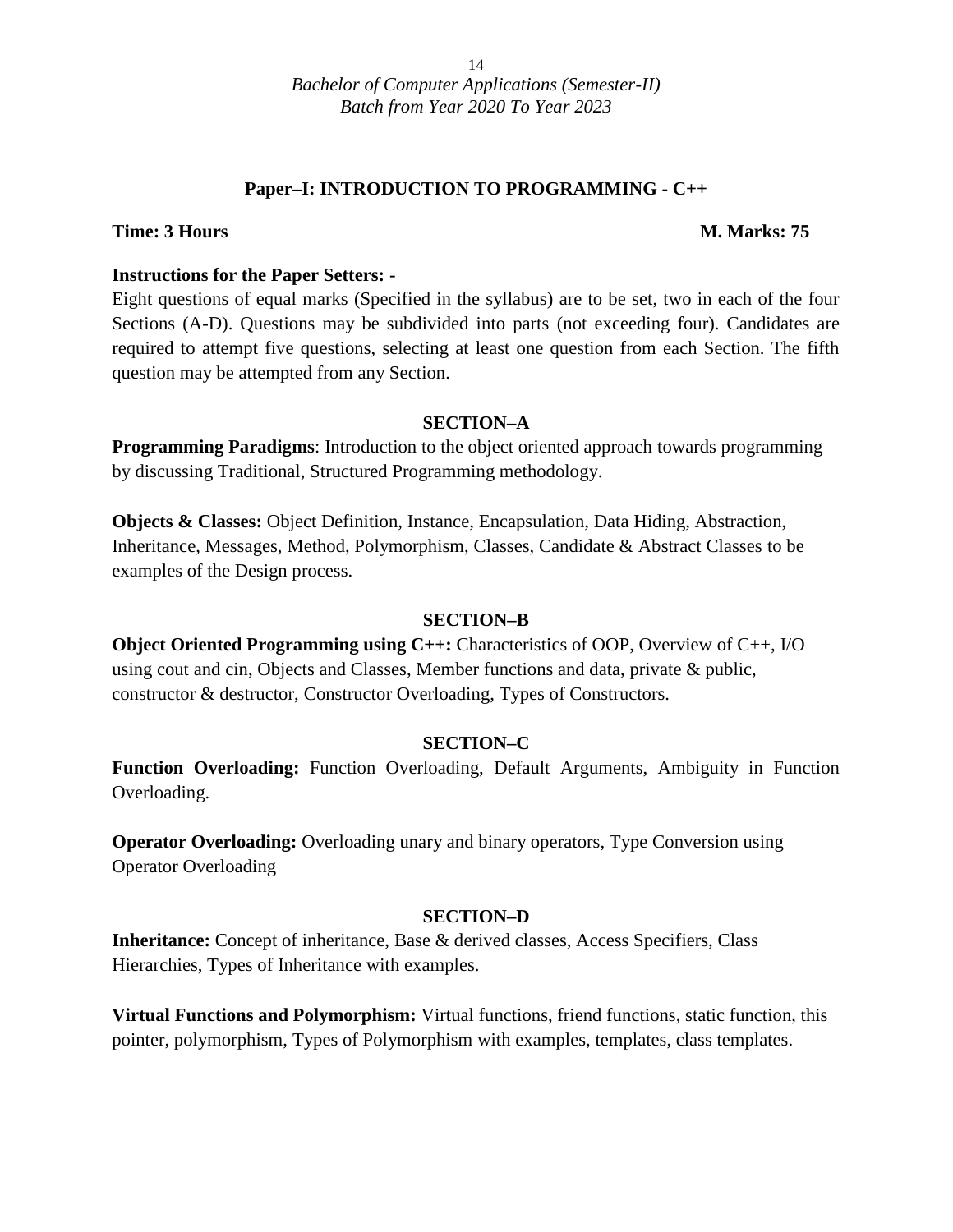#### **Paper–I: INTRODUCTION TO PROGRAMMING - C++**

#### **Time: 3 Hours M. Marks: 75**

#### **Instructions for the Paper Setters: -**

Eight questions of equal marks (Specified in the syllabus) are to be set, two in each of the four Sections (A-D). Questions may be subdivided into parts (not exceeding four). Candidates are required to attempt five questions, selecting at least one question from each Section. The fifth question may be attempted from any Section.

#### **SECTION–A**

**Programming Paradigms:** Introduction to the object oriented approach towards programming by discussing Traditional, Structured Programming methodology.

**Objects & Classes:** Object Definition, Instance, Encapsulation, Data Hiding, Abstraction, Inheritance, Messages, Method, Polymorphism, Classes, Candidate & Abstract Classes to be examples of the Design process.

#### **SECTION–B**

**Object Oriented Programming using C++:** Characteristics of OOP, Overview of C++, I/O using cout and cin, Objects and Classes, Member functions and data, private & public, constructor & destructor, Constructor Overloading, Types of Constructors.

#### **SECTION–C**

**Function Overloading:** Function Overloading, Default Arguments, Ambiguity in Function Overloading.

**Operator Overloading:** Overloading unary and binary operators, Type Conversion using Operator Overloading

#### **SECTION–D**

**Inheritance:** Concept of inheritance, Base & derived classes, Access Specifiers, Class Hierarchies, Types of Inheritance with examples.

**Virtual Functions and Polymorphism:** Virtual functions, friend functions, static function, this pointer, polymorphism, Types of Polymorphism with examples, templates, class templates.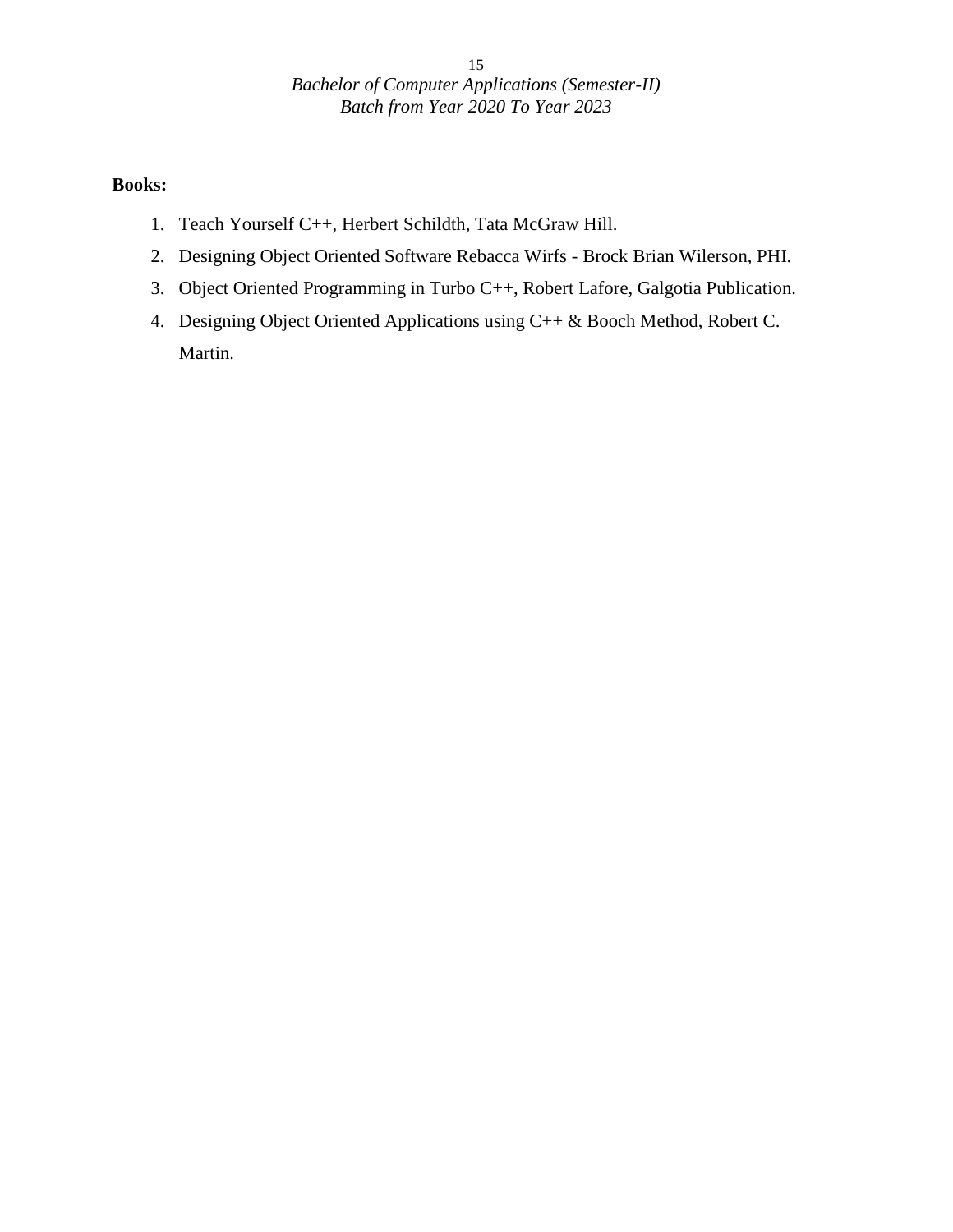### **Books:**

- 1. Teach Yourself C++, Herbert Schildth, Tata McGraw Hill.
- 2. Designing Object Oriented Software Rebacca Wirfs Brock Brian Wilerson, PHI.
- 3. Object Oriented Programming in Turbo C++, Robert Lafore, Galgotia Publication.
- 4. Designing Object Oriented Applications using C++ & Booch Method, Robert C. Martin.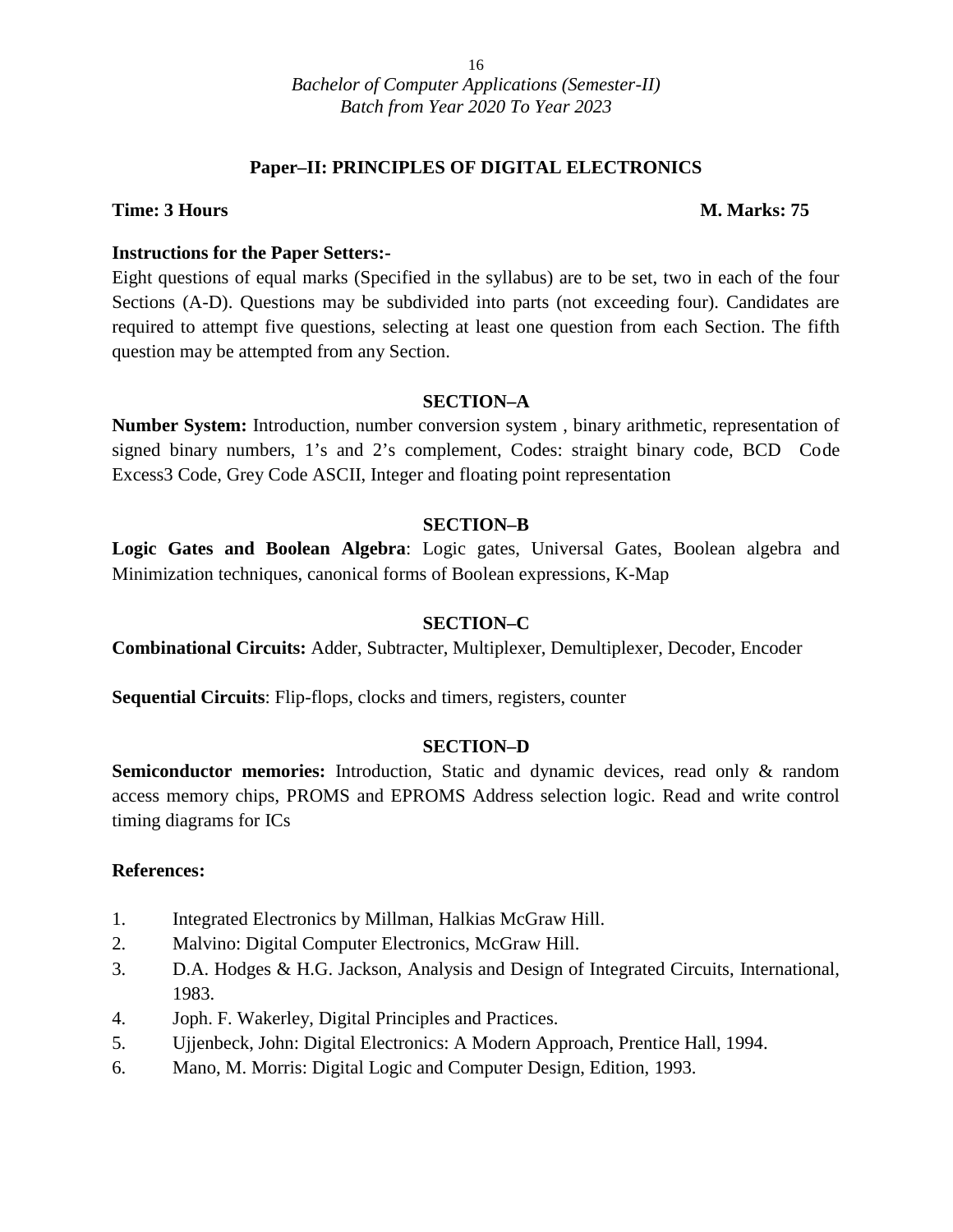#### **Paper–II: PRINCIPLES OF DIGITAL ELECTRONICS**

#### **Time: 3 Hours M. Marks: 75**

#### **Instructions for the Paper Setters:-**

Eight questions of equal marks (Specified in the syllabus) are to be set, two in each of the four Sections (A-D). Questions may be subdivided into parts (not exceeding four). Candidates are required to attempt five questions, selecting at least one question from each Section. The fifth question may be attempted from any Section.

#### **SECTION–A**

**Number System:** Introduction, number conversion system , binary arithmetic, representation of signed binary numbers, 1's and 2's complement, Codes: straight binary code, BCD Code Excess3 Code, Grey Code ASCII, Integer and floating point representation

#### **SECTION–B**

**Logic Gates and Boolean Algebra**: Logic gates, Universal Gates, Boolean algebra and Minimization techniques, canonical forms of Boolean expressions, K-Map

#### **SECTION–C**

**Combinational Circuits:** Adder, Subtracter, Multiplexer, Demultiplexer, Decoder, Encoder

**Sequential Circuits**: Flip-flops, clocks and timers, registers, counter

#### **SECTION–D**

**Semiconductor memories:** Introduction, Static and dynamic devices, read only & random access memory chips, PROMS and EPROMS Address selection logic. Read and write control timing diagrams for ICs

- 1. Integrated Electronics by Millman, Halkias McGraw Hill.
- 2. Malvino: Digital Computer Electronics, McGraw Hill.
- 3. D.A. Hodges & H.G. Jackson, Analysis and Design of Integrated Circuits, International, 1983.
- 4. Joph. F. Wakerley, Digital Principles and Practices.
- 5. Ujjenbeck, John: Digital Electronics: A Modern Approach, Prentice Hall, 1994.
- 6. Mano, M. Morris: Digital Logic and Computer Design, Edition, 1993.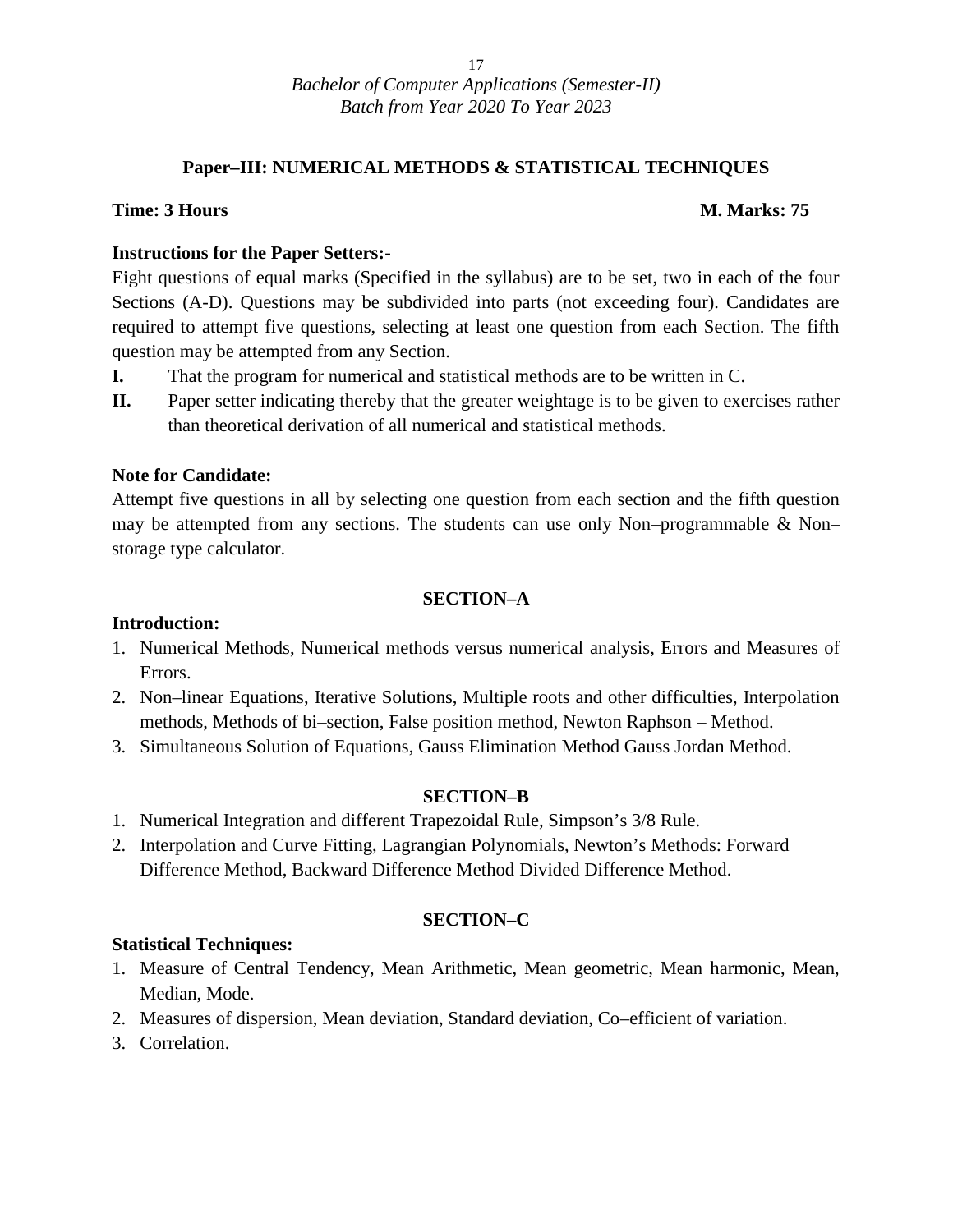#### **Paper–III: NUMERICAL METHODS & STATISTICAL TECHNIQUES**

#### **Time: 3 Hours M. Marks: 75**

#### **Instructions for the Paper Setters:-**

Eight questions of equal marks (Specified in the syllabus) are to be set, two in each of the four Sections (A-D). Questions may be subdivided into parts (not exceeding four). Candidates are required to attempt five questions, selecting at least one question from each Section. The fifth question may be attempted from any Section.

- **I.** That the program for numerical and statistical methods are to be written in C.
- **II.** Paper setter indicating thereby that the greater weightage is to be given to exercises rather than theoretical derivation of all numerical and statistical methods.

#### **Note for Candidate:**

Attempt five questions in all by selecting one question from each section and the fifth question may be attempted from any sections. The students can use only Non–programmable & Non– storage type calculator.

#### **SECTION–A**

#### **Introduction:**

- 1. Numerical Methods, Numerical methods versus numerical analysis, Errors and Measures of Errors.
- 2. Non–linear Equations, Iterative Solutions, Multiple roots and other difficulties, Interpolation methods, Methods of bi–section, False position method, Newton Raphson – Method.
- 3. Simultaneous Solution of Equations, Gauss Elimination Method Gauss Jordan Method.

#### **SECTION–B**

- 1. Numerical Integration and different Trapezoidal Rule, Simpson's 3/8 Rule.
- 2. Interpolation and Curve Fitting, Lagrangian Polynomials, Newton's Methods: Forward Difference Method, Backward Difference Method Divided Difference Method.

#### **SECTION–C**

#### **Statistical Techniques:**

- 1. Measure of Central Tendency, Mean Arithmetic, Mean geometric, Mean harmonic, Mean, Median, Mode.
- 2. Measures of dispersion, Mean deviation, Standard deviation, Co–efficient of variation.
- 3. Correlation.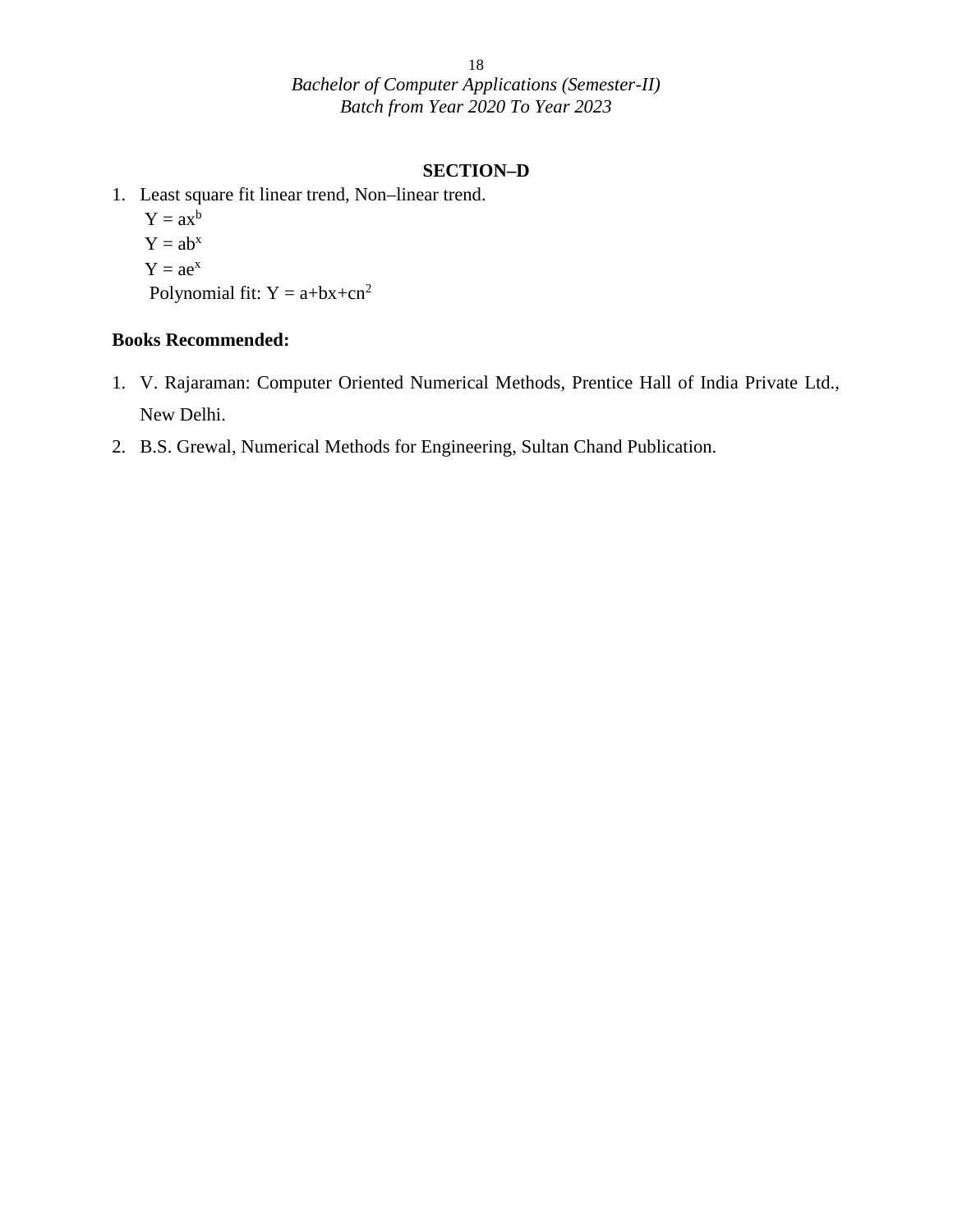#### **SECTION–D**

- 1. Least square fit linear trend, Non–linear trend.
	- $Y = ax^b$  $Y = ab^x$  $Y = ae^{x}$
	- Polynomial fit:  $Y = a+bx+cn^2$

#### **Books Recommended:**

- 1. V. Rajaraman: Computer Oriented Numerical Methods, Prentice Hall of India Private Ltd., New Delhi.
- 2. B.S. Grewal, Numerical Methods for Engineering, Sultan Chand Publication.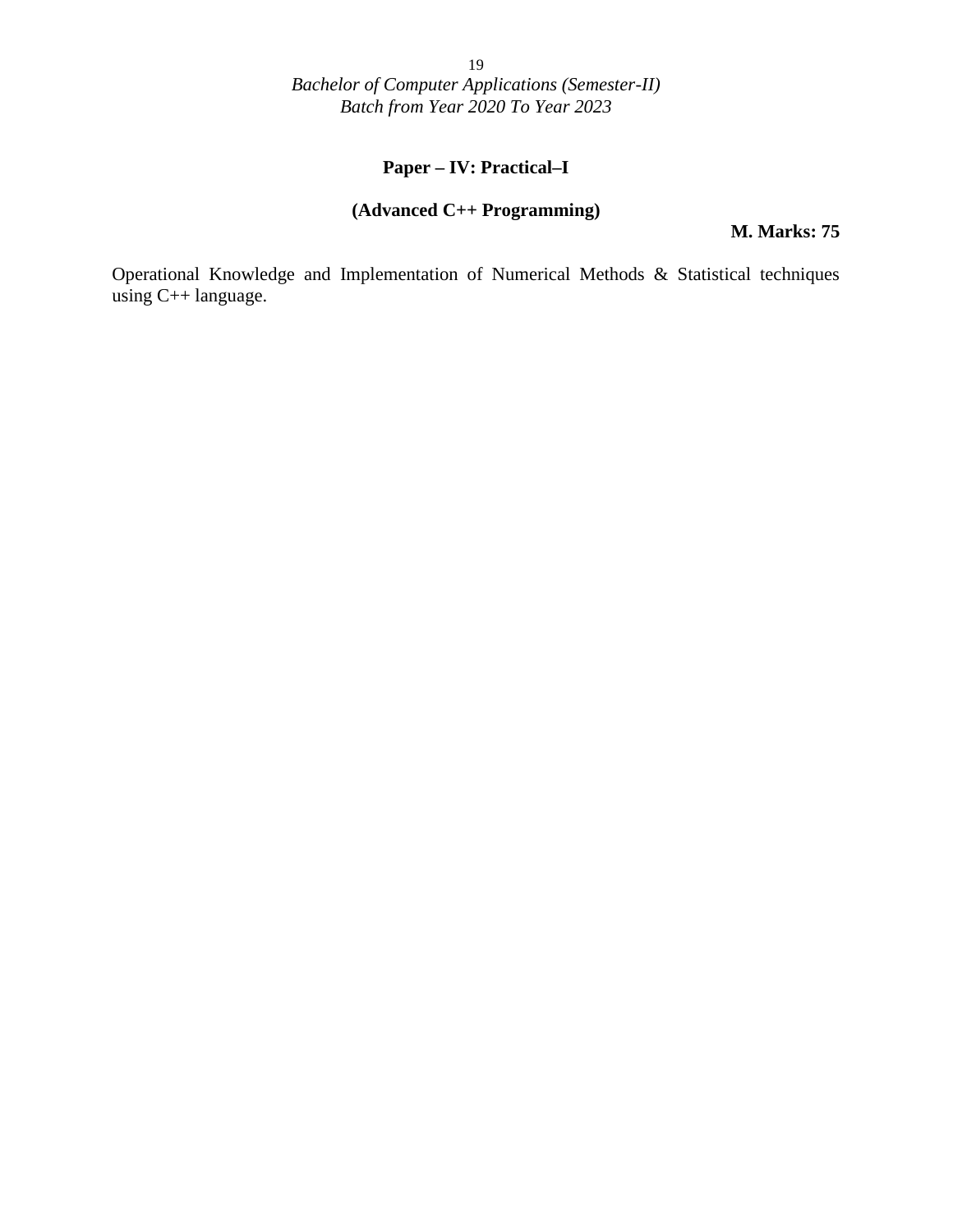### **Paper – IV: Practical–I**

#### **(Advanced C++ Programming)**

**M. Marks: 75**

Operational Knowledge and Implementation of Numerical Methods & Statistical techniques using C++ language.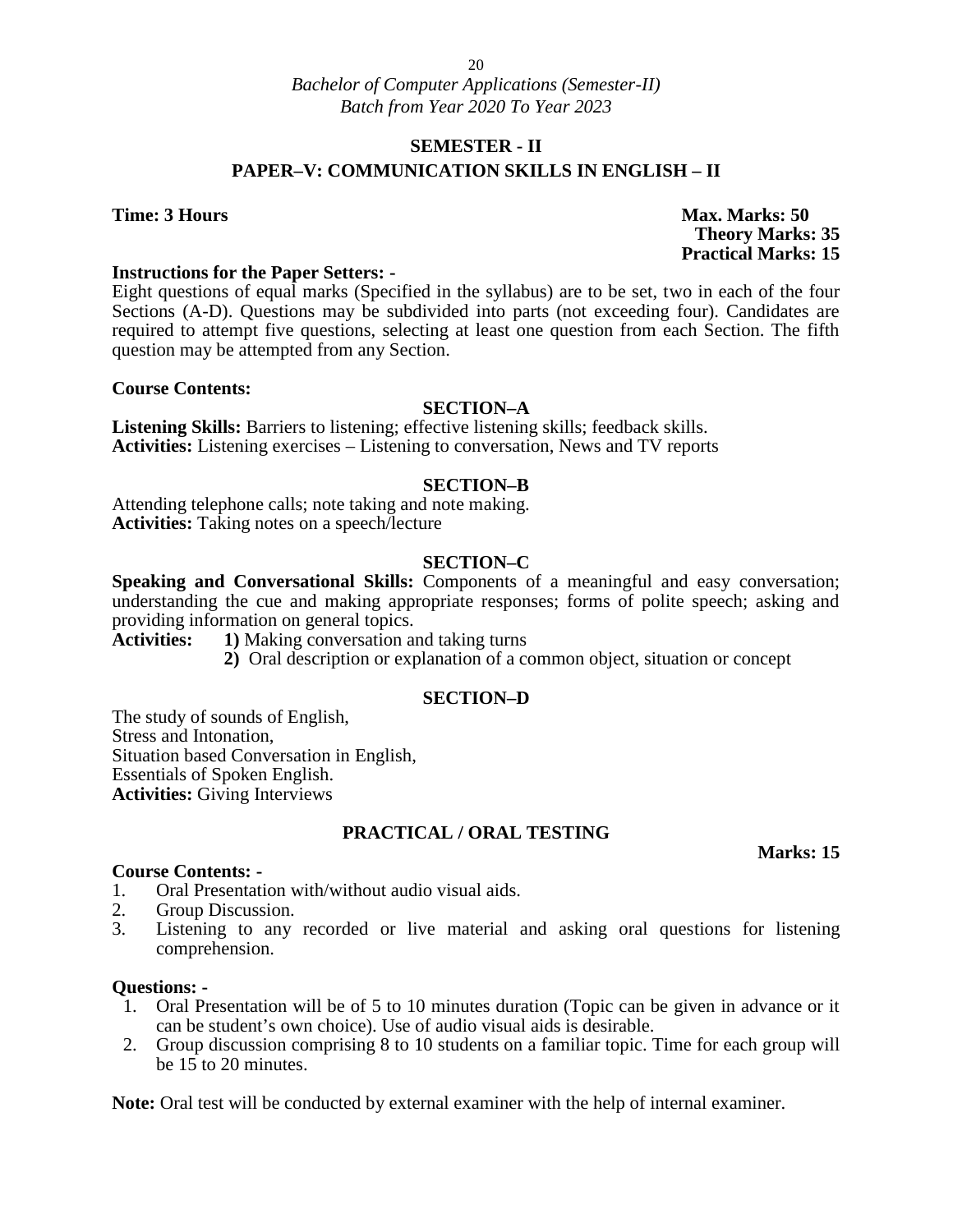### **SEMESTER - II**

#### **PAPER–V: COMMUNICATION SKILLS IN ENGLISH – II**

**Time: 3 Hours Max. Marks: 50 Theory Marks: 35 Practical Marks: 15**

#### **Instructions for the Paper Setters: -**

Eight questions of equal marks (Specified in the syllabus) are to be set, two in each of the four Sections (A-D). Questions may be subdivided into parts (not exceeding four). Candidates are required to attempt five questions, selecting at least one question from each Section. The fifth question may be attempted from any Section.

#### **Course Contents:**

#### **SECTION–A**

**Listening Skills:** Barriers to listening; effective listening skills; feedback skills. **Activities:** Listening exercises – Listening to conversation, News and TV reports

#### **SECTION–B**

Attending telephone calls; note taking and note making. **Activities:** Taking notes on a speech/lecture

#### **SECTION–C**

**Speaking and Conversational Skills:** Components of a meaningful and easy conversation; understanding the cue and making appropriate responses; forms of polite speech; asking and providing information on general topics.<br>Activities: 1) Making conversation and

**1)** Making conversation and taking turns

**2)** Oral description or explanation of a common object, situation or concept

#### **SECTION–D**

The study of sounds of English, Stress and Intonation, Situation based Conversation in English, Essentials of Spoken English. **Activities:** Giving Interviews

#### **PRACTICAL / ORAL TESTING**

#### **Marks: 15**

#### **Course Contents: -**

- 1. Oral Presentation with/without audio visual aids.<br>2. Group Discussion.
- Group Discussion.
- 3. Listening to any recorded or live material and asking oral questions for listening comprehension.

#### **Questions: -**

- 1. Oral Presentation will be of 5 to 10 minutes duration (Topic can be given in advance or it can be student's own choice). Use of audio visual aids is desirable.
- 2. Group discussion comprising 8 to 10 students on a familiar topic. Time for each group will be 15 to 20 minutes.

**Note:** Oral test will be conducted by external examiner with the help of internal examiner.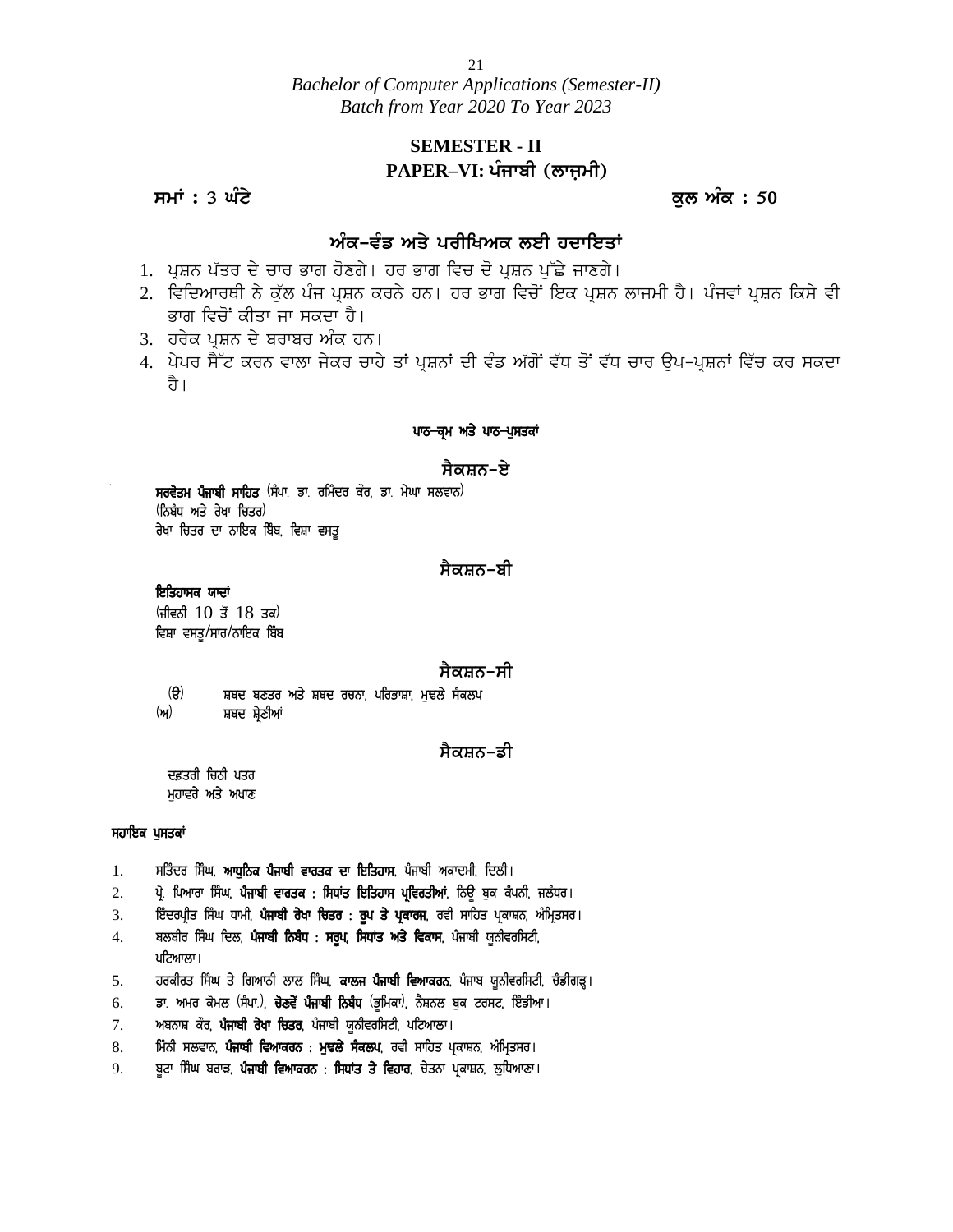# **SEMESTER - II PAPER–VI: ਪੰਜਾਬੀ (ਲਾਜ਼ਮੀ)** <u>Batch from Year 2020 To Year 2023</u><br>SEMESTER - II<br>PAPER–VI: ਪੰਜਾਬੀ (ਲਾਜ਼ਮੀ)<br>ਕੁਲ ਅੰਕ : 50<br>ਅੰਕ–ਵੰਡ ਅਤੇ ਪੂਰੀਖਿਅਕ ਲਈ ਹਦਾਇਤਾਂ

#### <u>ਅੰਕ–ਵੰਡ ਅਤੇ ਪਰੀਖਿਅਕ ਲਈ ਹਦਾਇਤਾਂ</u>

- 1. ਪ੍ਰਸ਼ਨ ਪੱਤਰ ਦੇ ਚਾਰ ਭਾਗ ਹੋਣਗੇ। ਹਰ ਭਾਗ ਵਿਚ ਦੋ ਪ੍ਰਸ਼ਨ ਪੁੱਛੇ ਜਾਣਗੇ।
- 2. ਵਿਦਿਆਰਥੀ ਨੇ ਕੁੱਲ ਪੰਜ ਪ੍ਰਸ਼ਨ ਕਰਨੇ ਹਨ। ਹਰ ਭਾਗ ਵਿਚੋਂ ਇਕ ਪ੍ਰਸ਼ਨ ਲਾਜਮੀ ਹੈ। ਪੰਜਵਾਂ ਪ੍ਰਸ਼ਨ ਕਿਸੇ ਵੀ ਭਾਗ ਵਿਚੋਂ ਕੀਤਾ ਜਾ ਸਕਦਾ ਹੈ।
- 3. ਹਰੇਕ ਪੁਸ਼ਨ ਦੇ ਬਰਾਬਰ ਅੰਕ ਹਨ।
- 4. ਪੇਪਰ ਸੈੱਟ ਕਰਨ ਵਾਲਾ ਜੇਕਰ ਚਾਹੇ ਤਾਂ ਪ੍ਰਸ਼ਨਾਂ ਦੀ ਵੰਡ ਅੱਗੋਂ ਵੱਧ ਤੋਂ ਵੱਧ ਚਾਰ ਉਪ-ਪ੍ਰਸ਼ਨਾਂ ਵਿੱਚ ਕਰ ਸਕਦਾ ਹੈ।

#### ਪਾਠ-ਕਮ ਅਤੇ ਪਾਠ-ਪੁਸਤਕਾਂ

#### <u>ਸੈਕਸ਼ਨ-ਏ</u>

ਹੈ।<br>ਪਾਠ<del>- ਕ੍ਰ</del>ਮ ਅਤੇ ਪਾ<br>ਸਰਵੋਤਮ ਪੰਜਾਬੀ ਸਾਹਿਤ <sup>(</sup>ਸੰਪਾ ਡਾ ਰਮਿੰਦਰ ਕੌਰ, ਡਾ ਮੇਘਾ ਸਲਵਾਨ)<br>(ਨਿਬੰਧ ਅਤੇ ਰੇਖਾ ਚਿਤਰ)<br><sup>ਤੇਮਾ ਜਿਤਤ ਜਾ ਨਾਧਿਕ ਧਿੰਬ ਵਿਧਾ ਵਾਦ</sup> ਸ**ਰਵੋਤਮ ਪੰਜਾਬੀ ਸਾਹਿਤ** (ਸੰਪਾ<sub>.</sub> ਡਾ. ਰਮਿੰਦ<br>(ਨਿਬੰਧ ਅਤੇ ਰੇਖਾ ਚਿਤਰ)<br>ਰੇਖਾ ਚਿਤਰ ਦਾ ਨਾਇਕ ਬਿੰਬ, ਵਿਸ਼ਾ ਵਸਤੂ

#### <u>ਸੈਕਸ਼ਨ–ਬੀ</u>

#### *ਇਤਿਹਾਸਕ ਯਾਦਾਂ*

 $(H \in B 10 \, \vec{3} 18 \, \vec{3})$ ਵਿਸ਼ਾ ਵਸਤੁ/ਸਾਰ/ਨਾਇਕ ਬਿੰਬ

#### <u>ਸੈਕਸਨ-ਸੀ</u>

ਫਿਨੀ 10 ਤੋਂ 18 ਤਕ<sup>)</sup><br>ਵਨੀ 10 ਤੋਂ 18 ਤਕ<sup>)</sup><br>ਭਾ ਵਸਤੂ/ਸਾਰ/ਨਾਇਕ ਬਿੰਬ<br>(ੳ) ਸ਼ਬਦ ਬਣਤਰ ਅਤੇ ਸ਼ਬਦ ਰਚਨਾ ਪਰਿਭਾਸ਼ਾ ਮੁਢਲੇ ਸੈਕਲਪ<br>) ਸ਼ਬਦ ਸ਼੍ਰੇਣੀਆਂ (ਅ) ਸ਼ਬਦ ਸ਼ੇਣੀਆਂ

#### <u>ਸੈਕਸਨ–ਡੀ</u>

ਦਫ਼ਤਰੀ ਚਿਠੀ ਪਤਰ ਮਹਾਵਰੇ ਅਤੇ ਅਖਾਣ

#### **ਸਹਾਇਕ ਪੁਸਤਕਾਂ**

- 
- 1. ਸਤਿੰਦਰ ਸਿੰਘ, **ਆਧੁਨਿਕ ਪੰਜਾਬੀ ਵਾਰਤਕ ਦਾ ਇਤਿਹਾਸ**, ਪੰਜਾਬੀ ਅਕਾਦਮੀ, ਦਿਲੀ।<br>2. ਪ੍ਰੋ. ਪਿਆਰਾ ਸਿੰਘ, **ਪੰਜਾਬੀ ਵਾਰਤਕ : ਸਿਧਾਂਤ ਇਤਿਹਾਸ ਪ੍ਰਵਿਰਤੀਆਂ**, ਨਿਊ ਬੁਕ ਕੰਪਨੀ, ਜਲੰਧਰ।<br>3. ਇੰਦਰਪ੍ਰੀਤ ਸਿੰਘ ਧਾਮੀ, **ਪੰਜਾਬੀ ਰੇਖਾ ਚਿਤਰ : ਰੁਪ ਤੇ ਪ੍** ੱਫ਼ਤਰਾ ਰਿਹਾ ਪਤਰ<br>ਮੁਹਾਵਰੇ ਅਤੇ ਅਖਾਣ<br>1. ਸਤਿੰਦਰ ਸਿੰਘ, **ਆਧੁਨਿਕ ਪੰਜਾਬੀ ਵਾਰਤਕ ਦਾ ਇਤਿਹਾਸ**, ਪੰਜਾਬੀ ਅਕਾਦਮੀ, ਦਿਲੀ।<br>2. ਪ੍ਰੋ. ਪਿਆਰਾ ਸਿੰਘ, **ਪੰਜਾਬੀ ਵਾਰਤਕ : ਸਿਧਾਂਤ ਇਤਿਹਾਸ ਪ੍ਰਵਿਰਤੀਆਂ**, ਨਿਊ ਬੁਕ ਕੰਪਨੀ, ਜਲੰਧਰ।<br>3. ਇੰਦਰਪ੍ਰੀਤ ਸਿੰਘ ਧਾ
- 
- ਸ**ਹਾਇਕ ਪੁਸਤਕਾਂ**<br>1. ਸਤਿੰਦਰ ਸਿੰਘ, **ਆਧੁਨਿਕ ਪੰਜਾਬੀ ਵਾਰਤਕ ਦਾ ਇਤਿਹਾਸ**, ਪੰਜਾਬੀ ਅਕਾਦਮੀ, ਦਿਲੀ।<br>2. ਪ੍ਰੋ. ਪਿਆਰਾ ਸਿੰਘ, **ਪੰਜਾਬੀ ਵਾਰਤਕ : ਸਿਧਾਂਤ ਇਤਿਹਾਸ ਪ੍ਰਵਿਰਤੀਆਂ**, ਨਿਊ ਬੁਕ ਕੰਪਨੀ, ਜਲੰਧਰ।<br>3. ਇੰਦਰਪ੍ਰੀਤ ਸਿੰਘ ਧਾਮੀ, **ਪੰਜਾਬੀ ਰੇਖਾ** 3. ਇੰਦਰਪ੍ਰੀਤ ਸਿੰਘ ਧਾਮੀ, **ਪੰਜਾਬੀ ਰੇਖਾ ਚਿਤਰ : ਰੂਪ ਤੇ ਪ੍ਰਕਾਰਜ**, ਰਵੀ ਸਾਹਿਤ ਪ੍ਰਕਾਸ਼ਨ, ਅੰਮ੍ਰਿਤਸਰ।<br>4. ਬਲਬੀਰ ਸਿੰਘ ਦਿਲ, **ਪੰਜਾਬੀ ਨਿਬੰਧ : ਸਰੂਪ, ਸਿਧਾਂਤ ਅਤੇ ਵਿਕਾਸ**, ਪੰਜਾਬੀ ਯੂਨੀਵਰਸਿਟੀ,<br>5. ਹਰਕੀਰਤ ਸਿੰਘ ਤੇ ਗਿਆਨੀ ਲਾਲ ਸਿੰਘ, **ਕਾਲਜ** ਪਟਿਆਲਾ। 1. ਸਤਿੰਦਰ ਸਿੰਘ, **ਆਧੁਨਿਕ ਪੰਜਾਬੀ ਵਾਰਤਕ ਦਾ ਇਤਿਹਾਸ**, ਪੰਜਾਬੀ ਅਕਾਦਮੀ, ਦਿਲੀ।<br>2. ਪ੍ਰੋ. ਪਿਆਰਾ ਸਿੰਘ, **ਪੰਜਾਬੀ ਵਾਰਤਕ : ਸਿਧਾਂਤ ਇਤਿਹਾਸ ਪ੍ਰਵਿਰਤੀਆਂ**, ਨਿਊ ਬੁਕ ਕੰਪਨੀ, ਜਲੰਧਰ।<br>3. ਇੰਦਰਪ੍ਰੀਤ ਸਿੰਘ ਧਾਮੀ, **ਪੰਜਾਬੀ ਰੇਖਾ ਚਿਤਰ : ਰੂਪ ਤੇ ਪ੍ਰਕਾਰਜ**, ਰਵੀ 2. ਪ੍ਰੋ. ਪਿਆਰਾ ਸਿੰਘ, **ਪੰਜਾਬੀ ਵਾਰਤਕ : ਸਿਧਾਂਤ ਇਤਿਹਾਸ ਪ੍ਰਵਿਰਤੀਆਂ**, ਨਿਊ ਬੁਕ ਕੰਪਨੀ, ਜਲੰਧਰ।<br>3. ਇੰਦਰਪ੍ਰੀਤ ਸਿੰਘ ਧਾਮੀ, **ਪੰਜਾਬੀ ਰੇਖਾ ਚਿਤਰ : ਰੂਪ ਤੇ ਪ੍ਰਕਾਰਜ**, ਰਵੀ ਸਾਹਿਤ ਪ੍ਰਕਾਸ਼ਨ, ਅੰਮ੍ਰਿਤਸਰ।<br>4. ਬਲਬੀਰ ਸਿੰਘ ਦਿਲ, **ਪੰਜਾਬੀ ਨਿਬੰਧ :** 3. ਇੰਦਰਪ੍ਰੀਤ ਸਿੰਘ ਧਾਮੀ, **ਪੰਜਾਬੀ ਰੇਖਾ ਚਿਤਰ : ਰੂਪ ਤੇ ਪ੍ਰਕਾਰਜ**, ਰਵੀ ਸਾਹਿਤ ਪ੍ਰਕਾ<br>4. ਬਲਬੀਰ ਸਿੰਘ ਦਿਲ, **ਪੰਜਾਬੀ ਨਿਬੰਧ : ਸਰੂਪ, ਸਿਧਾਂਤ ਅਤੇ ਵਿਕਾਸ**, ਪੰਜਾਬੀ ਯੂਨੀਵਾ<br>5. ਹਰਕੀਰਤ ਸਿੰਘ ਤੇ ਗਿਆਨੀ ਲਾਲ ਸਿੰਘ, **ਕਾਲਜ ਪੰਜਾਬੀ ਵਿਆਕਰਨ**, ਪੰ 4. ਬਲਬੀਰ ਸਿੰਘ ਦਿਲ, **ਪੰਜਾਬੀ ਨਿਬੰਧ : ਸਰੂਪ, ਸਿਧਾਂਤ ਅਤੇ ਵਿਕਾਸ**, ਪੰਜਾਬੀ ਯੂਨੀਵਰਸਿਟੀ,<br>1. ਹਰਕੀਰਤ ਸਿੰਘ ਤੇ ਗਿਆਨੀ ਲਾਲ ਸਿੰਘ, **ਕਾਲਜ ਪੰਜਾਬੀ ਵਿਆਕਰਨ**, ਪੰਜਾਬ ਯੂਨੀਵਰਸਿਟੀ, ਚੰਡੀਗੜ੍ਹ।<br>6. ਡਾ. ਅਮਰ ਕੋਮਲ (ਸੰਪਾ.), **ਚੋਣਵੇਂ ਪੰਜਾਬੀ ਨਿਬੰਧ** (ਭੂਮਿਕ
- ਪਟਿਆਲਾ।<br>5. ਹਰਕੀਰਤ ਸਿੰਘ ਤੇ ਗਿਆਨੀ ਲਾਲ ਸਿੰਘ, **ਕਾਲਜ ਪੰਜਾਬੀ ਵਿਆਕਰਨ**, ਪੰਜਾਬ ਯੂਨੀਵਰਸਿਟੀ, ਚੰਡੀਗੜ੍ਹ।<br>6. ਡਾ. ਅਮਰ ਕੋਮਲ (ਸੰਪਾ.), **ਚੋਣਵੇਂ ਪੰਜਾਬੀ ਨਿਬੰਧ** (ਭੂਮਿਕਾ), ਨੈਸ਼ਨਲ ਬੁਕ ਟਰਸਟ, ਇੰਡੀਆ।<br>7. ਅਬਨਾਸ਼ ਕੌਰ, **ਪੰਜਾਬੀ ਵਿਆਕਰਨ : ਮੁਢ**
- 
- 
- 
-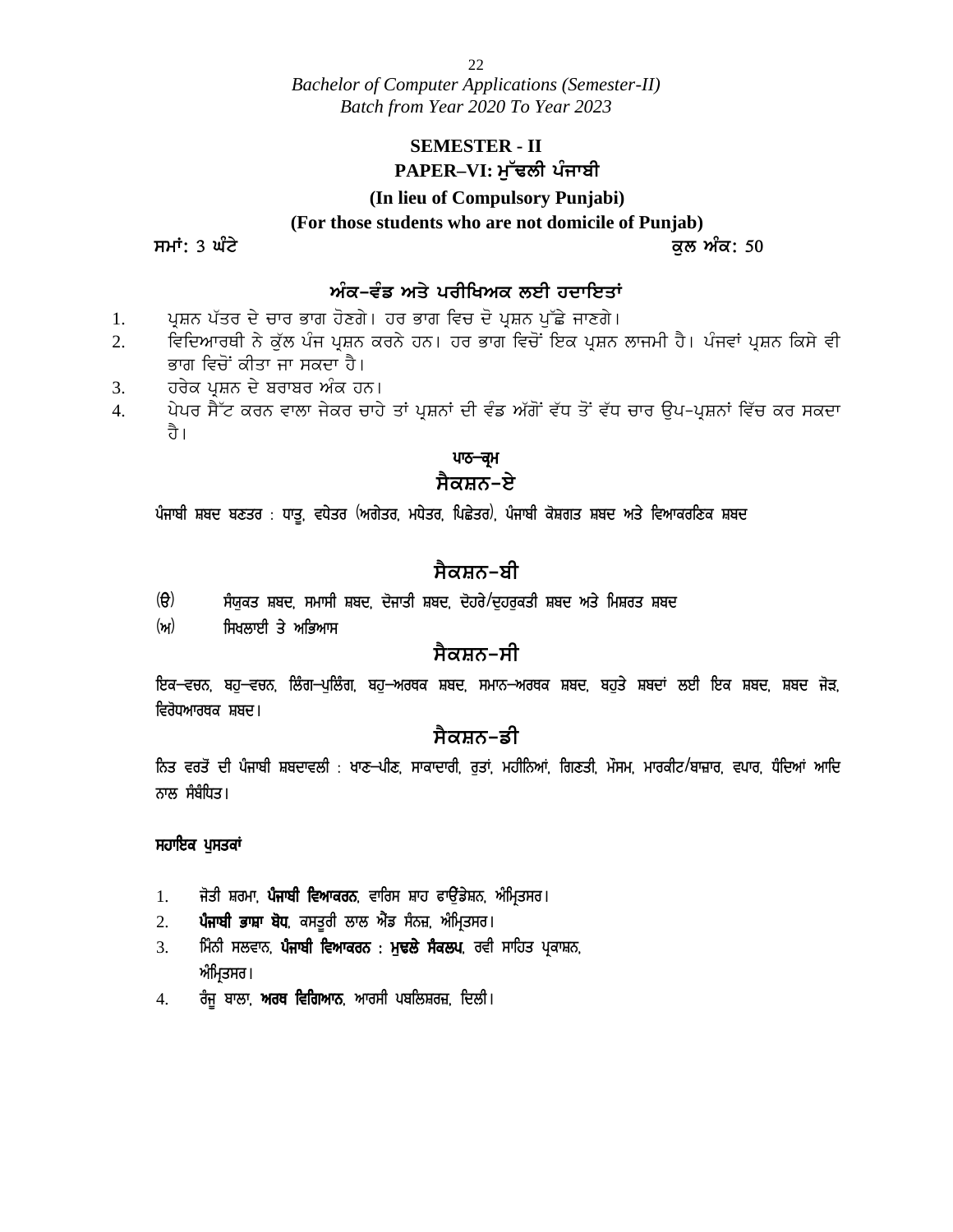### **SEMESTER - II** PAPER–VI: ਮੁੱਢਲੀ ਪੰਜਾਬੀ

#### **(In lieu of Compulsory Punjabi)**

**(For those students who are not domicile of Punjab)**

**smatrices**  $\frac{1}{2}$  and  $\frac{1}{2}$  and  $\frac{1}{2}$  and  $\frac{1}{2}$  and  $\frac{1}{2}$  and  $\frac{1}{2}$  and  $\frac{1}{2}$  and  $\frac{1}{2}$  and  $\frac{1}{2}$  and  $\frac{1}{2}$  and  $\frac{1}{2}$  and  $\frac{1}{2}$  and  $\frac{1}{2}$  and  $\frac{1}{2}$  and  $\frac{1}{2}$  and

### ਅੰਕ-ਵੰਡ ਅਤੇ ਪਰੀਖਿਅਕ ਲਈ ਹਦਾਇਤਾ<u>ਂ</u>

- 1. ਪੁਸ਼ਨ ਪੱਤਰ ਦੇ ਚਾਰ ਭਾਗ ਹੋਣਗੇ। ਹਰ ਭਾਗ ਵਿਚ ਦੋ ਪੁਸ਼ਨ ਪੁੱਛੇ ਜਾਣਗੇ।
- 2. ਵਿਦਿਆਰਥੀ ਨੇ ਕੱਲ ਪੰਜ ਪ੍ਰਸ਼ਨ ਕਰਨੇ ਹਨ। ਹਰ ਭਾਗ ਵਿਚੋਂ ਇਕ ਪ੍ਰਸ਼ਨ ਲਾਜਮੀ ਹੈ। ਪੰਜਵਾਂ ਪ੍ਰਸ਼ਨ ਕਿਸੇ ਵੀ ਭਾਗ ਵਿਚੋਂ ਕੀਤਾ ਜਾ ਸਕਦਾ ਹੈ।
- 3. ਹਰੇਕ ਪਸ਼ਨ ਦੇ ਬਰਾਬਰ ਅੰਕ ਹਨ।
- 4. ਪੇਪਰ ਸੈੱਟ ਕਰਨ ਵਾਲਾ ਜੇਕਰ ਚਾਹੇ ਤਾਂ ਪ੍ਰਸ਼ਨਾਂ ਦੀ ਵੰਡ ਅੱਗੋਂ ਵੱਧ ਤੋਂ ਵੱਧ ਚਾਰ ਉਪ-ਪ੍ਰਸ਼ਨਾਂ ਵਿੱਚ ਕਰ ਸਕਦਾ ਹੈ। ਹਰੇਕ ਪ੍ਰਸ਼ਨ ਦੇ ਬਰਾਬਰ ਅੰਕ ਹਨ।<br>ਪੇਪਰ ਸੈੱਟ ਕਰਨ ਵਾਲਾ ਜੇਕਰ ਚਾਹੇ ਤਾਂ ਪ੍ਰਸ਼ਨਾਂ ਦੀ ਵੰਡ ਅੱਗੋਂ ਵੱਧ ਤੋਂ ਵੱਧ ਚਾਰ ਉਪ-ਪ੍ਰਸ਼ਨਾਂ ਵਿੱਚ ਕਰ ਸ<br>ਹੈ।<br>ਪੰਜਾਬੀ ਸ਼ਬਦ ਬਣਤਰ : ਧਾਤੂ, ਵਧੇਤਰ (ਅਗੇਤਰ, ਮਧੇਤਰ, ਪਿਛੇਤਰ), ਪੰਜਾਬੀ ਕੋਸ਼ਗਤ ਸ਼ਬਦ ਅਤੇ ਵਿਆਕਰਣਿਕ ਸ਼ਬਦ<br>ਪੰ

### ਪਾਠ<del>–ਕ੍ਰ</del>ਮ

### ਸੈਕਸ਼ਨ–**ਏ**

(T) ;z:[es Fpd, ;wk;h Fpd, d'iksh Fpd, d'jo/\$d [jo[esh Fpd ns/ fwFos Fpd

### <u>ਸੈਕਸਨ–ਬੀ</u>

- 
- ਸਿਖਲਾਈ ਤੇ ਅਭਿਆਸ

### <u>ਸੈਕਸ਼ਨ–ਸੀ</u>

(ੳ) ਸੰਯੁਕਤ ਸ਼ਬਦ, ਸਮਾਸੀ ਸ਼ਬਦ, ਦੋਜਾਤੀ ਸ਼ਬਦ, ਦੋਹਰੇ/ਦੁਹਰੁਕਤੀ ਸ਼ਬਦ ਅਤੇ ਮਿਸ਼ਰਤ ਸ਼ਬਦ<br>(ਅ) ਸਿਖਲਾਈ ਤੇ ਅਭਿਆਸ<br>ਇਕ–ਵਚਨ, ਬਹੁ–ਵਚਨ, ਲਿੰਗ–ਪੁਲਿੰਗ, ਬਹੁ–ਅਰਥਕ ਸ਼ਬਦ, ਸਮਾਨ–ਅਰਥਕ ਸ਼ਬਦ, ਬਹੁਤੇ ਸ਼ਬਦਾਂ ਲਈ ਇਕ ਸ਼ਬਦ, ਸ਼ਬਦ ਜੋੜ,<br>ਵਿਰੋਧਆਰਥਕ ਸ਼ਬਦ। ਵਿਰੋਧਆਰਥਕ ਸ਼ਬਦ।

### <u>ਸੈਕਸ਼ਨ–ਡੀ</u>

ੱਮ ਸਿਖਤਤਰ ਤਾਂ ਮਾਤਲਾਮ<br>ਇਕ–ਵਚਨ, ਬਹੁ–ਵਚਨ, ਲਿੰਗ–ਪੁਲਿੰਗ, ਬਹੁ–ਅਰਥਕ ਸ਼ਬਦ, ਸਮਾਨ–ਅਰਥਕ ਸ਼ਬਦ, ਬਹੁਤੇ ਸ਼ਬਦਾਂ ਲਈ ਇਕ ਸ਼ਬਦ, ਸ਼ਬਦ ਜੋੜ,<br>ਵਿਰੋਧਆਰਥਕ ਸ਼ਬਦ।<br>ਨਿਤ ਵਰਤੋਂ ਦੀ ਪੰਜਾਬੀ ਸ਼ਬਦਾਵਲੀ : ਖਾਣ–ਪੀਣ, ਸਾਕਾਦਾਰੀ, ਰੁਤਾਂ, ਮਹੀਨਿਆਂ, ਗਿਣਤੀ, ਮੌਸਮ, ਮਾਰਕੀਟ/ ਨਾਲ ਸੰਬੰਧਿਤ। <sub>ਵਿਰਪਆਰਥਕ ਸ਼ਬਦ।<br>ਨਿਤ ਵਰਤੋਂ ਦੀ ਪੰਜਾਬੀ ਸ਼ਬਦਾਵਲੀ : ਖਾਣ–ਪੀ**ਟ**<br>ਨਾਲ ਸੰਬੰਧਿਤ।<br>ਸਹਾਇਕ ਪੁਸਤਕਾਂ<br>- ਕਿਹਾ ਕਿਹਾ ਕਿਹਾ ਕਿਹਾ ਕਿਹਾ ਕਿਹਾ</sub> ਨਿਤ ਵਰਤੋਂ ਦੀ ਪੰਜਾਬੀ ਸ਼ਬਦਾਵਲੀ : ਖਾਣ–ਪੀਣ, ਸਾਕਾਦਾਰੀ, ਰੁਤਾਂ, ਮਹੀਨਿਆਂ, ਗਿਣਤੀ, ਮੌਸਮ, ਮਾਰਕੀਟ*।*<br>ਨਾਲ ਸੰਬੰਧਿਤ।<br>ਸਹਾ**ਇਕ ਪੁਸਤਕਾਂ<br>1. ਜੋਤੀ ਸ਼ਰਮਾ, ਪੰਜਾਬੀ ਵਿਆਕਰਨ**, ਵਾਰਿਸ ਸ਼ਾਹ ਫਾਉਂਡੇਸ਼ਨ, ਅੰਮ੍ਰਿਤਸਰ।<br>2. **ਪੰਜਾਬੀ ਭਾਸ਼ਾ ਬੋਧ**, ਕਸਤੂਰੀ ਲਾਲ

- 
- 
- ਨਾਲ ਸੰਬੰਧਿਤ।<br>**ਸਹਾਇਕ ਪੁਸਤਕਾਂ**<br>1. ਜੋਤੀ ਸ਼ਰਮਾ, **ਪੰਜਾਬੀ ਵਿਆਕਰਨ**, ਵਾਰਿਸ ਸ਼ਾਹ ਫਾਉਂਡੇਸ਼ਨ, ਅੰਮ੍ਰਿਤਸਰ।<br>2. **ਪੰਜਾਬੀ ਭਾਸ਼ਾ ਬੋਧ**, ਕਸਤੂਰੀ ਲਾਲ ਐਂਡ ਸੰਨਜ਼, ਅੰਮ੍ਰਿਤਸਰ।<br>3. ਮਿੰਨੀ ਸਲਵਾਨ, **ਪੰਜਾਬੀ ਵਿਆਕਰਨ : ਮੁਢਲੇ ਸੈਕਲਪ**, ਰਵੀ ਸਾਹਿਤ ਪ੍ਰਕ **ਸਹਾਇਕ ਪੁਸਤਕਾਂ<br>1. ਜੋਤੀ ਸ਼ਰਮਾ, <b>ਪੰਜਾਬੀ ਵਿਆਕਰਨ**, ਵਾਰਿਸ ਸ਼ਾਹ ਫਾਉਂਡੇਸ਼ਨ, ਅੰਮ੍ਰਿਤਸਰ।<br>2. **ਪੰਜਾਬੀ ਭਾਸ਼ਾ ਬੋਧ**, ਕਸਤੂਰੀ ਲਾਲ ਐਂਡ ਸੰਨਜ਼, ਅੰਮ੍ਰਿਤਸਰ।<br>3. ਮਿੰਨੀ ਸਲਵਾਨ, **ਪੰਜਾਬੀ ਵਿਆਕਰਨ : ਮੁਢਲੇ ਸੰਕਲਪ**, ਰਵੀ ਸਾਹਿਤ ਪ੍ਰਕਾਸ਼ਨ,<br> **ਪੁਸਤਕਾਂ**<br>ਜੋਤੀ ਸ਼ਰਮਾ, **ਪੰਜਾਬੀ ਵਿਆਕਰਨ**, ਵਾਰਿ<br>**ਪੰਜਾਬੀ ਭਾਸ਼ਾ ਬੋਧ**, ਕਸਤੂਰੀ ਲਾਲ ਐਂਡ<br>ਮਿੰਨੀ ਸਲਵਾਨ, **ਪੰਜਾਬੀ ਵਿਆਕਰਨ** :<br>ਅੰਮ੍ਰਿਤਸਰ।<br>ਰੰਜੂ ਬਾਲਾ, <mark>ਅਰਥ ਵਿਗਿਆਨ</mark>, ਆਰਸੀ 1. ਜੋਤੀ ਸ਼ਰਮਾ, **ਪੰਜਾਬੀ ਵਿਆਕਰਨ**, ਵਾਰਿਸ ਸ਼ਾਹ ਫਾਉਂਡੇਸ਼ਨ<br>2. **ਪੰਜਾਬੀ ਭਾਸ਼ਾ ਬੋਧ**, ਕਸਤੂਰੀ ਲਾਲ ਐਂਡ ਸੰਨਜ਼, ਅੰਮ੍ਰਿਤਸਰ।<br>3. ਸਿੰਨੀ ਸਲਵਾਨ, **ਪੰਜਾਬੀ ਵਿਆਕਰਨ : ਮੁਢਲੇ ਸੰਕਲਪ**, ਰਵੀ<br>ਅੰਮ੍ਰਿਤਸਰ।<br>4. ਰੰਜੂ ਬਾਲਾ, **ਅਰਥ ਵਿਗਿਆਨ**, ਆਰਸੀ ਪਬਲ
-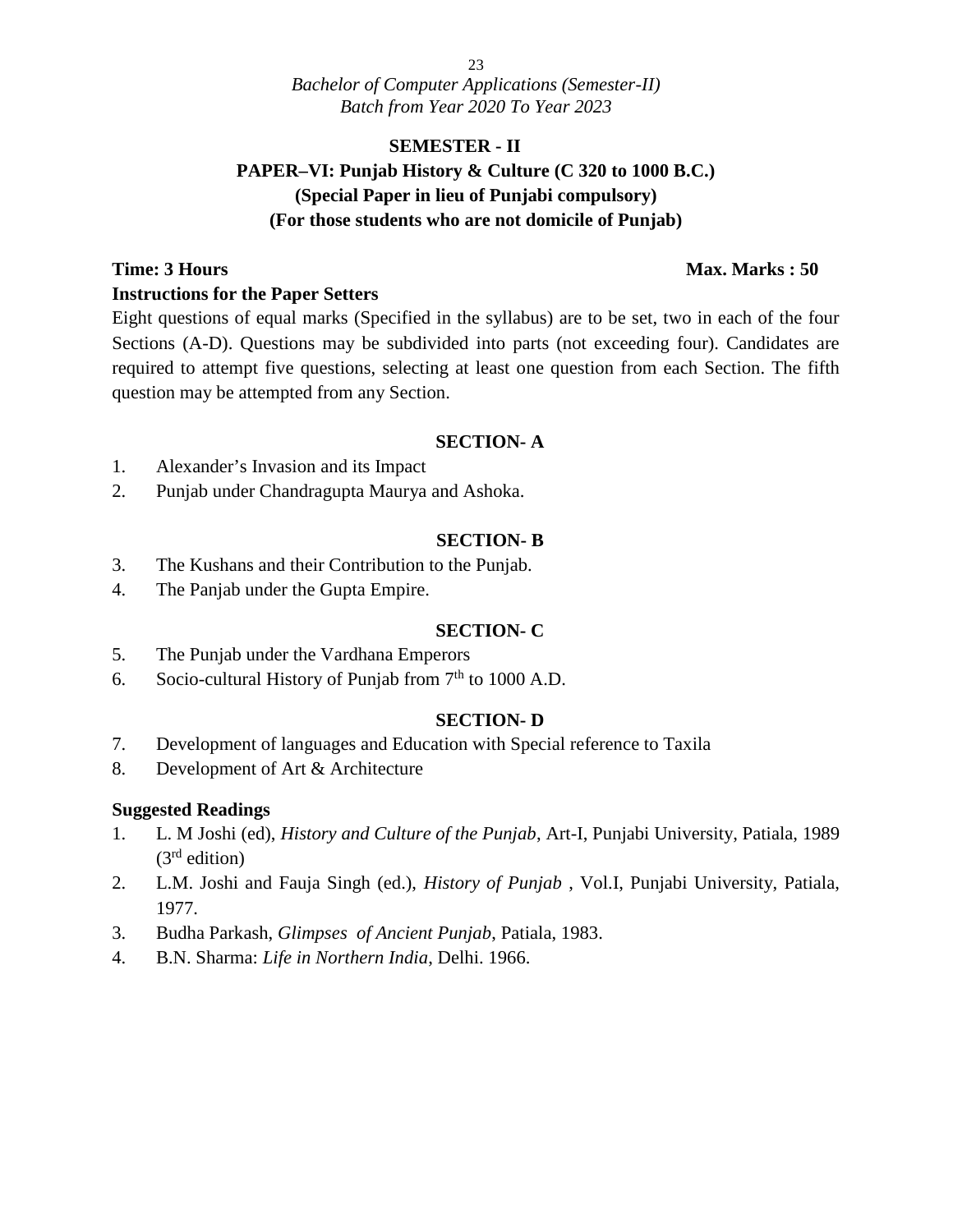### **SEMESTER - II**

### **PAPER–VI: Punjab History & Culture (C 320 to 1000 B.C.) (Special Paper in lieu of Punjabi compulsory) (For those students who are not domicile of Punjab)**

#### **Time: 3 Hours Max. Marks : 50 Instructions for the Paper Setters**

Eight questions of equal marks (Specified in the syllabus) are to be set, two in each of the four Sections (A-D). Questions may be subdivided into parts (not exceeding four). Candidates are required to attempt five questions, selecting at least one question from each Section. The fifth question may be attempted from any Section.

#### **SECTION- A**

- 1. Alexander's Invasion and its Impact
- 2. Punjab under Chandragupta Maurya and Ashoka.

#### **SECTION- B**

- 3. The Kushans and their Contribution to the Punjab.
- 4. The Panjab under the Gupta Empire.

#### **SECTION- C**

- 5. The Punjab under the Vardhana Emperors
- 6. Socio-cultural History of Punjab from  $7<sup>th</sup>$  to 1000 A.D.

#### **SECTION- D**

- 7. Development of languages and Education with Special reference to Taxila
- 8. Development of Art & Architecture

#### **Suggested Readings**

- 1. L. M Joshi (ed), *History and Culture of the Punjab*, Art-I, Punjabi University, Patiala, 1989  $(3<sup>rd</sup>$  edition)
- 2. L.M. Joshi and Fauja Singh (ed.), *History of Punjab* , Vol.I, Punjabi University, Patiala, 1977.
- 3. Budha Parkash, *Glimpses of Ancient Punjab*, Patiala, 1983.
- 4. B.N. Sharma: *Life in Northern India*, Delhi. 1966.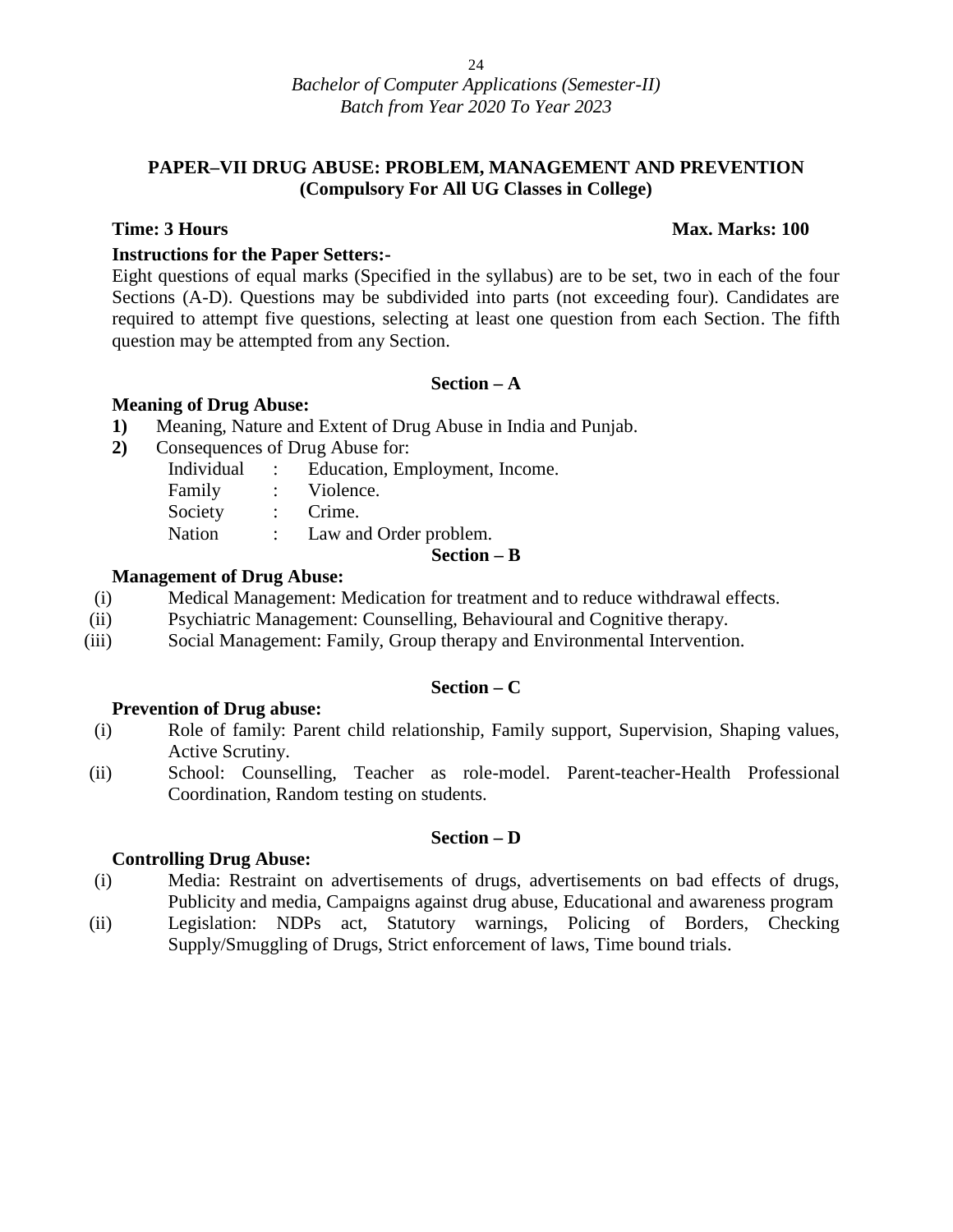#### **PAPER–VII DRUG ABUSE: PROBLEM, MANAGEMENT AND PREVENTION (Compulsory For All UG Classes in College)**

#### **Time: 3 Hours Max. Marks: 100**

#### **Instructions for the Paper Setters:-**

Eight questions of equal marks (Specified in the syllabus) are to be set, two in each of the four Sections (A-D). Questions may be subdivided into parts (not exceeding four). Candidates are required to attempt five questions, selecting at least one question from each Section. The fifth question may be attempted from any Section.

#### **Section – A**

#### **Meaning of Drug Abuse:**

**1)** Meaning, Nature and Extent of Drug Abuse in India and Punjab.

**2)** Consequences of Drug Abuse for:

| Nation<br>Law and Order problem.               |  |
|------------------------------------------------|--|
|                                                |  |
| Society<br>$:$ Crime.                          |  |
| Family<br>: Violence.                          |  |
| Individual<br>: Education, Employment, Income. |  |

#### **Management of Drug Abuse:**

- (i) Medical Management: Medication for treatment and to reduce withdrawal effects.
- (ii) Psychiatric Management: Counselling, Behavioural and Cognitive therapy.
- (iii) Social Management: Family, Group therapy and Environmental Intervention.

#### **Section – C**

#### **Prevention of Drug abuse:**

- (i) Role of family: Parent child relationship, Family support, Supervision, Shaping values, Active Scrutiny.
- (ii) School: Counselling, Teacher as role-model. Parent-teacher-Health Professional Coordination, Random testing on students.

#### **Section – D**

#### **Controlling Drug Abuse:**

- (i) Media: Restraint on advertisements of drugs, advertisements on bad effects of drugs, Publicity and media, Campaigns against drug abuse, Educational and awareness program
- (ii) Legislation: NDPs act, Statutory warnings, Policing of Borders, Checking Supply/Smuggling of Drugs, Strict enforcement of laws, Time bound trials.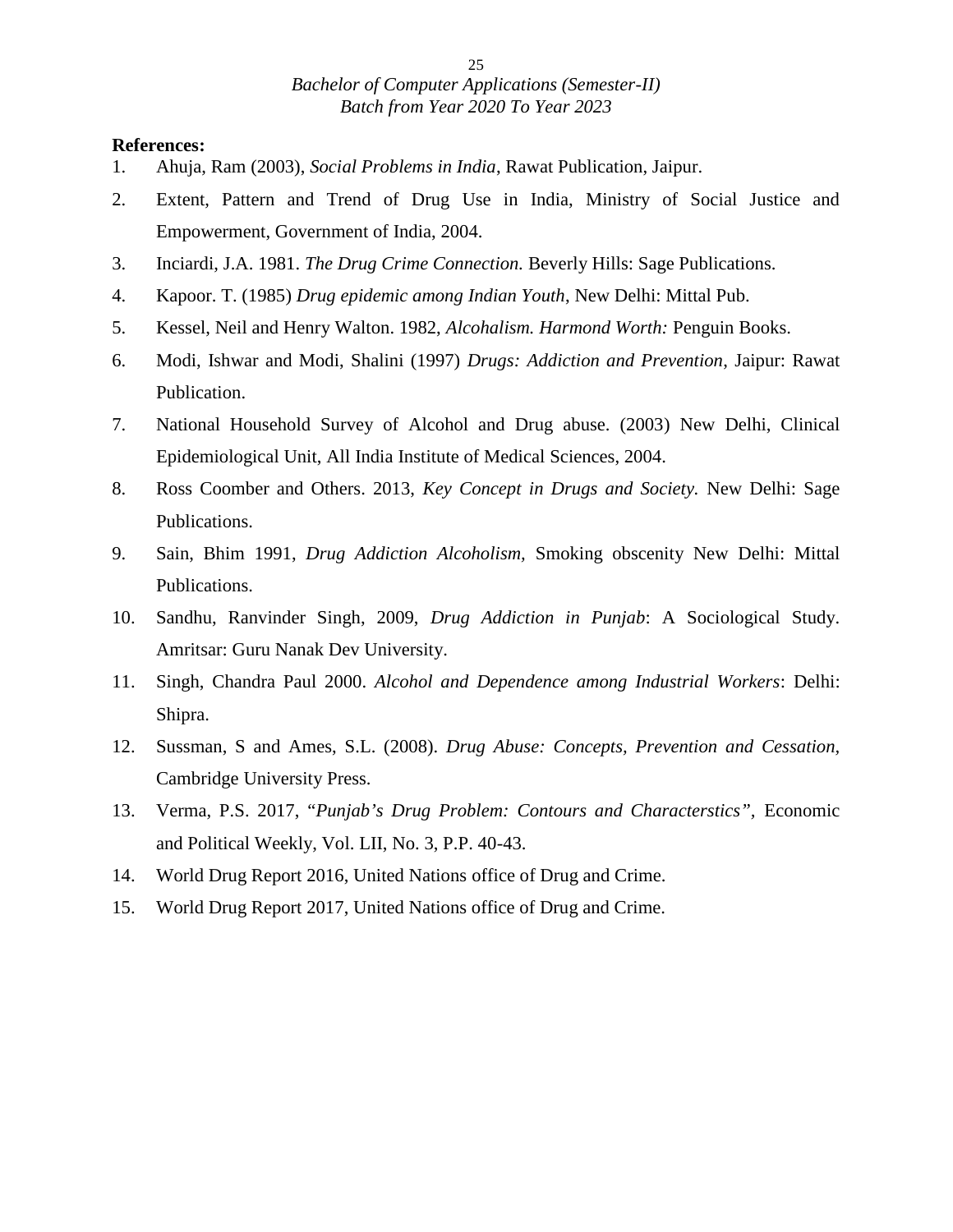- 1. Ahuja, Ram (2003), *Social Problems in India*, Rawat Publication, Jaipur.
- 2. Extent, Pattern and Trend of Drug Use in India, Ministry of Social Justice and Empowerment, Government of India, 2004.
- 3. Inciardi, J.A. 1981. *The Drug Crime Connection.* Beverly Hills: Sage Publications.
- 4. Kapoor. T. (1985) *Drug epidemic among Indian Youth*, New Delhi: Mittal Pub.
- 5. Kessel, Neil and Henry Walton. 1982, *Alcohalism. Harmond Worth:* Penguin Books.
- 6. Modi, Ishwar and Modi, Shalini (1997) *Drugs: Addiction and Prevention*, Jaipur: Rawat Publication.
- 7. National Household Survey of Alcohol and Drug abuse. (2003) New Delhi, Clinical Epidemiological Unit, All India Institute of Medical Sciences, 2004.
- 8. Ross Coomber and Others. 2013, *Key Concept in Drugs and Society.* New Delhi: Sage Publications.
- 9. Sain, Bhim 1991, *Drug Addiction Alcoholism,* Smoking obscenity New Delhi: Mittal Publications.
- 10. Sandhu, Ranvinder Singh, 2009, *Drug Addiction in Punjab*: A Sociological Study. Amritsar: Guru Nanak Dev University.
- 11. Singh, Chandra Paul 2000. *Alcohol and Dependence among Industrial Workers*: Delhi: Shipra.
- 12. Sussman, S and Ames, S.L. (2008). *Drug Abuse: Concepts, Prevention and Cessation,* Cambridge University Press.
- 13. Verma, P.S. 2017, "*Punjab's Drug Problem: Contours and Characterstics",* Economic and Political Weekly, Vol. LII, No. 3, P.P. 40-43.
- 14. World Drug Report 2016, United Nations office of Drug and Crime.
- 15. World Drug Report 2017, United Nations office of Drug and Crime.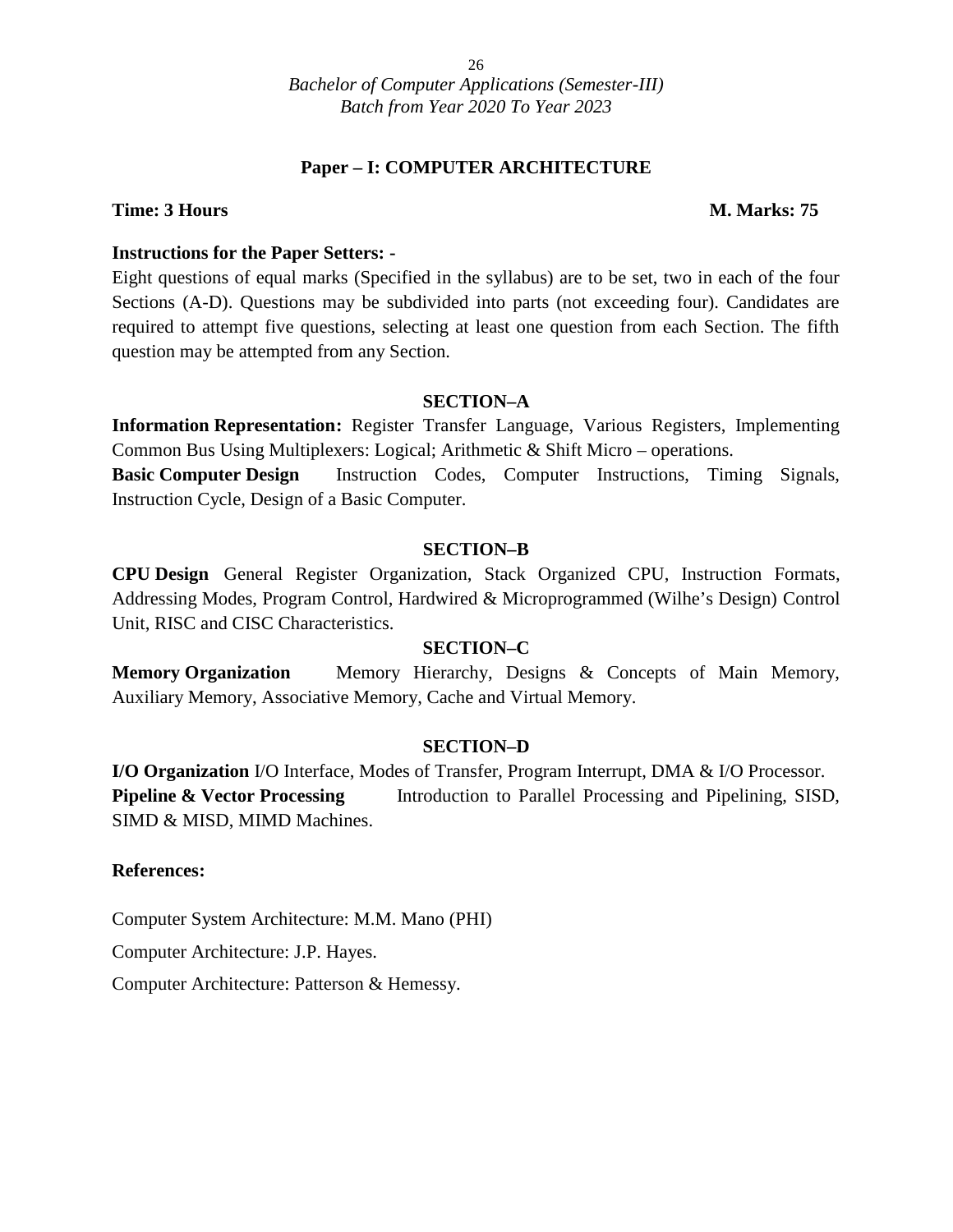#### **Paper – I: COMPUTER ARCHITECTURE**

#### **Time: 3 Hours M. Marks: 75**

#### **Instructions for the Paper Setters: -**

Eight questions of equal marks (Specified in the syllabus) are to be set, two in each of the four Sections (A-D). Questions may be subdivided into parts (not exceeding four). Candidates are required to attempt five questions, selecting at least one question from each Section. The fifth question may be attempted from any Section.

#### **SECTION–A**

**Information Representation:** Register Transfer Language, Various Registers, Implementing Common Bus Using Multiplexers: Logical; Arithmetic & Shift Micro – operations.

**Basic Computer Design** Instruction Codes, Computer Instructions, Timing Signals, Instruction Cycle, Design of a Basic Computer.

#### **SECTION–B**

**CPU Design** General Register Organization, Stack Organized CPU, Instruction Formats, Addressing Modes, Program Control, Hardwired & Microprogrammed (Wilhe's Design) Control Unit, RISC and CISC Characteristics.

#### **SECTION–C**

**Memory Organization** Memory Hierarchy, Designs & Concepts of Main Memory, Auxiliary Memory, Associative Memory, Cache and Virtual Memory.

#### **SECTION–D**

**I/O Organization** I/O Interface, Modes of Transfer, Program Interrupt, DMA & I/O Processor. **Pipeline & Vector Processing** Introduction to Parallel Processing and Pipelining, SISD, SIMD & MISD, MIMD Machines.

#### **References:**

Computer System Architecture: M.M. Mano (PHI)

Computer Architecture: J.P. Hayes.

Computer Architecture: Patterson & Hemessy.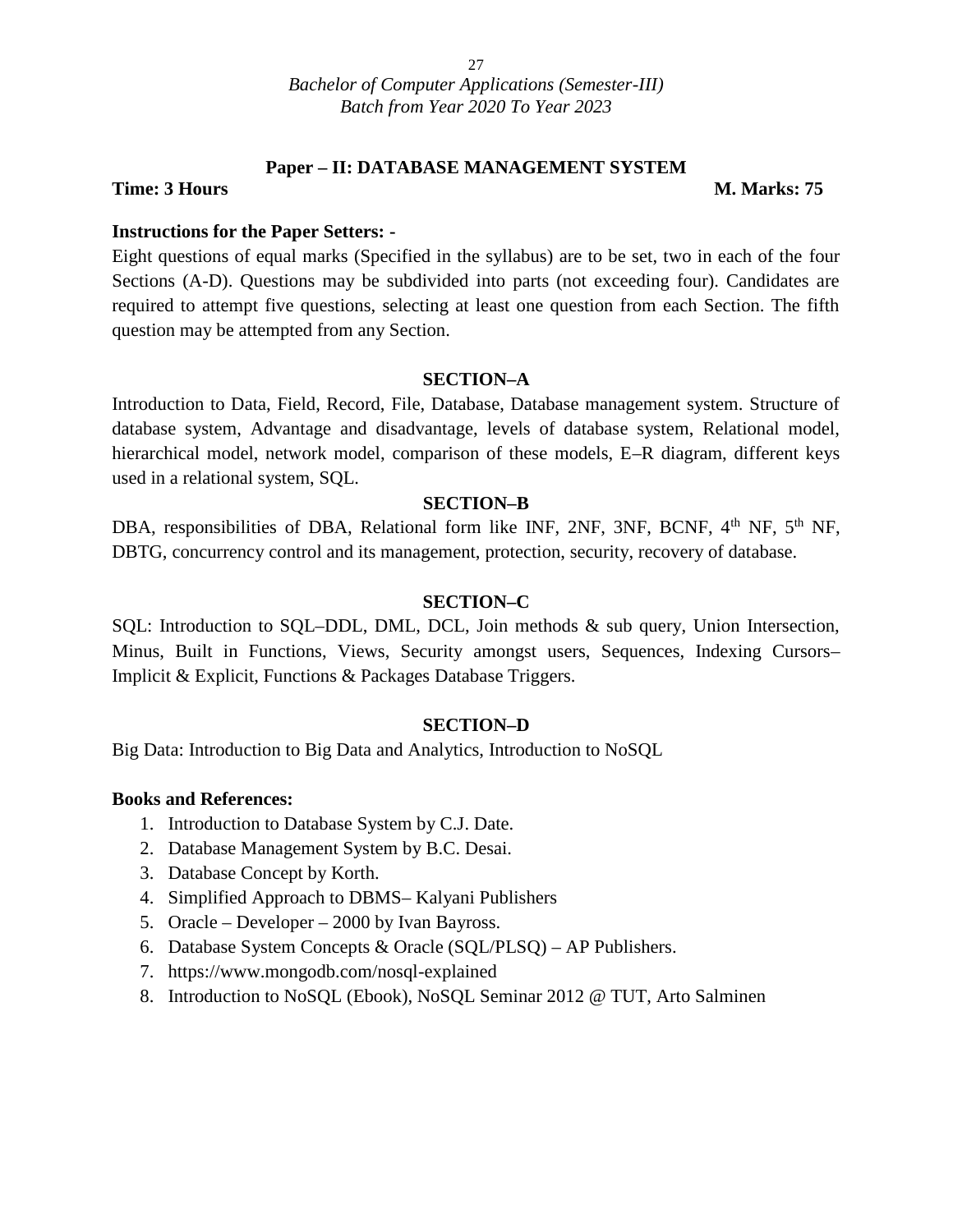#### **Paper – II: DATABASE MANAGEMENT SYSTEM**

#### **Time: 3 Hours M. Marks: 75**

#### **Instructions for the Paper Setters: -**

Eight questions of equal marks (Specified in the syllabus) are to be set, two in each of the four Sections (A-D). Questions may be subdivided into parts (not exceeding four). Candidates are required to attempt five questions, selecting at least one question from each Section. The fifth question may be attempted from any Section.

#### **SECTION–A**

Introduction to Data, Field, Record, File, Database, Database management system. Structure of database system, Advantage and disadvantage, levels of database system, Relational model, hierarchical model, network model, comparison of these models, E–R diagram, different keys used in a relational system, SQL.

#### **SECTION–B**

DBA, responsibilities of DBA, Relational form like INF, 2NF, 3NF, BCNF, 4<sup>th</sup> NF, 5<sup>th</sup> NF, DBTG, concurrency control and its management, protection, security, recovery of database.

#### **SECTION–C**

SQL: Introduction to SQL–DDL, DML, DCL, Join methods & sub query, Union Intersection, Minus, Built in Functions, Views, Security amongst users, Sequences, Indexing Cursors– Implicit & Explicit, Functions & Packages Database Triggers.

#### **SECTION–D**

Big Data: Introduction to Big Data and Analytics, Introduction to NoSQL

#### **Books and References:**

- 1. Introduction to Database System by C.J. Date.
- 2. Database Management System by B.C. Desai.
- 3. Database Concept by Korth.
- 4. Simplified Approach to DBMS– Kalyani Publishers
- 5. Oracle Developer 2000 by Ivan Bayross.
- 6. Database System Concepts & Oracle (SQL/PLSQ) AP Publishers.
- 7. https://www.mongodb.com/nosql-explained
- 8. Introduction to NoSQL (Ebook), NoSQL Seminar 2012 @ TUT, Arto Salminen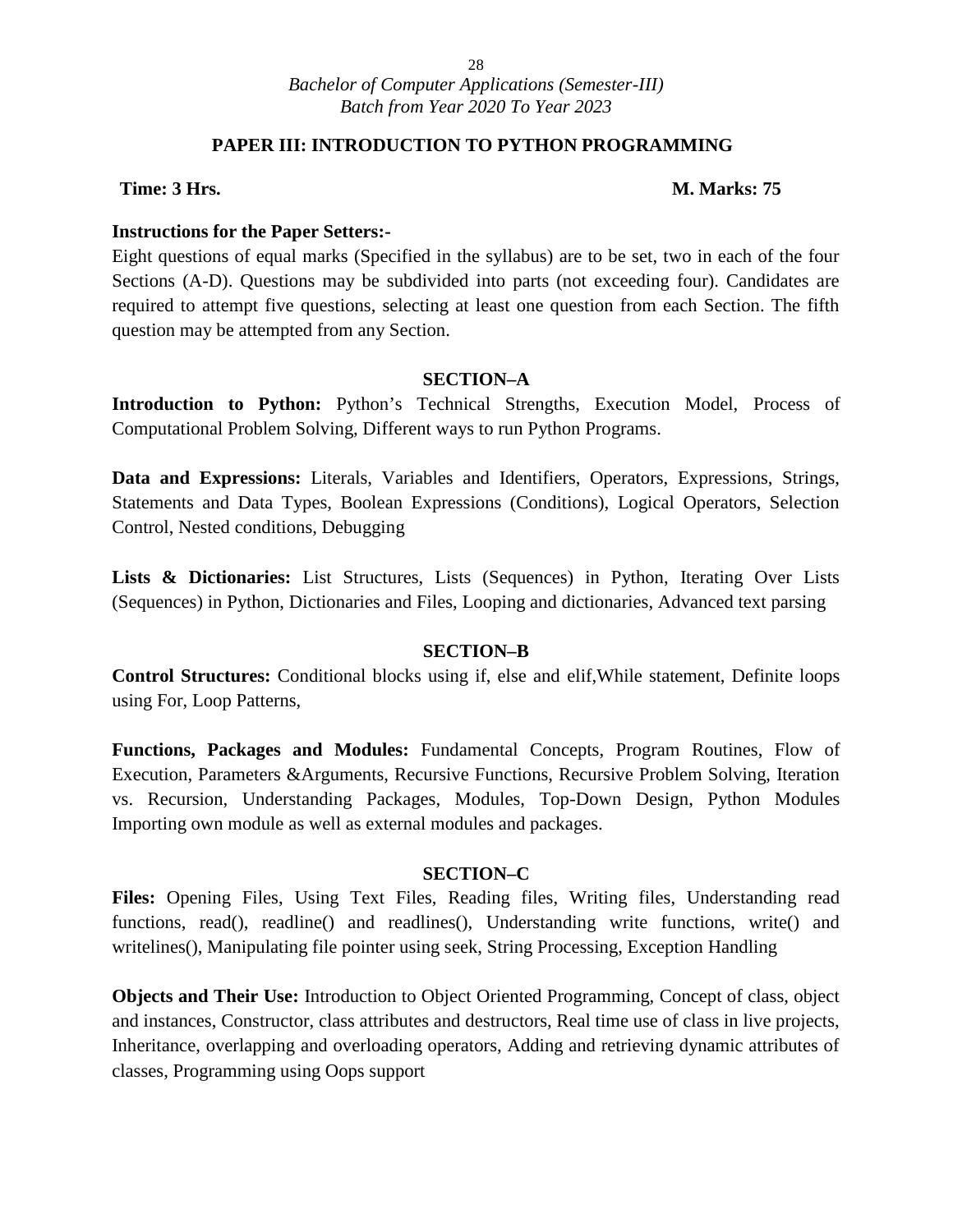#### **PAPER III: INTRODUCTION TO PYTHON PROGRAMMING**

#### **Time: 3 Hrs. M. Marks: 75**

#### **Instructions for the Paper Setters:-**

Eight questions of equal marks (Specified in the syllabus) are to be set, two in each of the four Sections (A-D). Questions may be subdivided into parts (not exceeding four). Candidates are required to attempt five questions, selecting at least one question from each Section. The fifth question may be attempted from any Section.

#### **SECTION–A**

**Introduction to Python:** Python's Technical Strengths, Execution Model, Process of Computational Problem Solving, Different ways to run Python Programs.

**Data and Expressions:** Literals, Variables and Identifiers, Operators, Expressions, Strings, Statements and Data Types, Boolean Expressions (Conditions), Logical Operators, Selection Control, Nested conditions, Debugging

**Lists & Dictionaries:** List Structures, Lists (Sequences) in Python, Iterating Over Lists (Sequences) in Python, Dictionaries and Files, Looping and dictionaries, Advanced text parsing

#### **SECTION–B**

**Control Structures:** Conditional blocks using if, else and elif,While statement, Definite loops using For, Loop Patterns,

**Functions, Packages and Modules:** Fundamental Concepts, Program Routines, Flow of Execution, Parameters &Arguments, Recursive Functions, Recursive Problem Solving, Iteration vs. Recursion, Understanding Packages, Modules, Top-Down Design, Python Modules Importing own module as well as external modules and packages.

#### **SECTION–C**

**Files:** Opening Files, Using Text Files, Reading files, Writing files, Understanding read functions, read(), readline() and readlines(), Understanding write functions, write() and writelines(), Manipulating file pointer using seek, String Processing, Exception Handling

**Objects and Their Use:** Introduction to Object Oriented Programming, Concept of class, object and instances, Constructor, class attributes and destructors, Real time use of class in live projects, Inheritance, overlapping and overloading operators, Adding and retrieving dynamic attributes of classes, Programming using Oops support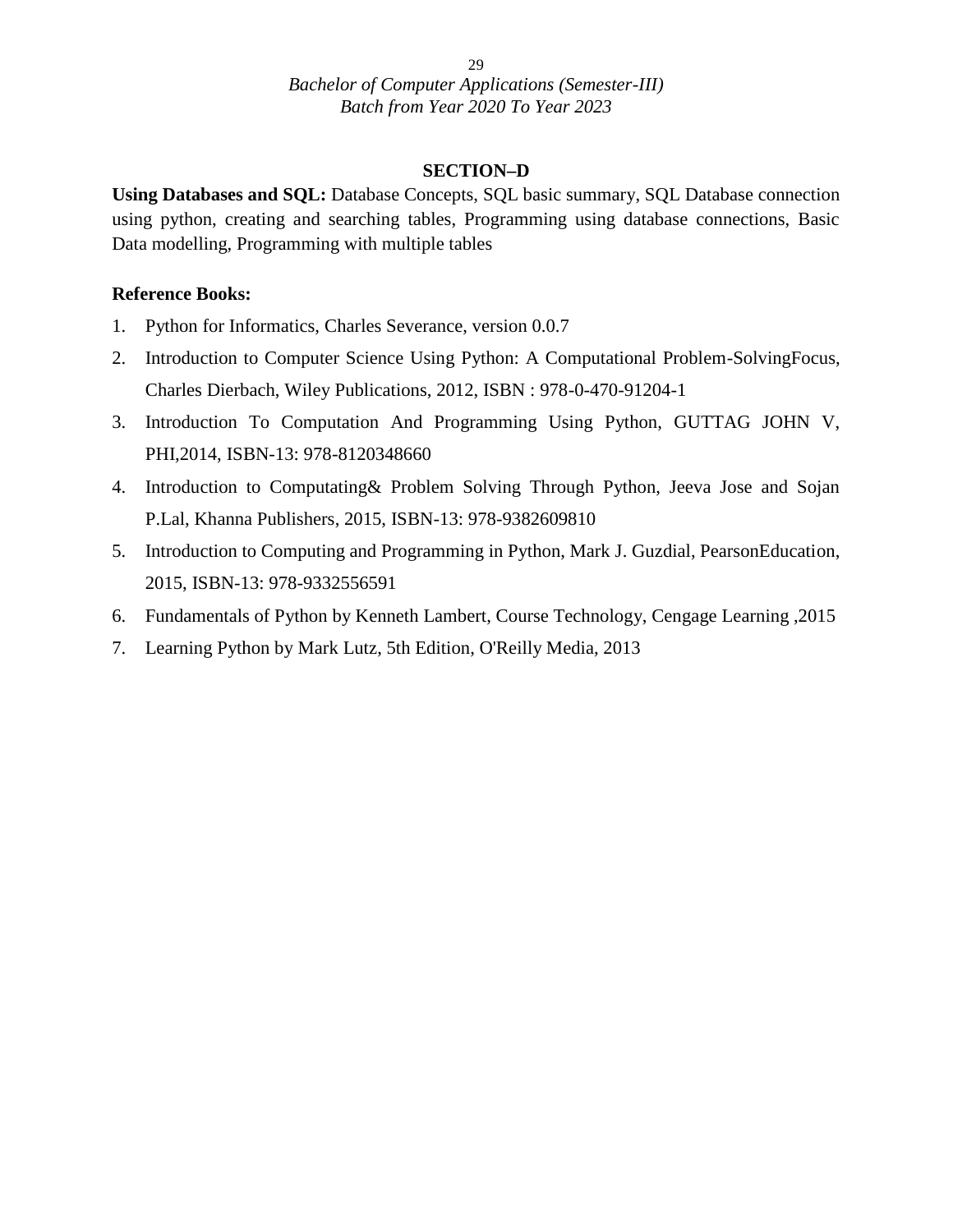#### **SECTION–D**

**Using Databases and SQL:** Database Concepts, SQL basic summary, SQL Database connection using python, creating and searching tables, Programming using database connections, Basic Data modelling, Programming with multiple tables

#### **Reference Books:**

- 1. Python for Informatics, Charles Severance, version 0.0.7
- 2. Introduction to Computer Science Using Python: A Computational Problem-SolvingFocus, Charles Dierbach, Wiley Publications, 2012, ISBN : 978-0-470-91204-1
- 3. Introduction To Computation And Programming Using Python, GUTTAG JOHN V, PHI,2014, ISBN-13: 978-8120348660
- 4. Introduction to Computating& Problem Solving Through Python, Jeeva Jose and Sojan P.Lal, Khanna Publishers, 2015, ISBN-13: 978-9382609810
- 5. Introduction to Computing and Programming in Python, Mark J. Guzdial, PearsonEducation, 2015, ISBN-13: 978-9332556591
- 6. Fundamentals of Python by Kenneth Lambert, Course Technology, Cengage Learning ,2015
- 7. Learning Python by Mark Lutz, 5th Edition, O'Reilly Media, 2013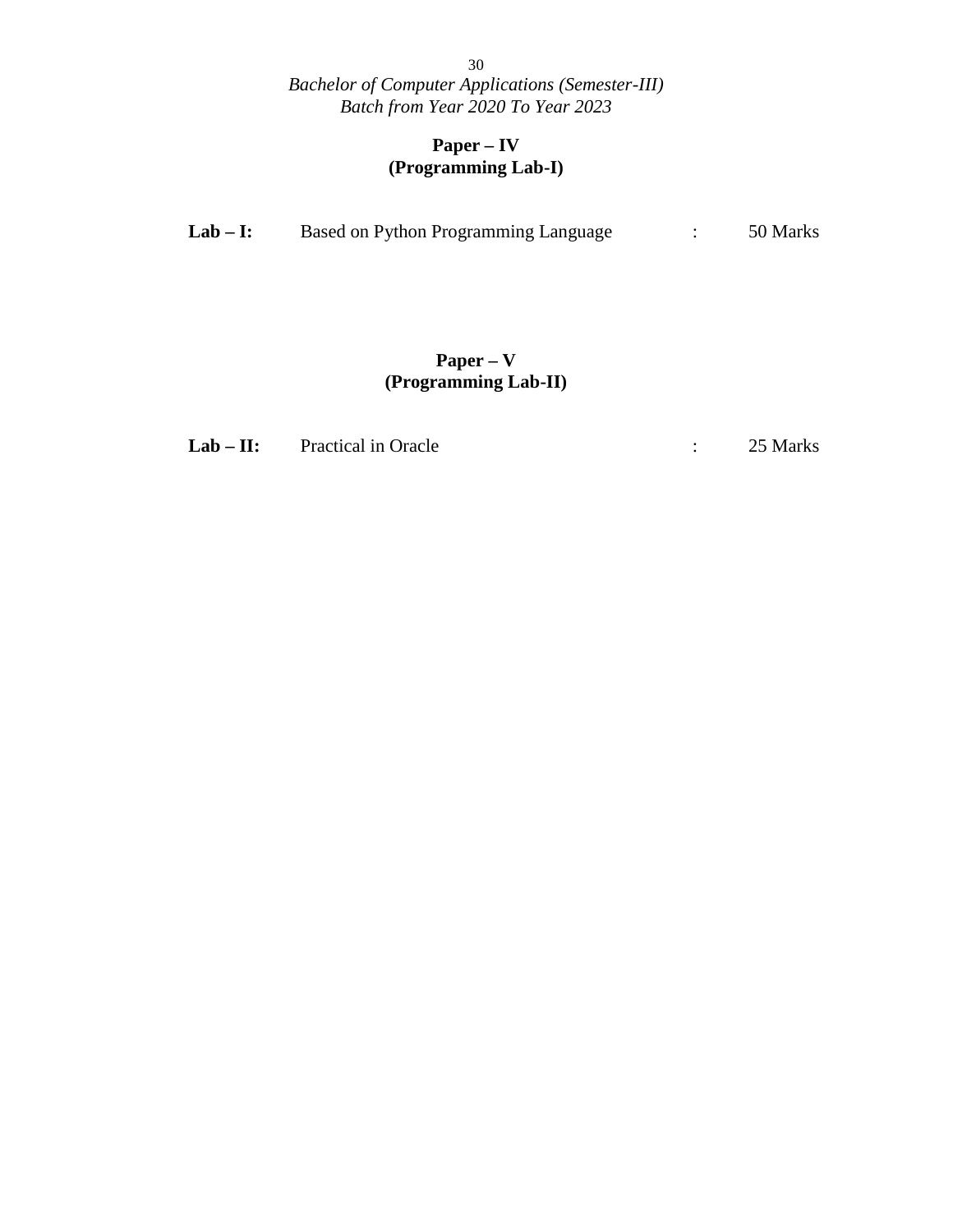#### **Paper – IV (Programming Lab-I)**

| $Lab-I:$ | Based on Python Programming Language |  | 50 Marks |  |
|----------|--------------------------------------|--|----------|--|
|----------|--------------------------------------|--|----------|--|

### **Paper – V (Programming Lab-II)**

**Lab** – **II:** Practical in Oracle : 25 Marks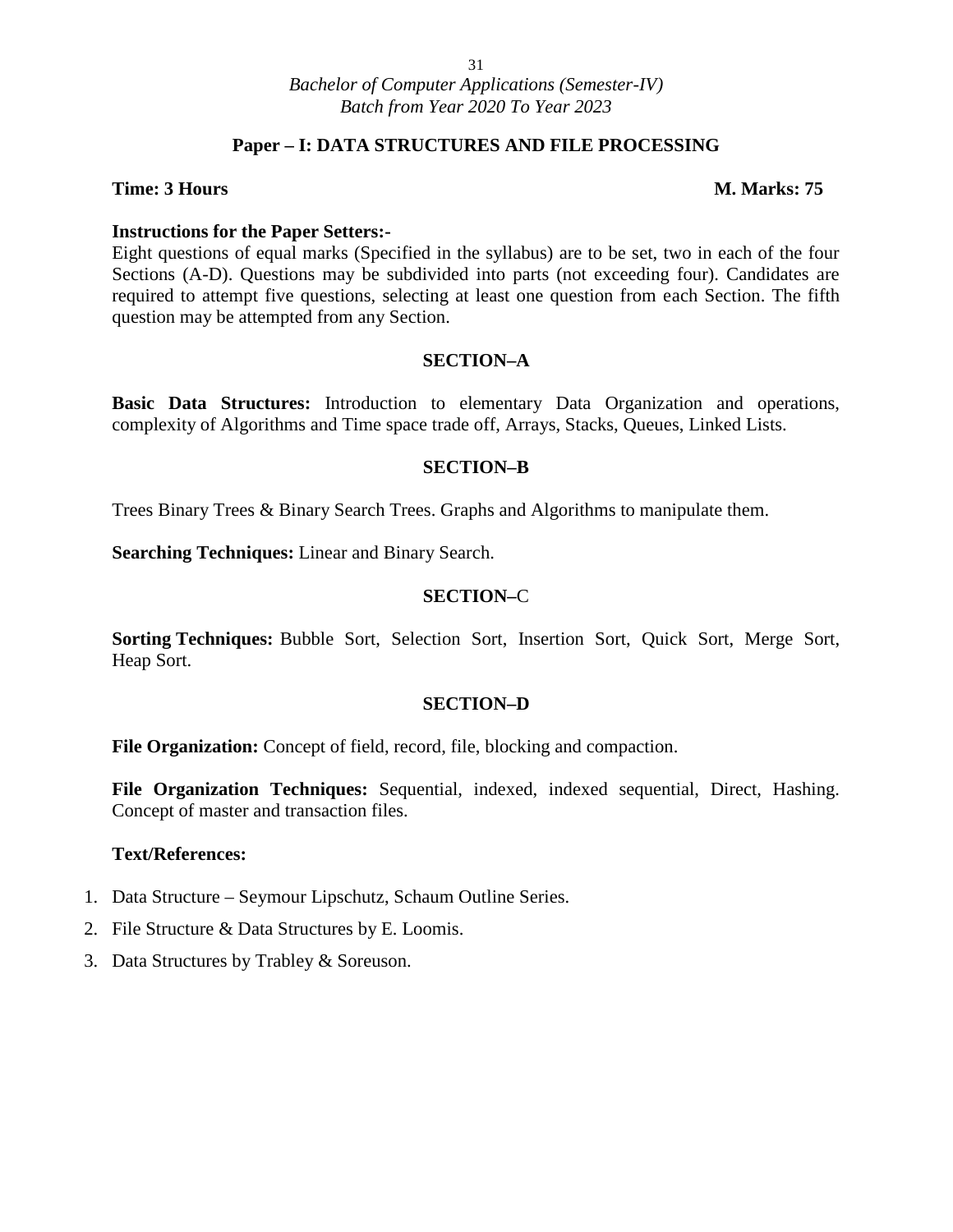#### **Paper – I: DATA STRUCTURES AND FILE PROCESSING**

#### **Time: 3 Hours M. Marks: 75**

#### **Instructions for the Paper Setters:-**

Eight questions of equal marks (Specified in the syllabus) are to be set, two in each of the four Sections (A-D). Questions may be subdivided into parts (not exceeding four). Candidates are required to attempt five questions, selecting at least one question from each Section. The fifth question may be attempted from any Section.

#### **SECTION–A**

**Basic Data Structures:** Introduction to elementary Data Organization and operations, complexity of Algorithms and Time space trade off, Arrays, Stacks, Queues, Linked Lists.

#### **SECTION–B**

Trees Binary Trees & Binary Search Trees. Graphs and Algorithms to manipulate them.

**Searching Techniques:** Linear and Binary Search.

#### **SECTION–**C

**Sorting Techniques:** Bubble Sort, Selection Sort, Insertion Sort, Quick Sort, Merge Sort, Heap Sort.

#### **SECTION–D**

**File Organization:** Concept of field, record, file, blocking and compaction.

**File Organization Techniques:** Sequential, indexed, indexed sequential, Direct, Hashing. Concept of master and transaction files.

#### **Text/References:**

- 1. Data Structure Seymour Lipschutz, Schaum Outline Series.
- 2. File Structure & Data Structures by E. Loomis.
- 3. Data Structures by Trabley & Soreuson.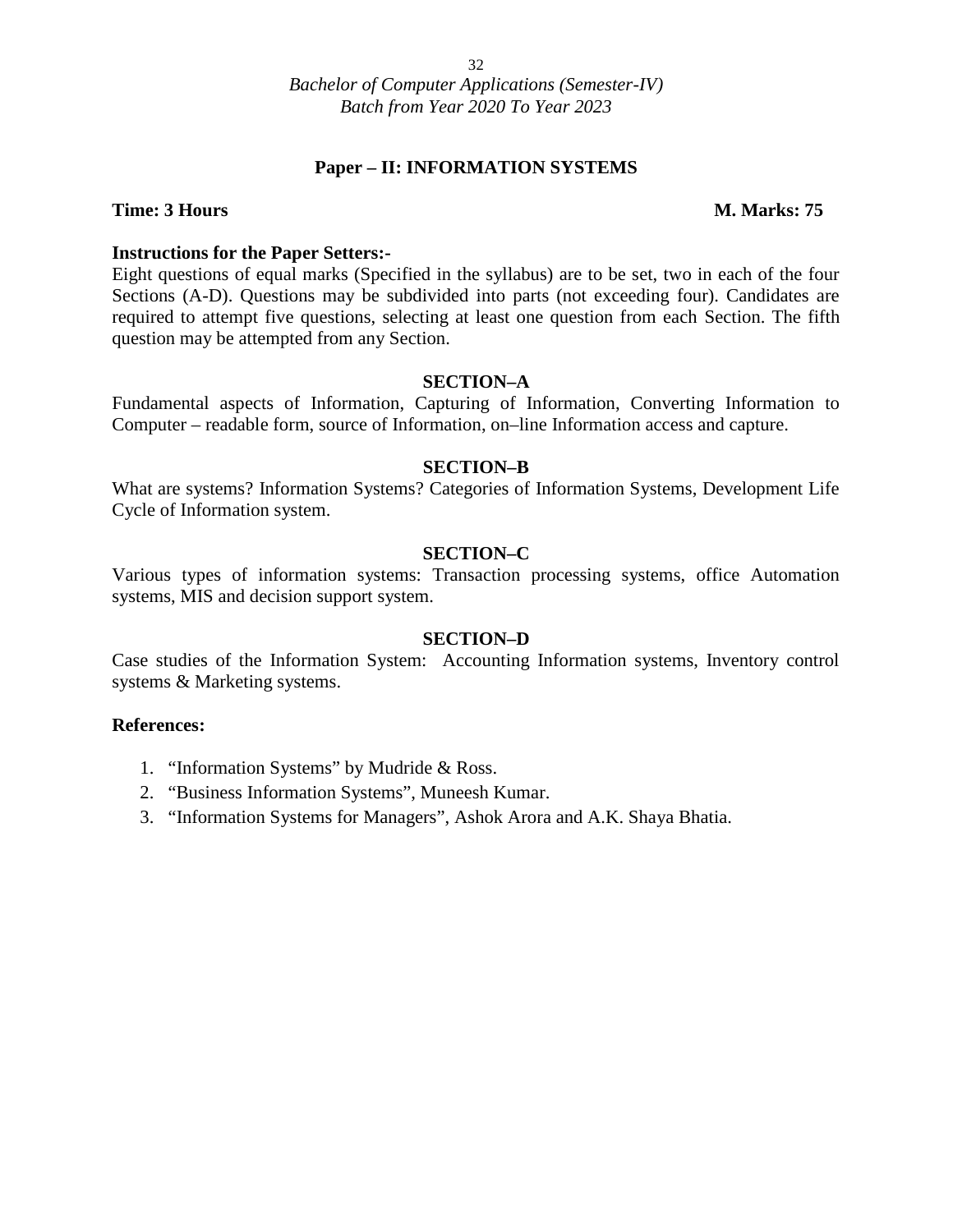#### **Paper – II: INFORMATION SYSTEMS**

#### **Time: 3 Hours M. Marks: 75**

#### **Instructions for the Paper Setters:-**

Eight questions of equal marks (Specified in the syllabus) are to be set, two in each of the four Sections (A-D). Questions may be subdivided into parts (not exceeding four). Candidates are required to attempt five questions, selecting at least one question from each Section. The fifth question may be attempted from any Section.

#### **SECTION–A**

Fundamental aspects of Information, Capturing of Information, Converting Information to Computer – readable form, source of Information, on–line Information access and capture.

#### **SECTION–B**

What are systems? Information Systems? Categories of Information Systems, Development Life Cycle of Information system.

#### **SECTION–C**

Various types of information systems: Transaction processing systems, office Automation systems, MIS and decision support system.

#### **SECTION–D**

Case studies of the Information System: Accounting Information systems, Inventory control systems & Marketing systems.

- 1. "Information Systems" by Mudride & Ross.
- 2. "Business Information Systems", Muneesh Kumar.
- 3. "Information Systems for Managers", Ashok Arora and A.K. Shaya Bhatia.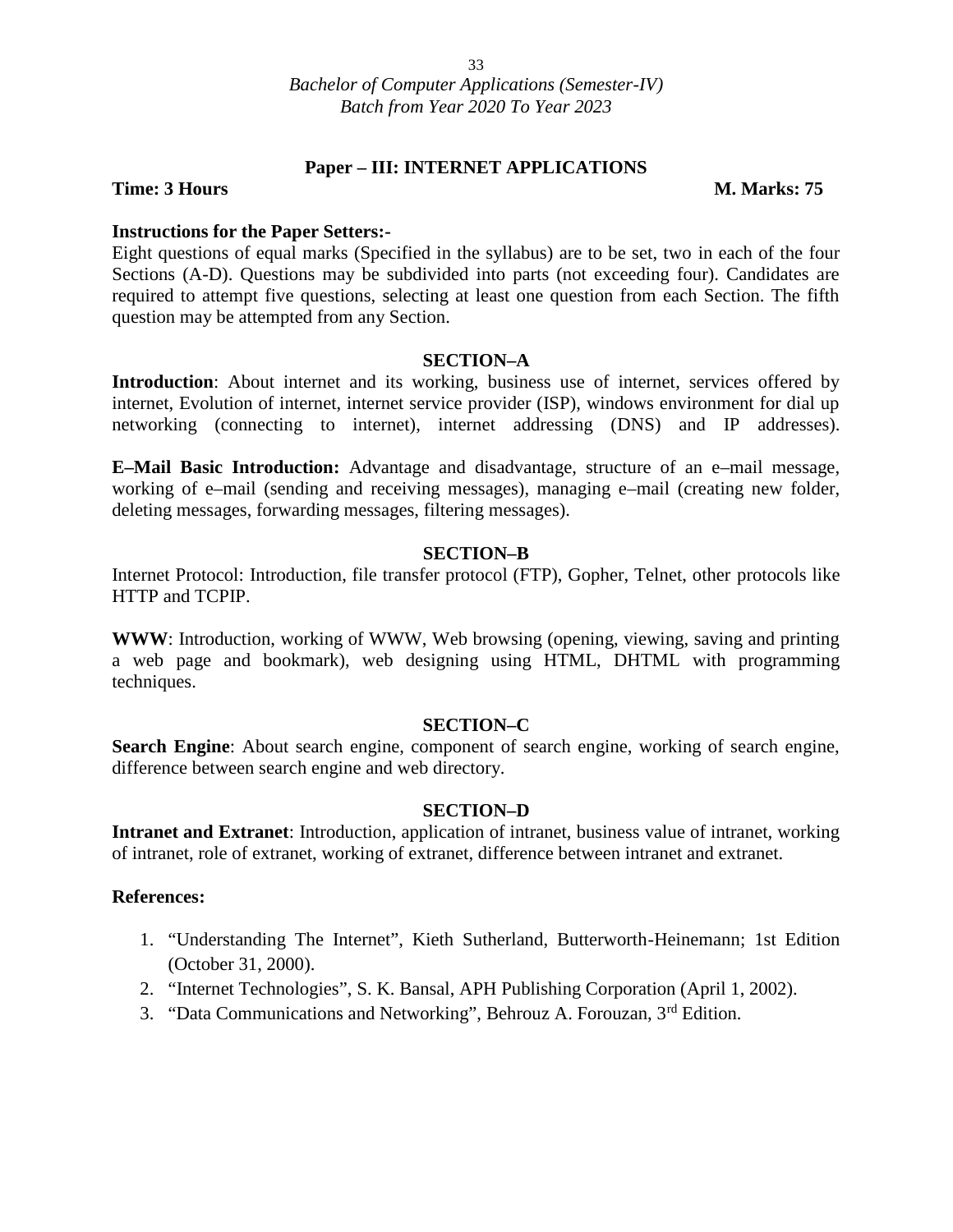#### **Paper – III: INTERNET APPLICATIONS**

#### **Time: 3 Hours M. Marks: 75**

#### **Instructions for the Paper Setters:-**

Eight questions of equal marks (Specified in the syllabus) are to be set, two in each of the four Sections (A-D). Questions may be subdivided into parts (not exceeding four). Candidates are required to attempt five questions, selecting at least one question from each Section. The fifth question may be attempted from any Section.

#### **SECTION–A**

**Introduction**: About internet and its working, business use of internet, services offered by internet, Evolution of internet, internet service provider (ISP), windows environment for dial up networking (connecting to internet), internet addressing (DNS) and IP addresses).

**E–Mail Basic Introduction:** Advantage and disadvantage, structure of an e–mail message, working of e–mail (sending and receiving messages), managing e–mail (creating new folder, deleting messages, forwarding messages, filtering messages).

#### **SECTION–B**

Internet Protocol: Introduction, file transfer protocol (FTP), Gopher, Telnet, other protocols like HTTP and TCPIP.

**WWW**: Introduction, working of WWW, Web browsing (opening, viewing, saving and printing a web page and bookmark), web designing using HTML, DHTML with programming techniques.

#### **SECTION–C**

**Search Engine**: About search engine, component of search engine, working of search engine, difference between search engine and web directory.

#### **SECTION–D**

**Intranet and Extranet**: Introduction, application of intranet, business value of intranet, working of intranet, role of extranet, working of extranet, difference between intranet and extranet.

- 1. "Understanding The Internet", Kieth Sutherland, Butterworth-Heinemann; 1st Edition (October 31, 2000).
- 2. "Internet Technologies", S. K. Bansal, APH Publishing Corporation (April 1, 2002).
- 3. "Data Communications and Networking", Behrouz A. Forouzan, 3rd Edition.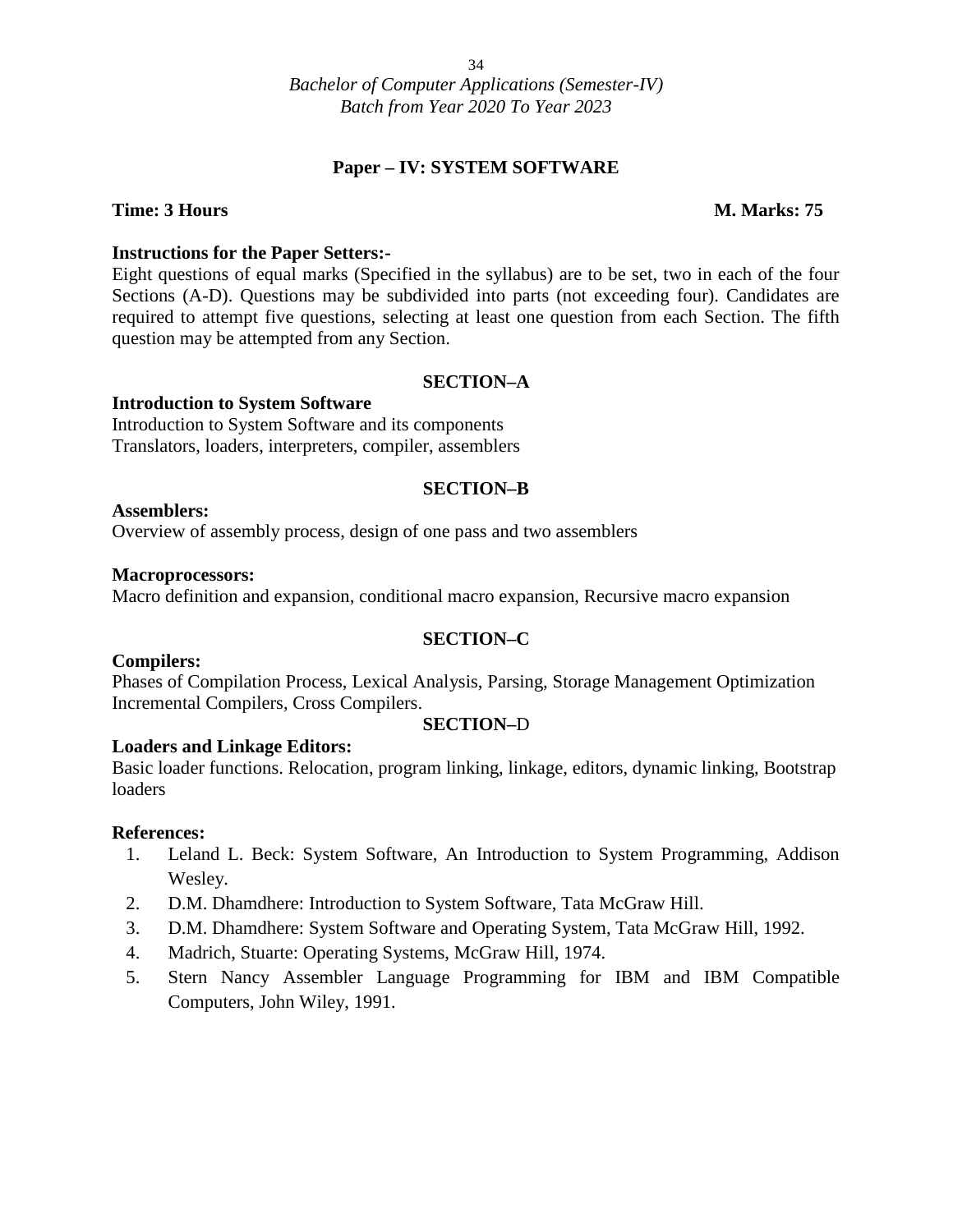#### **Paper – IV: SYSTEM SOFTWARE**

#### **Time: 3 Hours M. Marks: 75**

#### **Instructions for the Paper Setters:-**

Eight questions of equal marks (Specified in the syllabus) are to be set, two in each of the four Sections (A-D). Questions may be subdivided into parts (not exceeding four). Candidates are required to attempt five questions, selecting at least one question from each Section. The fifth question may be attempted from any Section.

#### **SECTION–A**

#### **Introduction to System Software**

Introduction to System Software and its components Translators, loaders, interpreters, compiler, assemblers

#### **SECTION–B**

#### **Assemblers:**

Overview of assembly process, design of one pass and two assemblers

#### **Macroprocessors:**

Macro definition and expansion, conditional macro expansion, Recursive macro expansion

#### **SECTION–C**

#### **Compilers:**

Phases of Compilation Process, Lexical Analysis, Parsing, Storage Management Optimization Incremental Compilers, Cross Compilers.

#### **SECTION–**D

#### **Loaders and Linkage Editors:**

Basic loader functions. Relocation, program linking, linkage, editors, dynamic linking, Bootstrap loaders

- 1. Leland L. Beck: System Software, An Introduction to System Programming, Addison Wesley.
- 2. D.M. Dhamdhere: Introduction to System Software, Tata McGraw Hill.
- 3. D.M. Dhamdhere: System Software and Operating System, Tata McGraw Hill, 1992.
- 4. Madrich, Stuarte: Operating Systems, McGraw Hill, 1974.
- 5. Stern Nancy Assembler Language Programming for IBM and IBM Compatible Computers, John Wiley, 1991.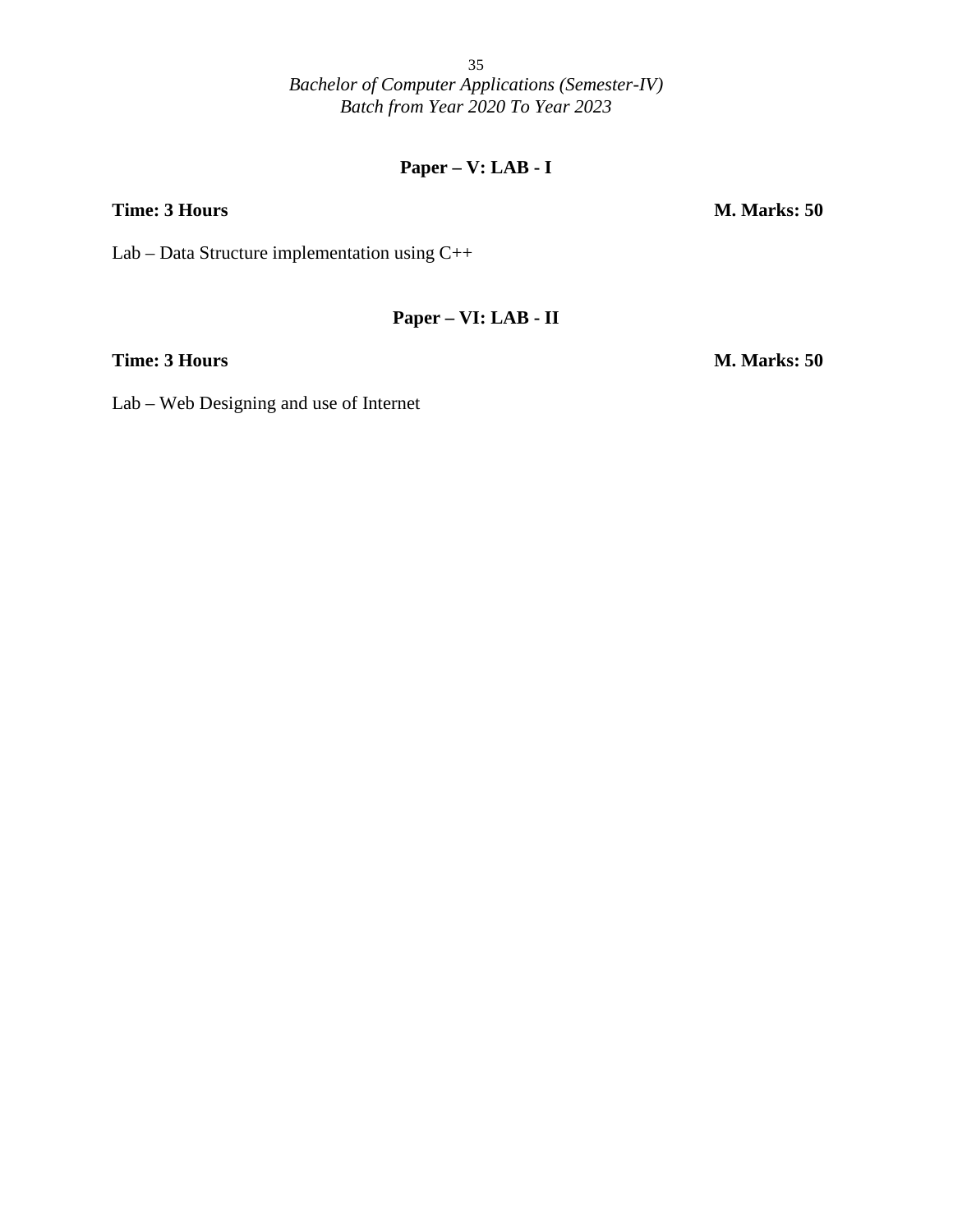### **Paper – V: LAB - I**

Lab – Data Structure implementation using C++

#### **Paper – VI: LAB - II**

**Time: 3 Hours M. Marks: 50**

Lab – Web Designing and use of Internet

**Time: 3 Hours M. Marks: 50**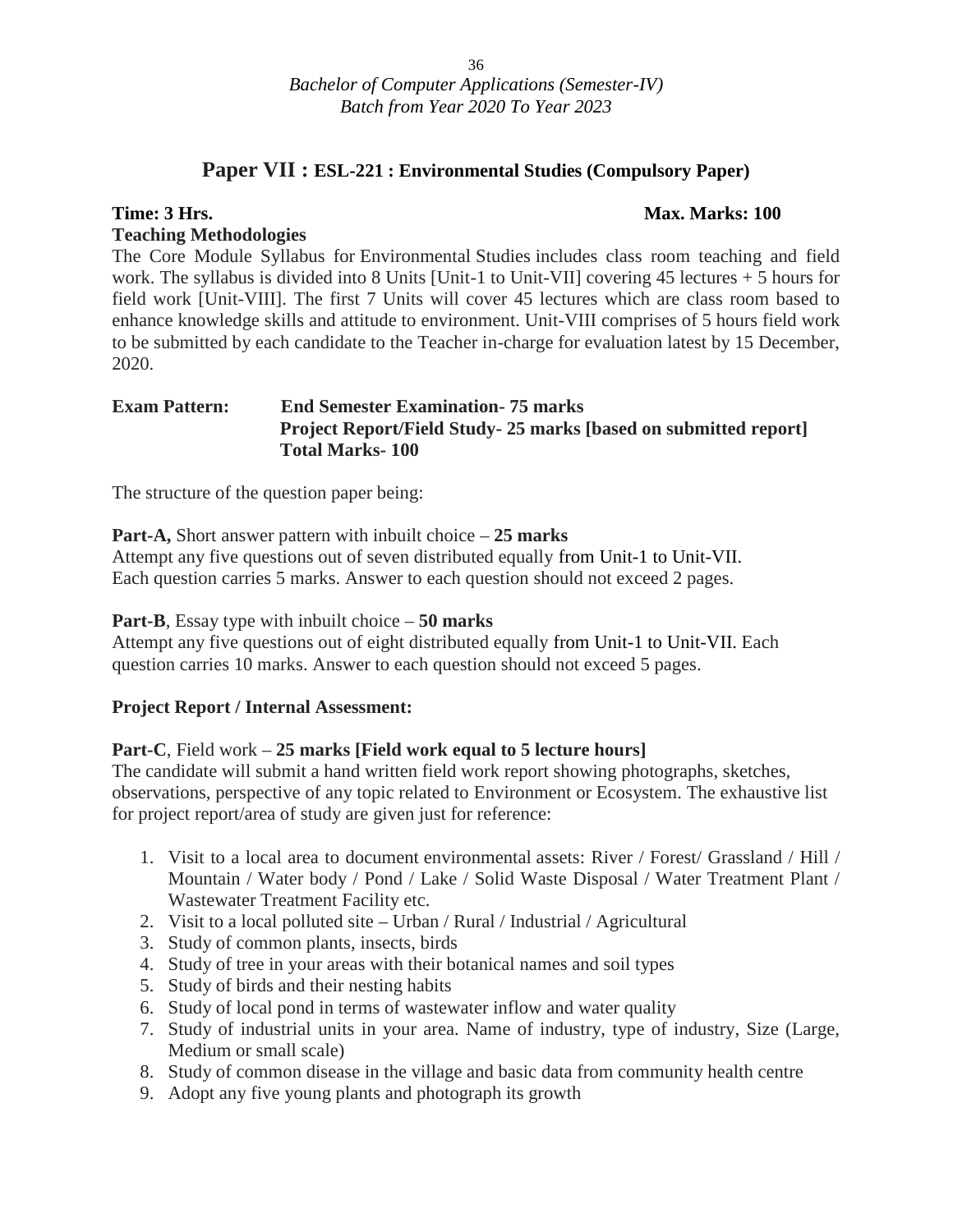### **Paper VII : ESL-221 : Environmental Studies (Compulsory Paper)**

#### **Time: 3 Hrs. Max. Marks: 100**

#### **Teaching Methodologies**

The Core Module Syllabus for Environmental Studies includes class room teaching and field work. The syllabus is divided into 8 Units [Unit-1 to Unit-VII] covering 45 lectures + 5 hours for field work [Unit-VIII]. The first 7 Units will cover 45 lectures which are class room based to enhance knowledge skills and attitude to environment. Unit-VIII comprises of 5 hours field work to be submitted by each candidate to the Teacher in-charge for evaluation latest by 15 December, 2020.

#### **Exam Pattern: End Semester Examination- 75 marks Project Report/Field Study- 25 marks [based on submitted report] Total Marks- 100**

The structure of the question paper being:

**Part-A,** Short answer pattern with inbuilt choice – **25 marks**

Attempt any five questions out of seven distributed equally from Unit-1 to Unit-VII. Each question carries 5 marks. Answer to each question should not exceed 2 pages.

**Part-B**, Essay type with inbuilt choice – **50 marks**

Attempt any five questions out of eight distributed equally from Unit-1 to Unit-VII. Each question carries 10 marks. Answer to each question should not exceed 5 pages.

#### **Project Report / Internal Assessment:**

#### **Part-C**, Field work – **25 marks [Field work equal to 5 lecture hours]**

The candidate will submit a hand written field work report showing photographs, sketches, observations, perspective of any topic related to Environment or Ecosystem. The exhaustive list for project report/area of study are given just for reference:

- 1. Visit to a local area to document environmental assets: River / Forest/ Grassland / Hill / Mountain / Water body / Pond / Lake / Solid Waste Disposal / Water Treatment Plant / Wastewater Treatment Facility etc.
- 2. Visit to a local polluted site Urban / Rural / Industrial / Agricultural
- 3. Study of common plants, insects, birds
- 4. Study of tree in your areas with their botanical names and soil types
- 5. Study of birds and their nesting habits
- 6. Study of local pond in terms of wastewater inflow and water quality
- 7. Study of industrial units in your area. Name of industry, type of industry, Size (Large, Medium or small scale)
- 8. Study of common disease in the village and basic data from community health centre
- 9. Adopt any five young plants and photograph its growth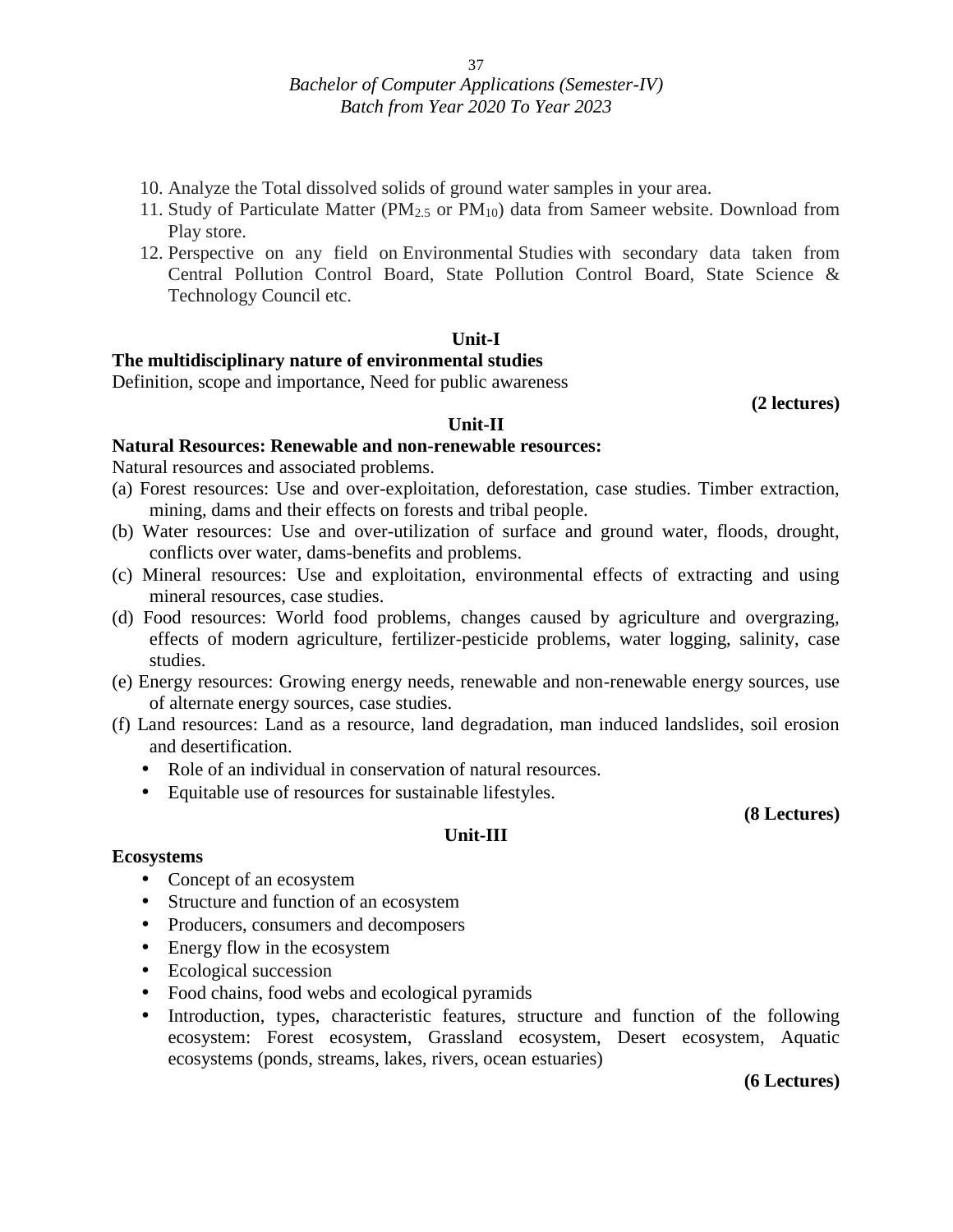- 10. Analyze the Total dissolved solids of ground water samples in your area.
- 11. Study of Particulate Matter ( $PM_{2.5}$  or  $PM_{10}$ ) data from Sameer website. Download from Play store.
- 12. Perspective on any field on Environmental Studies with secondary data taken from Central Pollution Control Board, State Pollution Control Board, State Science & Technology Council etc.

#### **Unit-I**

#### **The multidisciplinary nature of environmental studies**

Definition, scope and importance, Need for public awareness

**(2 lectures)**

#### **Unit-II**

#### **Natural Resources: Renewable and non-renewable resources:**

Natural resources and associated problems.

- (a) Forest resources: Use and over-exploitation, deforestation, case studies. Timber extraction, mining, dams and their effects on forests and tribal people.
- (b) Water resources: Use and over-utilization of surface and ground water, floods, drought, conflicts over water, dams-benefits and problems.
- (c) Mineral resources: Use and exploitation, environmental effects of extracting and using mineral resources, case studies.
- (d) Food resources: World food problems, changes caused by agriculture and overgrazing, effects of modern agriculture, fertilizer-pesticide problems, water logging, salinity, case studies.
- (e) Energy resources: Growing energy needs, renewable and non-renewable energy sources, use of alternate energy sources, case studies.
- (f) Land resources: Land as a resource, land degradation, man induced landslides, soil erosion and desertification.

**Unit-III**

- Role of an individual in conservation of natural resources.
- Equitable use of resources for sustainable lifestyles.

**(8 Lectures)**

#### **Ecosystems**

- Concept of an ecosystem
- Structure and function of an ecosystem
- Producers, consumers and decomposers
- Energy flow in the ecosystem
- Ecological succession
- Food chains, food webs and ecological pyramids
- Introduction, types, characteristic features, structure and function of the following ecosystem: Forest ecosystem, Grassland ecosystem, Desert ecosystem, Aquatic ecosystems (ponds, streams, lakes, rivers, ocean estuaries)

#### **(6 Lectures)**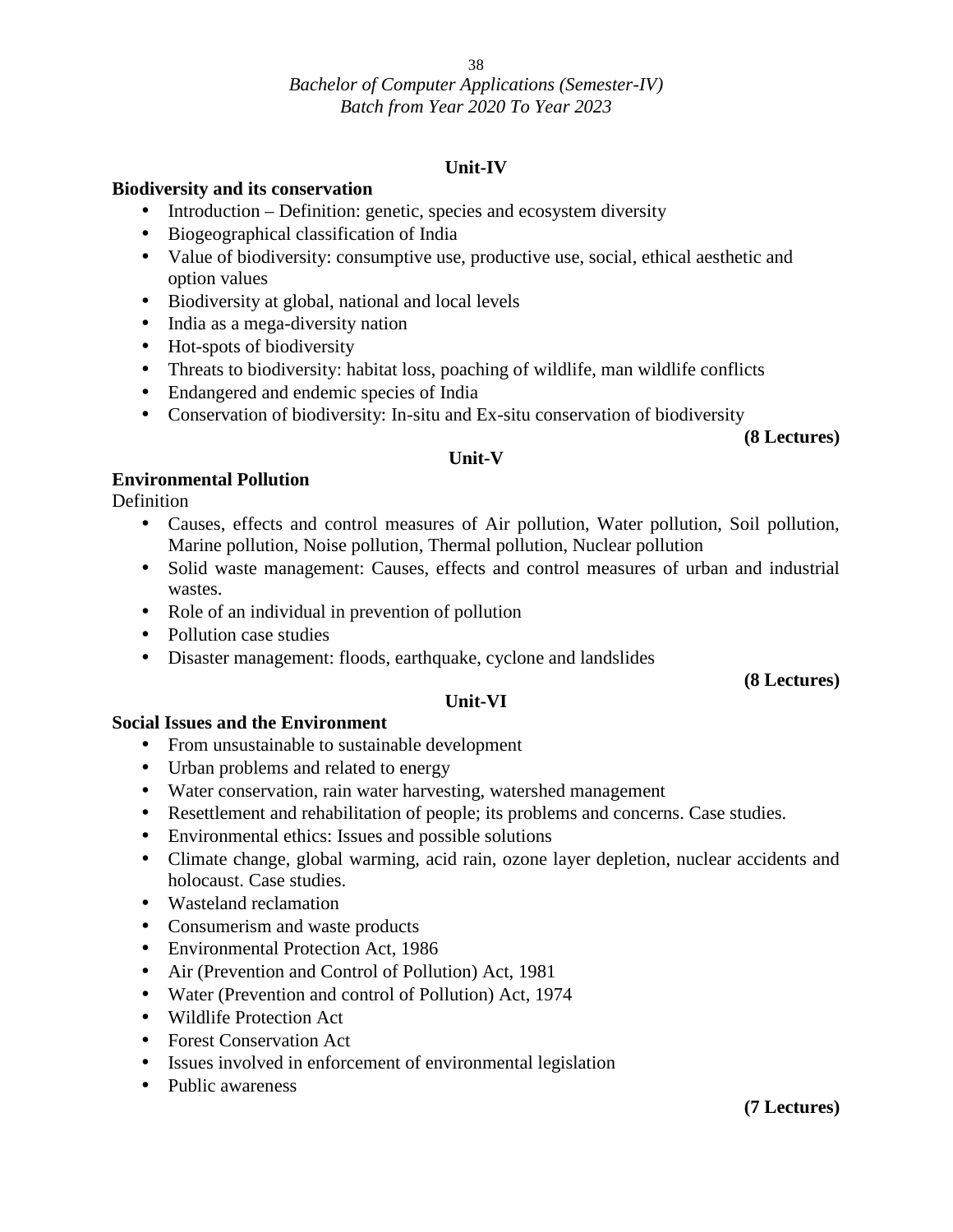#### 38

#### *Bachelor of Computer Applications (Semester-IV) Batch from Year 2020 To Year 2023*

#### **Unit-IV**

#### **Biodiversity and its conservation**

- $\bullet$  Introduction Definition: genetic, species and ecosystem diversity
- Biogeographical classification of India
- Value of biodiversity: consumptive use, productive use, social, ethical aesthetic and option values
- Biodiversity at global, national and local levels
- India as a mega-diversity nation
- Hot-spots of biodiversity
- Threats to biodiversity: habitat loss, poaching of wildlife, man wildlife conflicts
- Endangered and endemic species of India
- Conservation of biodiversity: In-situ and Ex-situ conservation of biodiversity

#### **(8 Lectures)**

#### **Unit-V**

#### **Environmental Pollution**

**Definition** 

- Causes, effects and control measures of Air pollution, Water pollution, Soil pollution, Marine pollution, Noise pollution, Thermal pollution, Nuclear pollution
- Solid waste management: Causes, effects and control measures of urban and industrial wastes.
- Role of an individual in prevention of pollution
- Pollution case studies
- Disaster management: floods, earthquake, cyclone and landslides

**(8 Lectures)**

#### **Unit-VI**

#### **Social Issues and the Environment**

- From unsustainable to sustainable development
- Urban problems and related to energy
- Water conservation, rain water harvesting, watershed management
- Resettlement and rehabilitation of people; its problems and concerns. Case studies.
- Environmental ethics: Issues and possible solutions
- Climate change, global warming, acid rain, ozone layer depletion, nuclear accidents and holocaust. Case studies.
- Wasteland reclamation
- Consumerism and waste products
- Environmental Protection Act, 1986
- Air (Prevention and Control of Pollution) Act, 1981
- Water (Prevention and control of Pollution) Act, 1974
- Wildlife Protection Act
- Forest Conservation Act
- Issues involved in enforcement of environmental legislation
- Public awareness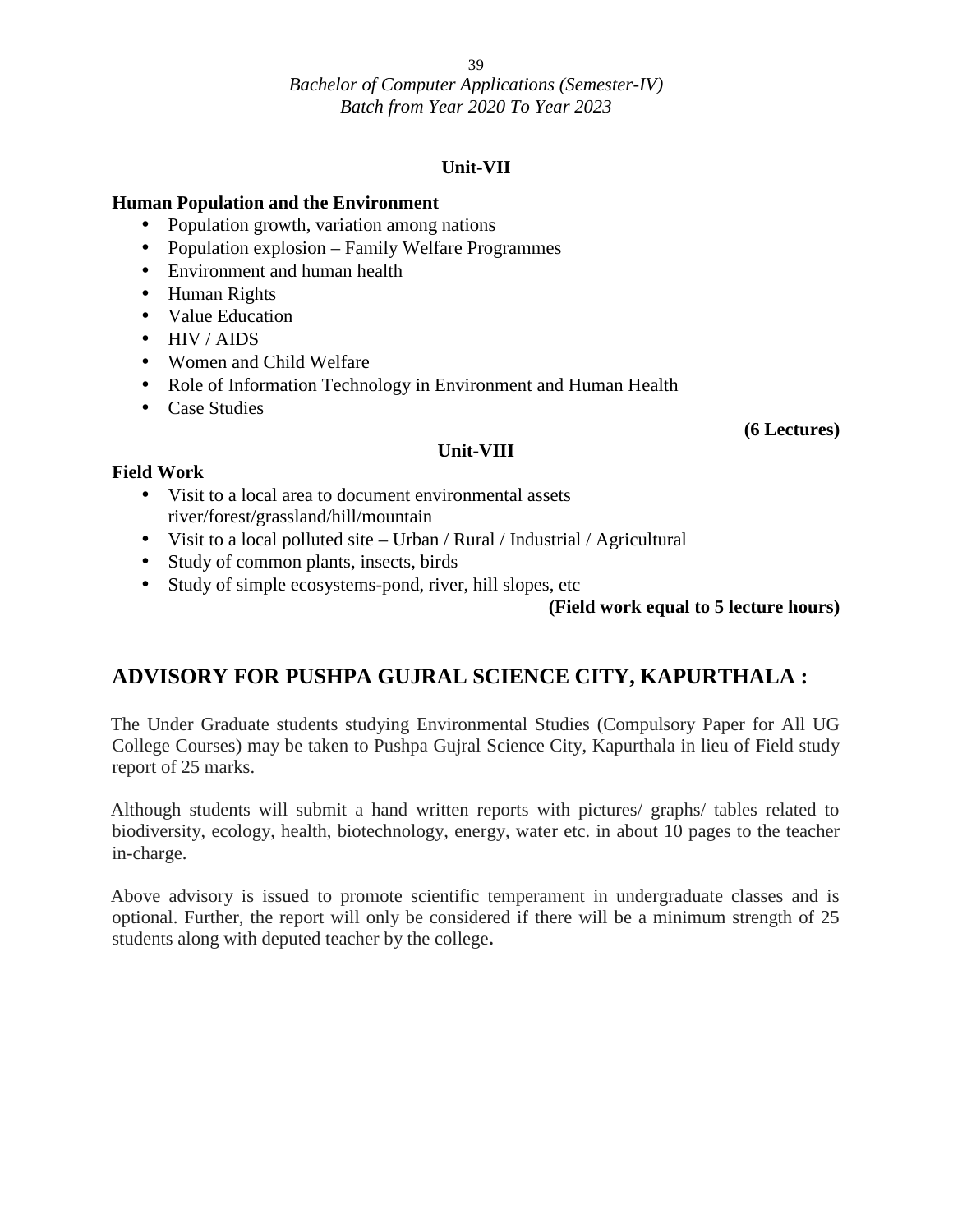39

*Bachelor of Computer Applications (Semester-IV) Batch from Year 2020 To Year 2023*

#### **Unit-VII**

**Unit-VIII**

#### **Human Population and the Environment**

- Population growth, variation among nations
- Population explosion Family Welfare Programmes
- Environment and human health
- Human Rights
- Value Education
- HIV / AIDS
- Women and Child Welfare
- Role of Information Technology in Environment and Human Health
- Case Studies

#### **(6 Lectures)**

#### **Field Work**

- Visit to a local area to document environmental assets river/forest/grassland/hill/mountain
- Visit to a local polluted site Urban / Rural / Industrial / Agricultural
- Study of common plants, insects, birds
- Study of simple ecosystems-pond, river, hill slopes, etc

#### **(Field work equal to 5 lecture hours)**

### **ADVISORY FOR PUSHPA GUJRAL SCIENCE CITY, KAPURTHALA :**

The Under Graduate students studying Environmental Studies (Compulsory Paper for All UG College Courses) may be taken to Pushpa Gujral Science City, Kapurthala in lieu of Field study report of 25 marks.

Although students will submit a hand written reports with pictures/ graphs/ tables related to biodiversity, ecology, health, biotechnology, energy, water etc. in about 10 pages to the teacher in-charge.

Above advisory is issued to promote scientific temperament in undergraduate classes and is optional. Further, the report will only be considered if there will be a minimum strength of 25 students along with deputed teacher by the college**.**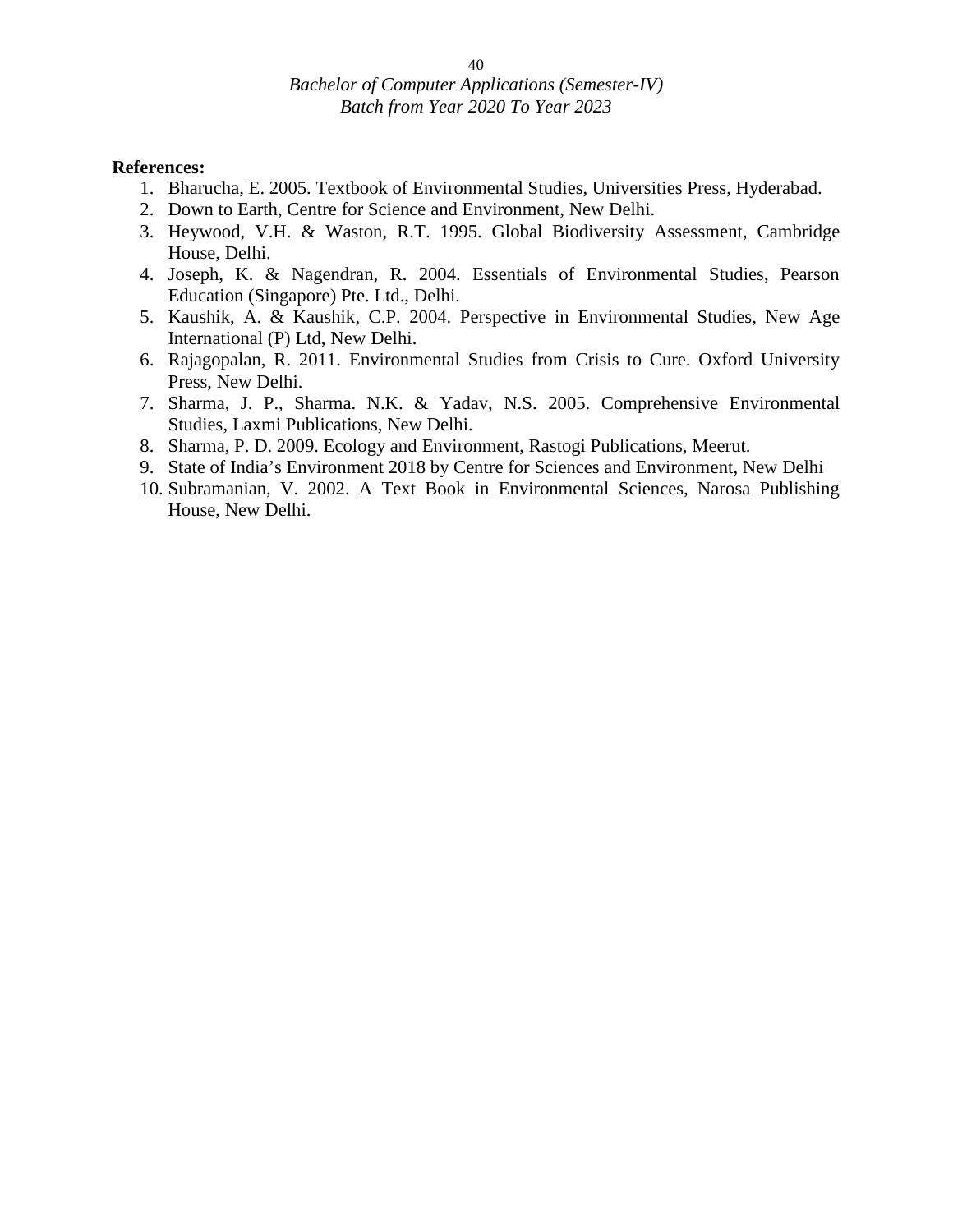- 1. Bharucha, E. 2005. Textbook of Environmental Studies, Universities Press, Hyderabad.
- 2. Down to Earth, Centre for Science and Environment, New Delhi.
- 3. Heywood, V.H. & Waston, R.T. 1995. Global Biodiversity Assessment, Cambridge House, Delhi.
- 4. Joseph, K. & Nagendran, R. 2004. Essentials of Environmental Studies, Pearson Education (Singapore) Pte. Ltd., Delhi.
- 5. Kaushik, A. & Kaushik, C.P. 2004. Perspective in Environmental Studies, New Age International (P) Ltd, New Delhi.
- 6. Rajagopalan, R. 2011. Environmental Studies from Crisis to Cure. Oxford University Press, New Delhi.
- 7. Sharma, J. P., Sharma. N.K. & Yadav, N.S. 2005. Comprehensive Environmental Studies, Laxmi Publications, New Delhi.
- 8. Sharma, P. D. 2009. Ecology and Environment, Rastogi Publications, Meerut.
- 9. State of India's Environment 2018 by Centre for Sciences and Environment, New Delhi
- 10. Subramanian, V. 2002. A Text Book in Environmental Sciences, Narosa Publishing House, New Delhi.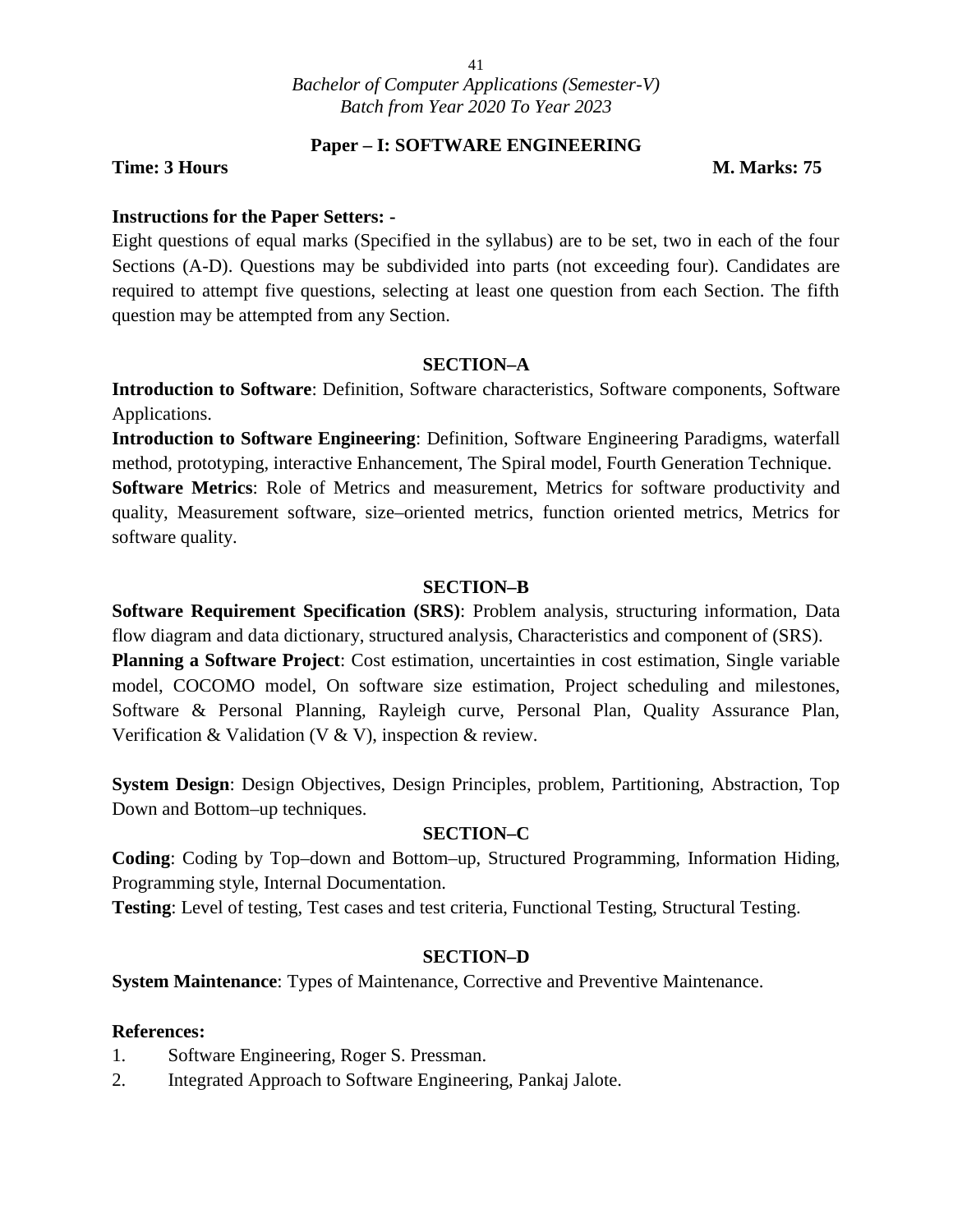#### **Paper – I: SOFTWARE ENGINEERING**

#### **Time: 3 Hours M. Marks: 75**

#### **Instructions for the Paper Setters: -**

Eight questions of equal marks (Specified in the syllabus) are to be set, two in each of the four Sections (A-D). Questions may be subdivided into parts (not exceeding four). Candidates are required to attempt five questions, selecting at least one question from each Section. The fifth question may be attempted from any Section.

#### **SECTION–A**

**Introduction to Software**: Definition, Software characteristics, Software components, Software Applications.

**Introduction to Software Engineering**: Definition, Software Engineering Paradigms, waterfall method, prototyping, interactive Enhancement, The Spiral model, Fourth Generation Technique.

**Software Metrics**: Role of Metrics and measurement, Metrics for software productivity and quality, Measurement software, size–oriented metrics, function oriented metrics, Metrics for software quality.

#### **SECTION–B**

**Software Requirement Specification (SRS)**: Problem analysis, structuring information, Data flow diagram and data dictionary, structured analysis, Characteristics and component of (SRS).

**Planning a Software Project**: Cost estimation, uncertainties in cost estimation, Single variable model, COCOMO model, On software size estimation, Project scheduling and milestones, Software & Personal Planning, Rayleigh curve, Personal Plan, Quality Assurance Plan, Verification  $&$  Validation (V  $&$  V), inspection  $&$  review.

**System Design**: Design Objectives, Design Principles, problem, Partitioning, Abstraction, Top Down and Bottom–up techniques.

#### **SECTION–C**

**Coding**: Coding by Top–down and Bottom–up, Structured Programming, Information Hiding, Programming style, Internal Documentation.

**Testing**: Level of testing, Test cases and test criteria, Functional Testing, Structural Testing.

#### **SECTION–D**

**System Maintenance**: Types of Maintenance, Corrective and Preventive Maintenance.

- 1. Software Engineering, Roger S. Pressman.
- 2. Integrated Approach to Software Engineering, Pankaj Jalote.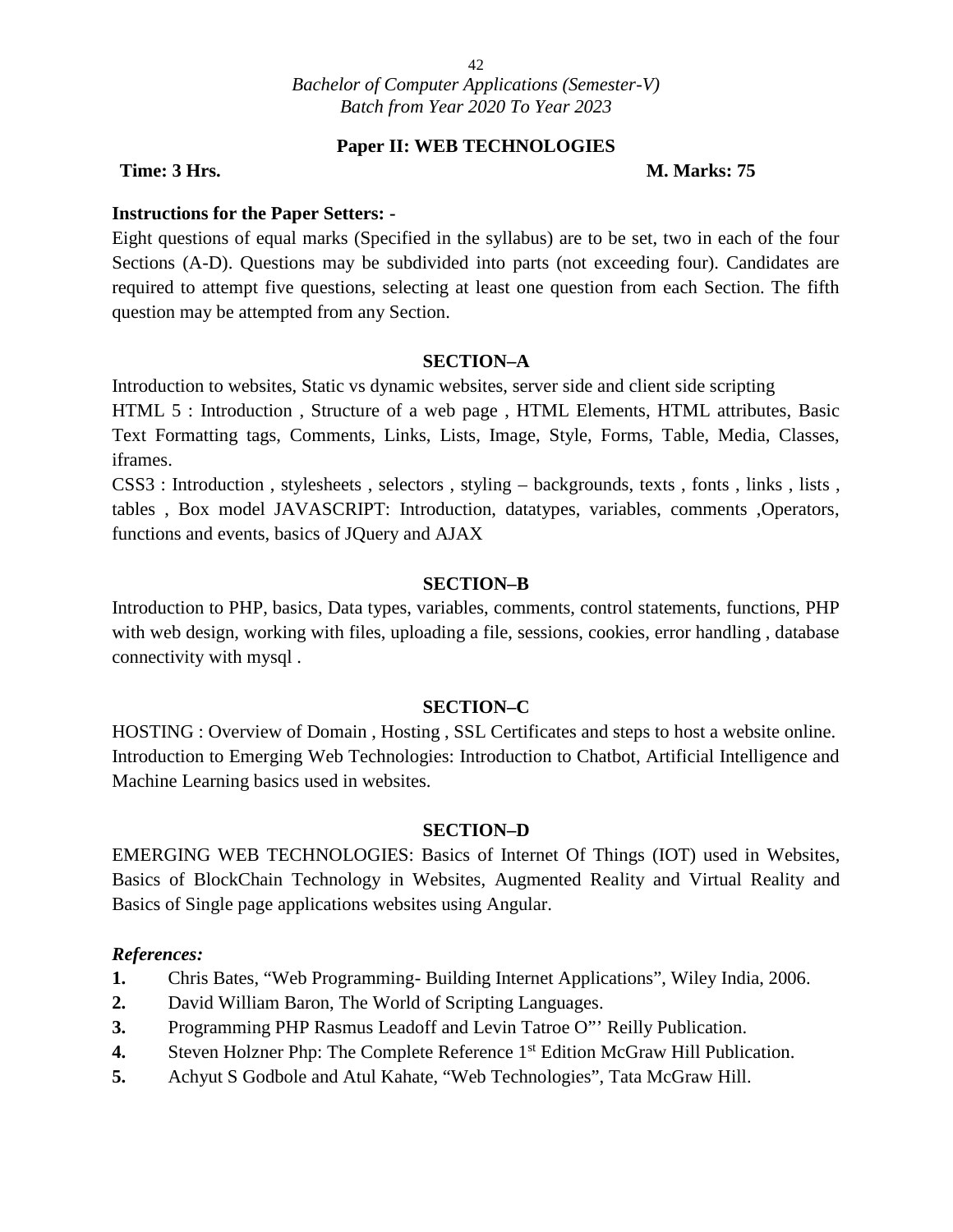#### **Paper II: WEB TECHNOLOGIES**

#### **Time: 3 Hrs. M. Marks: 75**

#### **Instructions for the Paper Setters: -**

Eight questions of equal marks (Specified in the syllabus) are to be set, two in each of the four Sections (A-D). Questions may be subdivided into parts (not exceeding four). Candidates are required to attempt five questions, selecting at least one question from each Section. The fifth question may be attempted from any Section.

#### **SECTION–A**

Introduction to websites, Static vs dynamic websites, server side and client side scripting

HTML 5 : Introduction , Structure of a web page , HTML Elements, HTML attributes, Basic Text Formatting tags, Comments, Links, Lists, Image, Style, Forms, Table, Media, Classes, iframes.

CSS3 : Introduction , stylesheets , selectors , styling – backgrounds, texts , fonts , links , lists , tables , Box model JAVASCRIPT: Introduction, datatypes, variables, comments ,Operators, functions and events, basics of JQuery and AJAX

#### **SECTION–B**

Introduction to PHP, basics, Data types, variables, comments, control statements, functions, PHP with web design, working with files, uploading a file, sessions, cookies, error handling , database connectivity with mysql .

#### **SECTION–C**

HOSTING : Overview of Domain , Hosting , SSL Certificates and steps to host a website online. Introduction to Emerging Web Technologies: Introduction to Chatbot, Artificial Intelligence and Machine Learning basics used in websites.

#### **SECTION–D**

EMERGING WEB TECHNOLOGIES: Basics of Internet Of Things (IOT) used in Websites, Basics of BlockChain Technology in Websites, Augmented Reality and Virtual Reality and Basics of Single page applications websites using Angular.

- **1.** Chris Bates, "Web Programming- Building Internet Applications", Wiley India, 2006.
- **2.** David William Baron, The World of Scripting Languages.
- **3.** Programming PHP Rasmus Leadoff and Levin Tatroe O"' Reilly Publication.
- **4.** Steven Holzner Php: The Complete Reference 1<sup>st</sup> Edition McGraw Hill Publication.
- **5.** Achyut S Godbole and Atul Kahate, "Web Technologies", Tata McGraw Hill.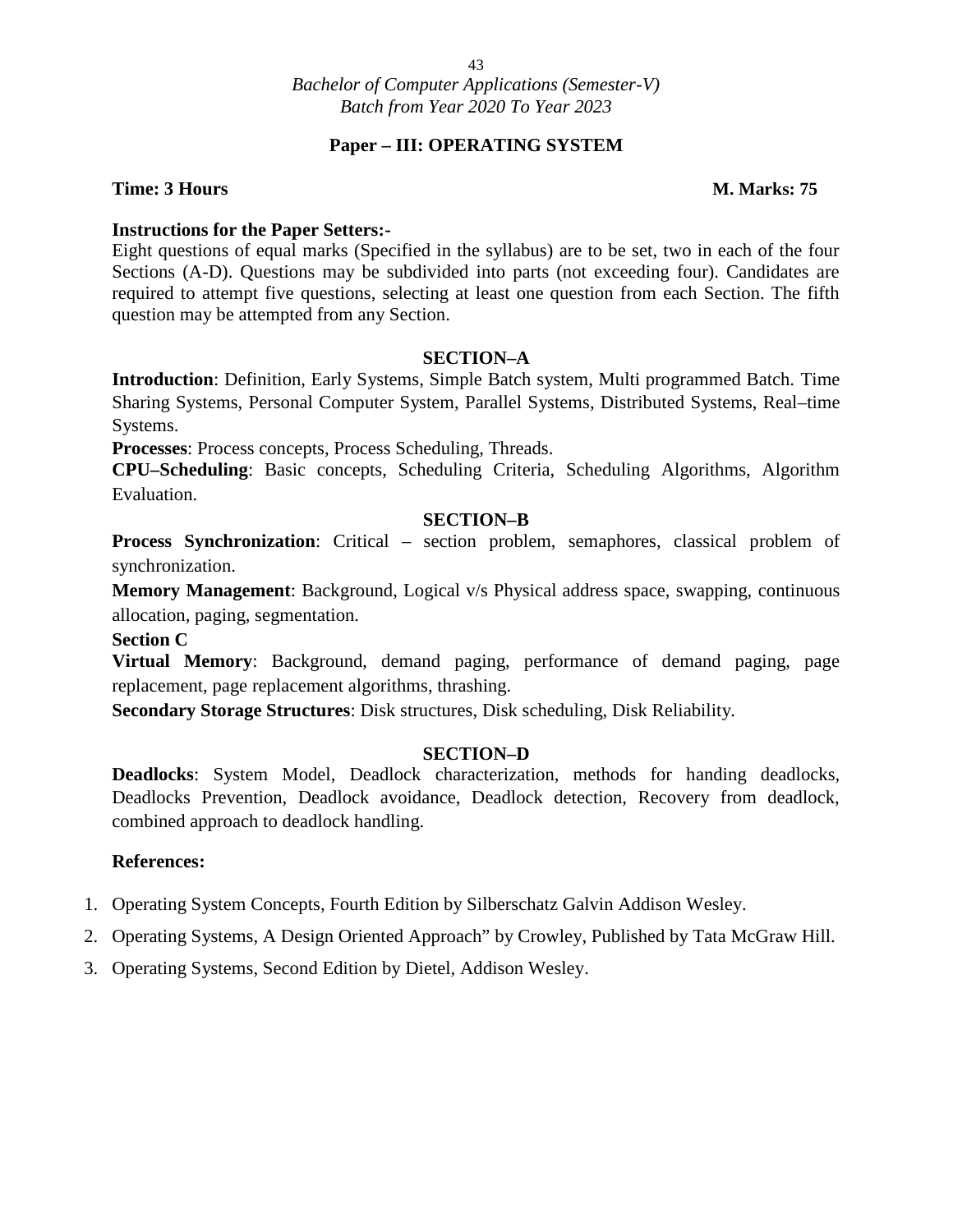#### **Paper – III: OPERATING SYSTEM**

#### **Time: 3 Hours M. Marks: 75**

#### **Instructions for the Paper Setters:-**

Eight questions of equal marks (Specified in the syllabus) are to be set, two in each of the four Sections (A-D). Questions may be subdivided into parts (not exceeding four). Candidates are required to attempt five questions, selecting at least one question from each Section. The fifth question may be attempted from any Section.

#### **SECTION–A**

**Introduction**: Definition, Early Systems, Simple Batch system, Multi programmed Batch. Time Sharing Systems, Personal Computer System, Parallel Systems, Distributed Systems, Real–time Systems.

**Processes**: Process concepts, Process Scheduling, Threads.

**CPU–Scheduling**: Basic concepts, Scheduling Criteria, Scheduling Algorithms, Algorithm Evaluation.

#### **SECTION–B**

**Process Synchronization**: Critical – section problem, semaphores, classical problem of synchronization.

**Memory Management**: Background, Logical v/s Physical address space, swapping, continuous allocation, paging, segmentation.

#### **Section C**

**Virtual Memory**: Background, demand paging, performance of demand paging, page replacement, page replacement algorithms, thrashing.

**Secondary Storage Structures**: Disk structures, Disk scheduling, Disk Reliability.

#### **SECTION–D**

**Deadlocks**: System Model, Deadlock characterization, methods for handing deadlocks, Deadlocks Prevention, Deadlock avoidance, Deadlock detection, Recovery from deadlock, combined approach to deadlock handling.

- 1. Operating System Concepts, Fourth Edition by Silberschatz Galvin Addison Wesley.
- 2. Operating Systems, A Design Oriented Approach" by Crowley, Published by Tata McGraw Hill.
- 3. Operating Systems, Second Edition by Dietel, Addison Wesley.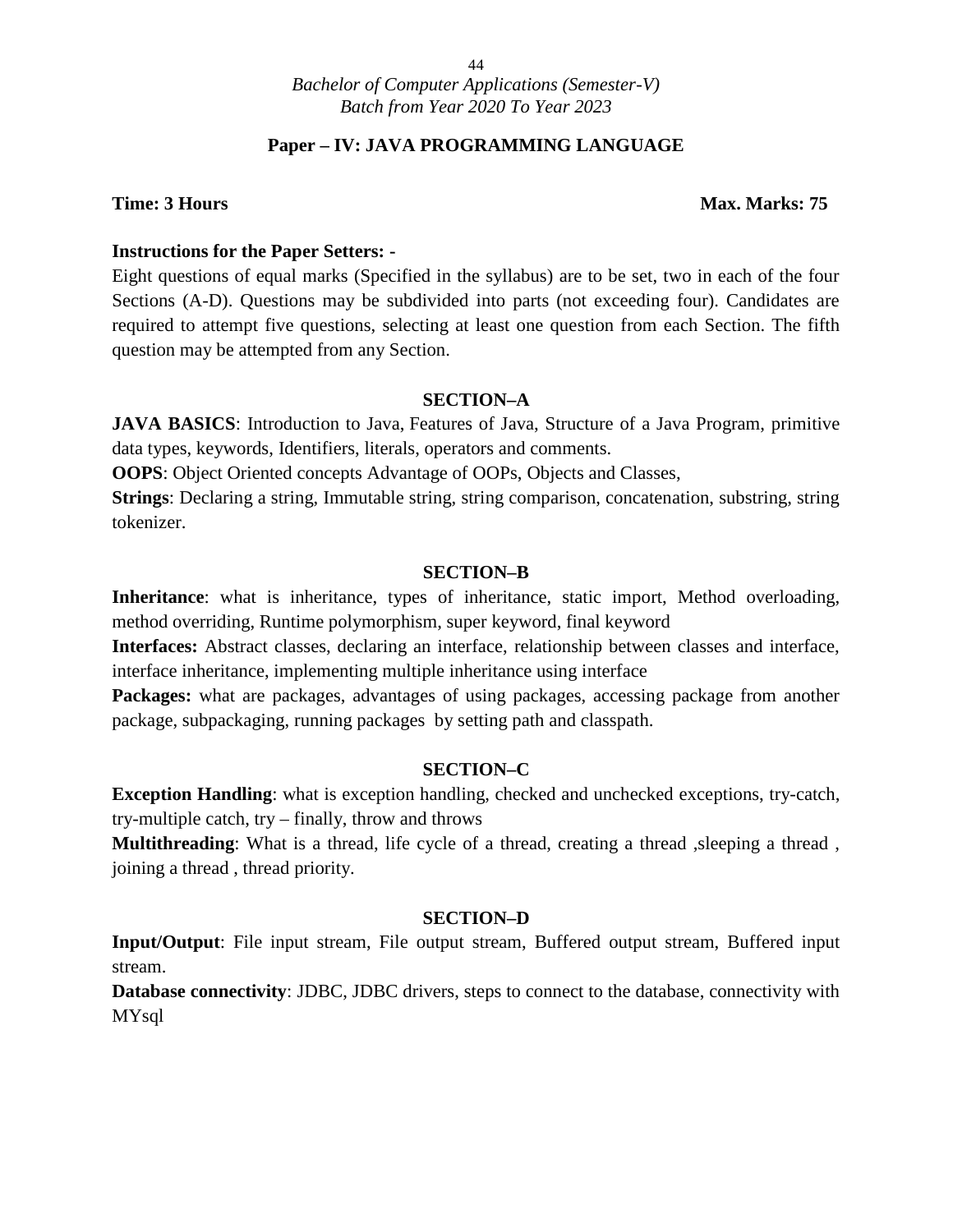#### **Paper – IV: JAVA PROGRAMMING LANGUAGE**

#### **Time: 3 Hours Max. Marks: 75**

#### **Instructions for the Paper Setters: -**

Eight questions of equal marks (Specified in the syllabus) are to be set, two in each of the four Sections (A-D). Questions may be subdivided into parts (not exceeding four). Candidates are required to attempt five questions, selecting at least one question from each Section. The fifth question may be attempted from any Section.

#### **SECTION–A**

**JAVA BASICS:** Introduction to Java, Features of Java, Structure of a Java Program, primitive data types, keywords, Identifiers, literals, operators and comments.

**OOPS**: Object Oriented concepts Advantage of OOPs, Objects and Classes,

**Strings**: Declaring a string, Immutable string, string comparison, concatenation, substring, string tokenizer.

#### **SECTION–B**

**Inheritance**: what is inheritance, types of inheritance, static import, Method overloading, method overriding, Runtime polymorphism, super keyword, final keyword

**Interfaces:** Abstract classes, declaring an interface, relationship between classes and interface, interface inheritance, implementing multiple inheritance using interface

Packages: what are packages, advantages of using packages, accessing package from another package, subpackaging, running packages by setting path and classpath.

#### **SECTION–C**

**Exception Handling**: what is exception handling, checked and unchecked exceptions, try-catch, try-multiple catch, try – finally, throw and throws

**Multithreading**: What is a thread, life cycle of a thread, creating a thread , sleeping a thread, joining a thread , thread priority.

#### **SECTION–D**

**Input/Output**: File input stream, File output stream, Buffered output stream, Buffered input stream.

**Database connectivity**: JDBC, JDBC drivers, steps to connect to the database, connectivity with MYsql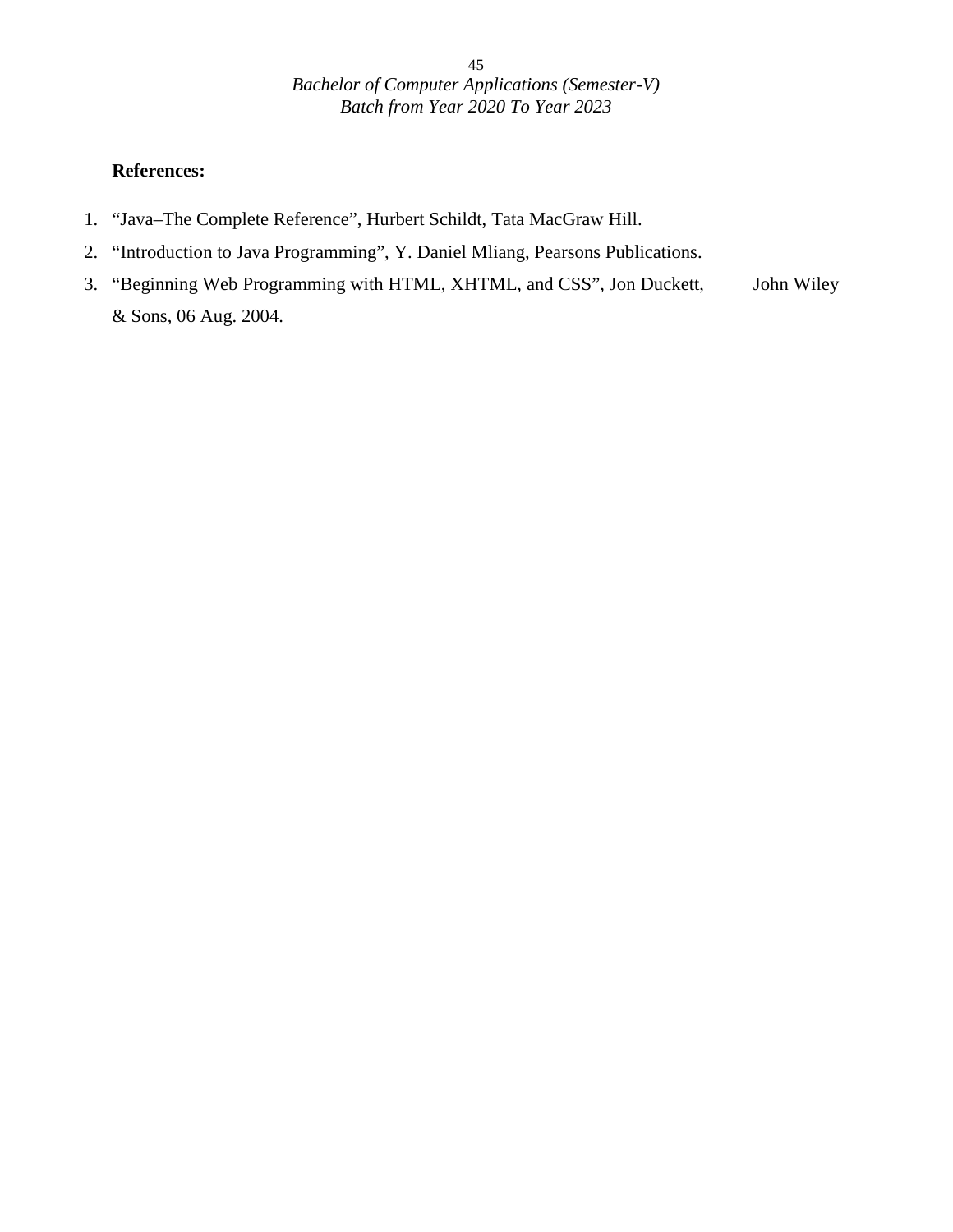- 1. "Java–The Complete Reference", Hurbert Schildt, Tata MacGraw Hill.
- 2. "Introduction to Java Programming", Y. Daniel Mliang, Pearsons Publications.
- 3. "Beginning Web Programming with HTML, XHTML, and CSS", Jon Duckett, John Wiley & Sons, 06 Aug. 2004.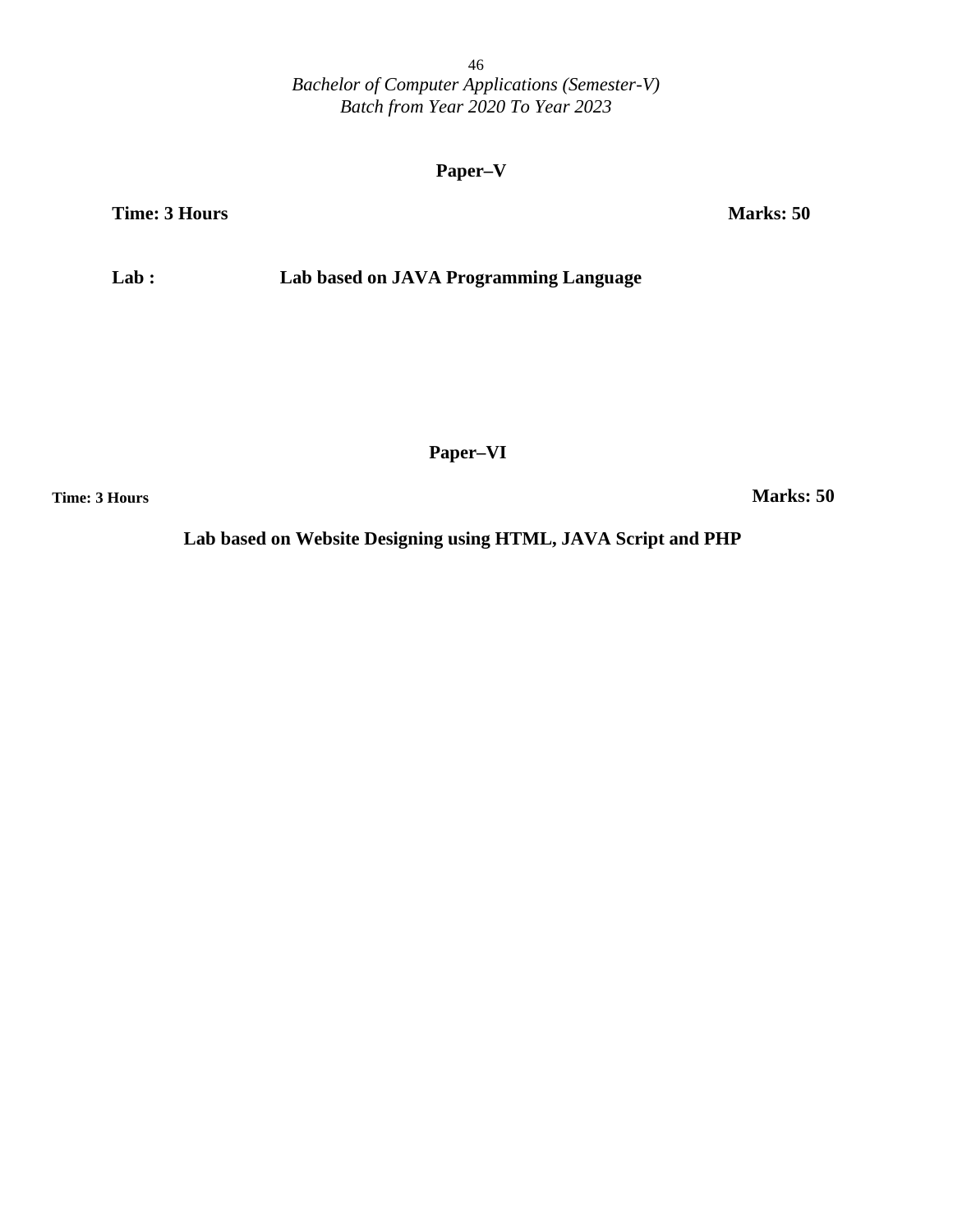#### **Paper–V**

**Time: 3 Hours Marks: 50**

**Lab : Lab based on JAVA Programming Language**

**Paper–VI**

**Time: 3 Hours Marks: 50**

**Lab based on Website Designing using HTML, JAVA Script and PHP**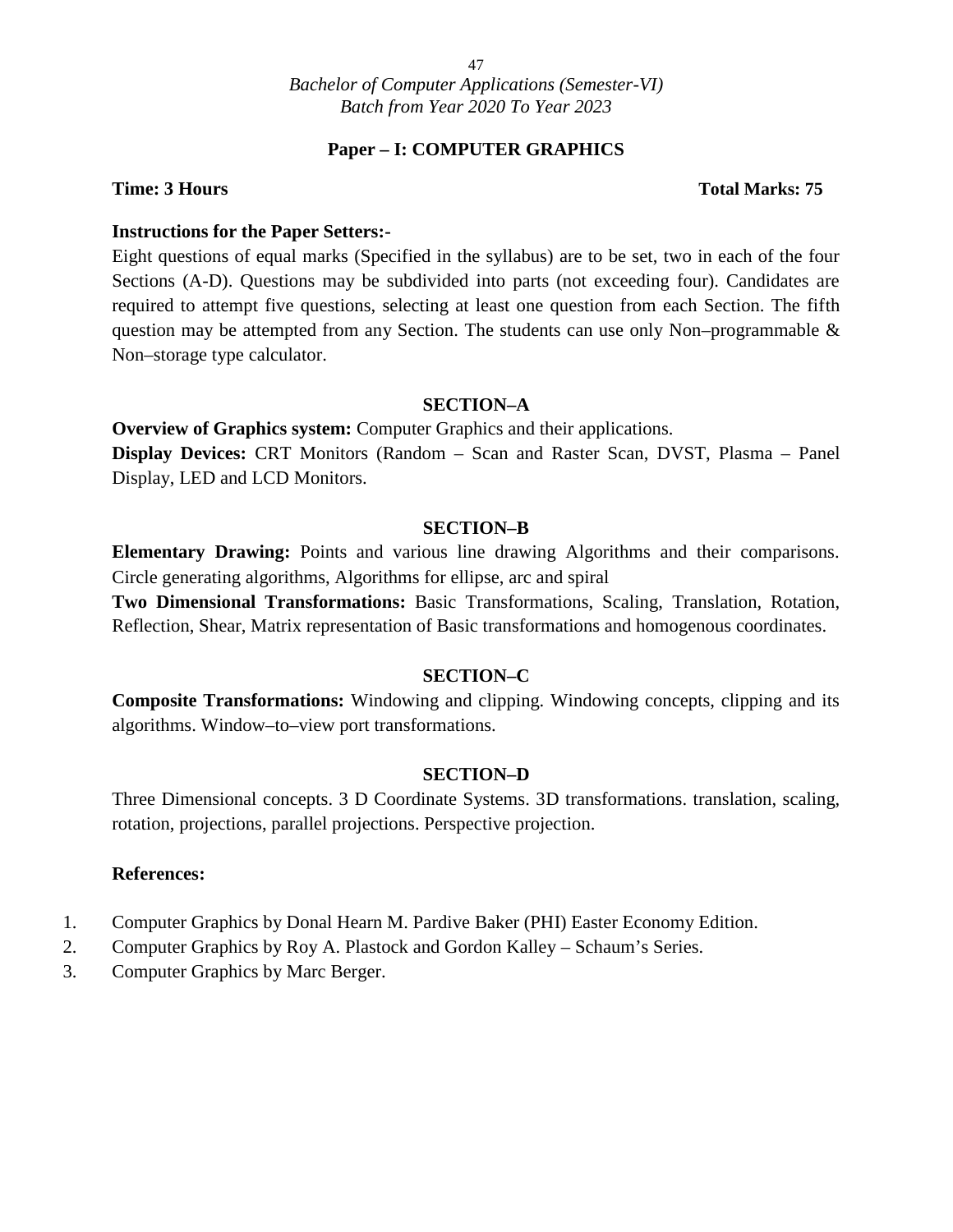#### **Paper – I: COMPUTER GRAPHICS**

#### **Time: 3 Hours Total Marks: 75**

#### **Instructions for the Paper Setters:-**

Eight questions of equal marks (Specified in the syllabus) are to be set, two in each of the four Sections (A-D). Questions may be subdivided into parts (not exceeding four). Candidates are required to attempt five questions, selecting at least one question from each Section. The fifth question may be attempted from any Section. The students can use only Non–programmable & Non–storage type calculator.

#### **SECTION–A**

**Overview of Graphics system:** Computer Graphics and their applications.

**Display Devices:** CRT Monitors (Random – Scan and Raster Scan, DVST, Plasma – Panel Display, LED and LCD Monitors.

#### **SECTION–B**

**Elementary Drawing:** Points and various line drawing Algorithms and their comparisons. Circle generating algorithms, Algorithms for ellipse, arc and spiral

**Two Dimensional Transformations:** Basic Transformations, Scaling, Translation, Rotation, Reflection, Shear, Matrix representation of Basic transformations and homogenous coordinates.

#### **SECTION–C**

**Composite Transformations:** Windowing and clipping. Windowing concepts, clipping and its algorithms. Window–to–view port transformations.

#### **SECTION–D**

Three Dimensional concepts. 3 D Coordinate Systems. 3D transformations. translation, scaling, rotation, projections, parallel projections. Perspective projection.

- 1. Computer Graphics by Donal Hearn M. Pardive Baker (PHI) Easter Economy Edition.
- 2. Computer Graphics by Roy A. Plastock and Gordon Kalley Schaum's Series.
- 3. Computer Graphics by Marc Berger.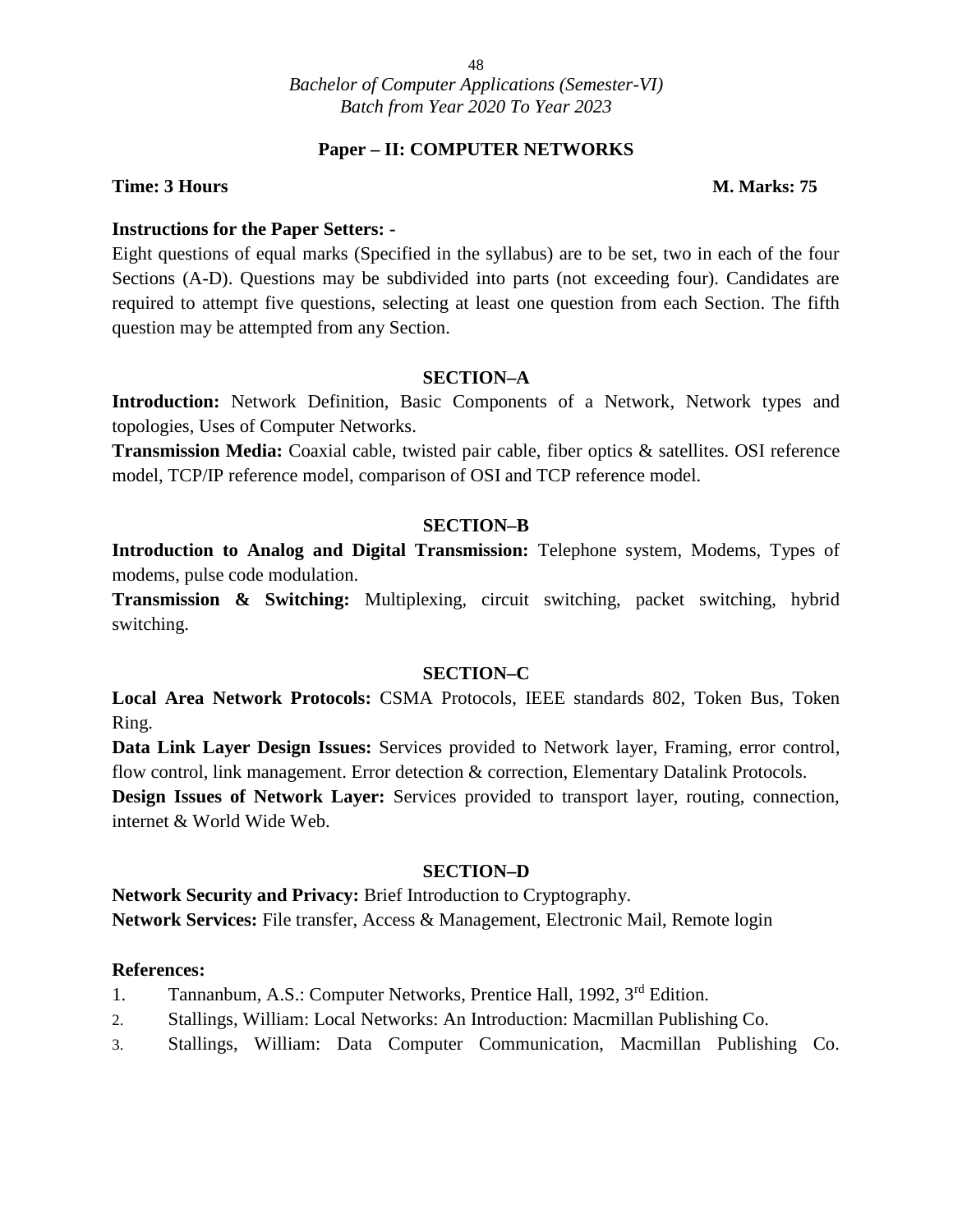#### **Paper – II: COMPUTER NETWORKS**

#### **Time: 3 Hours M. Marks: 75**

#### **Instructions for the Paper Setters: -**

Eight questions of equal marks (Specified in the syllabus) are to be set, two in each of the four Sections (A-D). Questions may be subdivided into parts (not exceeding four). Candidates are required to attempt five questions, selecting at least one question from each Section. The fifth question may be attempted from any Section.

#### **SECTION–A**

**Introduction:** Network Definition, Basic Components of a Network, Network types and topologies, Uses of Computer Networks.

**Transmission Media:** Coaxial cable, twisted pair cable, fiber optics & satellites. OSI reference model, TCP/IP reference model, comparison of OSI and TCP reference model.

#### **SECTION–B**

**Introduction to Analog and Digital Transmission:** Telephone system, Modems, Types of modems, pulse code modulation.

**Transmission & Switching:** Multiplexing, circuit switching, packet switching, hybrid switching.

#### **SECTION–C**

**Local Area Network Protocols:** CSMA Protocols, IEEE standards 802, Token Bus, Token Ring.

**Data Link Layer Design Issues:** Services provided to Network layer, Framing, error control, flow control, link management. Error detection & correction, Elementary Datalink Protocols.

**Design Issues of Network Layer:** Services provided to transport layer, routing, connection, internet & World Wide Web.

#### **SECTION–D**

**Network Security and Privacy:** Brief Introduction to Cryptography. **Network Services:** File transfer, Access & Management, Electronic Mail, Remote login

- 1. Tannanbum, A.S.: Computer Networks, Prentice Hall, 1992, 3<sup>rd</sup> Edition.
- 2. Stallings, William: Local Networks: An Introduction: Macmillan Publishing Co.
- 3. Stallings, William: Data Computer Communication, Macmillan Publishing Co.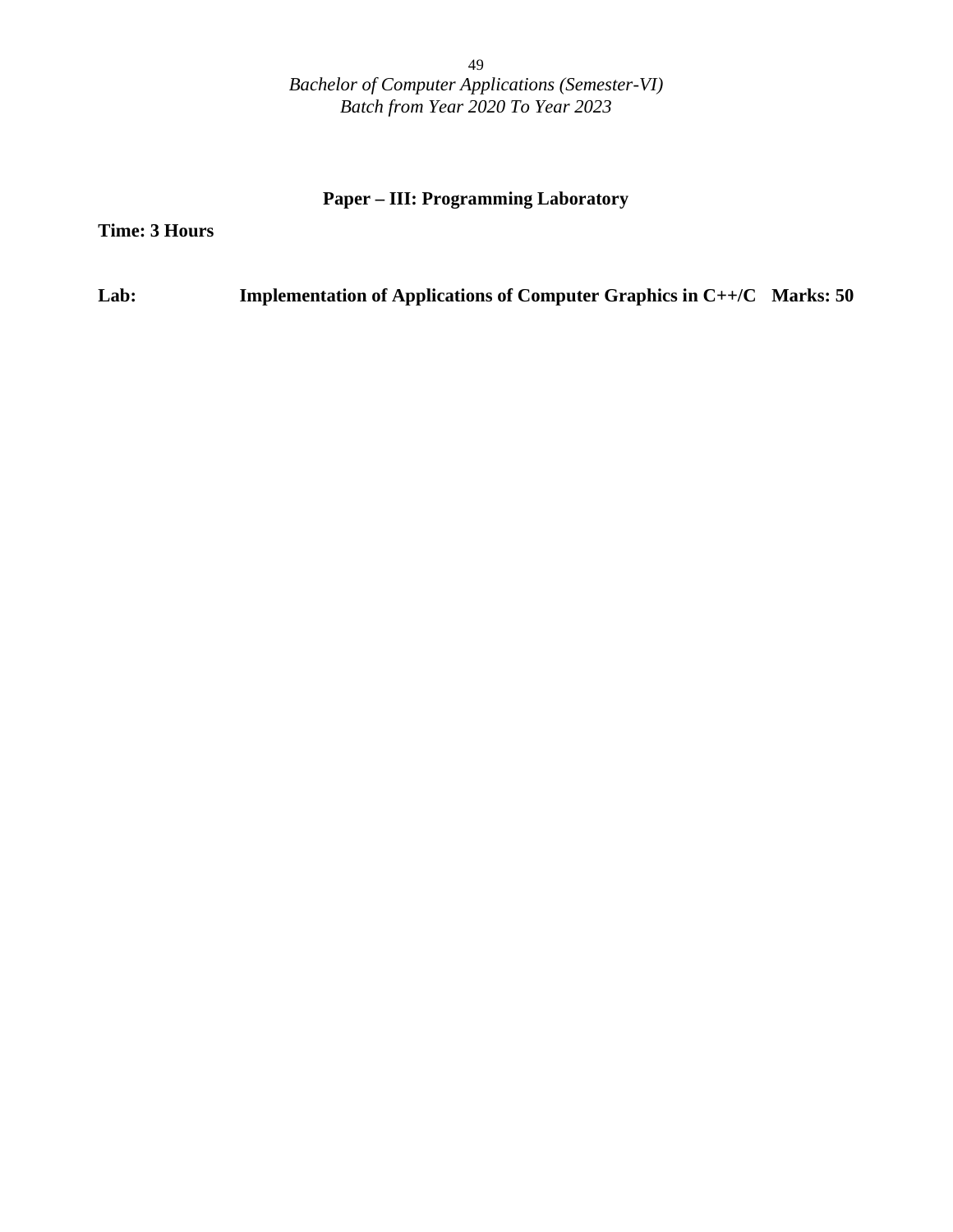#### **Paper – III: Programming Laboratory**

**Time: 3 Hours**

**Lab: Implementation of Applications of Computer Graphics in C++/C Marks: 50**